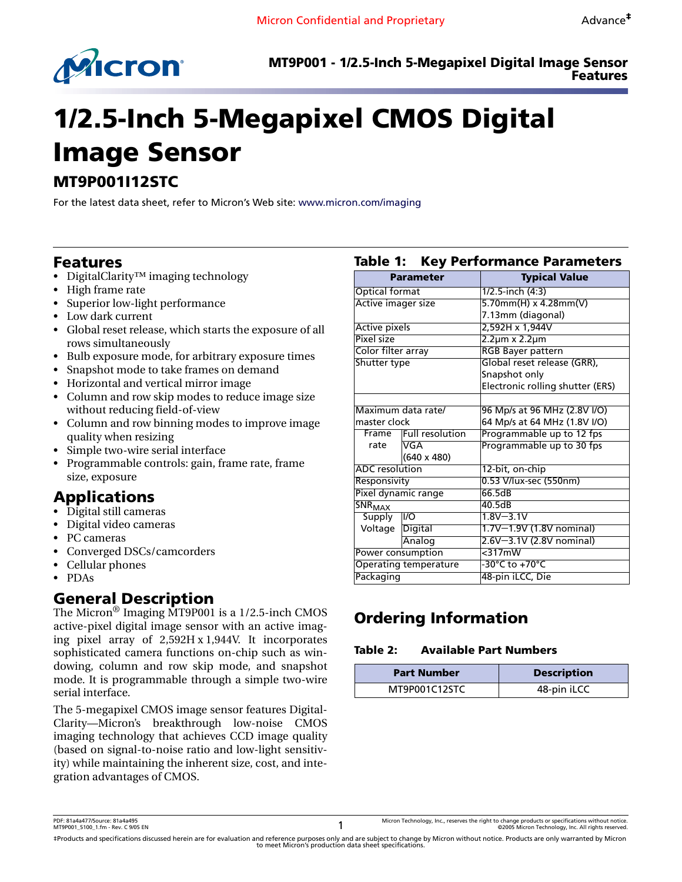

# **1/2.5-Inch 5-Megapixel CMOS Digital Image Sensor**

# **MT9P001I12STC**

For the latest data sheet, refer to Micron's Web site: [www.micron.com/imaging](http://www.micron.com/imaging)

# <span id="page-0-0"></span>**Features**

- DigitalClarity™ imaging technology
- High frame rate
- Superior low-light performance
- Low dark current
- Global reset release, which starts the exposure of all rows simultaneously
- Bulb exposure mode, for arbitrary exposure times
- Snapshot mode to take frames on demand
- Horizontal and vertical mirror image
- Column and row skip modes to reduce image size without reducing field-of-view
- Column and row binning modes to improve image quality when resizing
- Simple two-wire serial interface
- Programmable controls: gain, frame rate, frame size, exposure

# <span id="page-0-1"></span>**Applications**

- Digital still cameras
- Digital video cameras
- PC cameras
- Converged DSCs/camcorders
- Cellular phones
- PDAs

# <span id="page-0-2"></span>**General Description**

The Micron® Imaging MT9P001 is a 1/2.5-inch CMOS active-pixel digital image sensor with an active imaging pixel array of 2,592H x 1,944V. It incorporates sophisticated camera functions on-chip such as windowing, column and row skip mode, and snapshot mode. It is programmable through a simple two-wire serial interface.

The 5-megapixel CMOS image sensor features Digital-Clarity—Micron's breakthrough low-noise CMOS imaging technology that achieves CCD image quality (based on signal-to-noise ratio and low-light sensitivity) while maintaining the inherent size, cost, and integration advantages of CMOS.

| <b>Parameter</b>             |                       | <b>Typical Value</b>             |  |
|------------------------------|-----------------------|----------------------------------|--|
| <b>Optical format</b>        |                       | 1/2.5-inch (4:3)                 |  |
| Active imager size           |                       | $5.70$ mm(H) x 4.28mm(V)         |  |
|                              |                       | 7.13mm (diagonal)                |  |
| <b>Active pixels</b>         |                       | 2,592H x 1,944V                  |  |
| Pixel size                   |                       | 2.2µm x 2.2µm                    |  |
| Color filter array           |                       | <b>RGB Bayer pattern</b>         |  |
| Shutter type                 |                       | Global reset release (GRR),      |  |
|                              |                       | Snapshot only                    |  |
|                              |                       | Electronic rolling shutter (ERS) |  |
|                              |                       |                                  |  |
|                              | Maximum data rate/    | 96 Mp/s at 96 MHz (2.8V I/O)     |  |
| master clock                 |                       | 64 Mp/s at 64 MHz (1.8V I/O)     |  |
|                              | Frame Full resolution | Programmable up to 12 fps        |  |
| rate                         | VGA                   | Programmable up to 30 fps        |  |
|                              | $(640 \times 480)$    |                                  |  |
| ADC resolution               |                       | 12-bit, on-chip                  |  |
| Responsivity                 |                       | 0.53 V/lux-sec (550nm)           |  |
|                              | Pixel dynamic range   | 66.5dB                           |  |
| SNR <sub>MAX</sub>           |                       | 40.5dB                           |  |
| <b>Supply</b>                | VO                    | $1.8V - 3.1V$                    |  |
| Voltage Digital              |                       | 1.7V-1.9V (1.8V nominal)         |  |
|                              | Analog                | 2.6V-3.1V (2.8V nominal)         |  |
| Power consumption            |                       | $<$ 317mW                        |  |
| <b>Operating temperature</b> |                       | -30°C to +70°C                   |  |
| Packaging                    |                       | 48-pin iLCC, Die                 |  |

<span id="page-0-7"></span><span id="page-0-4"></span>**Table 1: Key Performance Parameters**

# <span id="page-0-3"></span>**Ordering Information**

#### <span id="page-0-6"></span><span id="page-0-5"></span>**Table 2: Available Part Numbers**

| <b>Part Number</b> | <b>Description</b> |
|--------------------|--------------------|
| MT9P001C12STC      | 48-pin iLCC        |

‡Products and specifications discussed herein are for evaluation and reference purposes only and are subject to change by Micron without notice. Products are only warranted by Micron<br>to meet Micron's production data sheet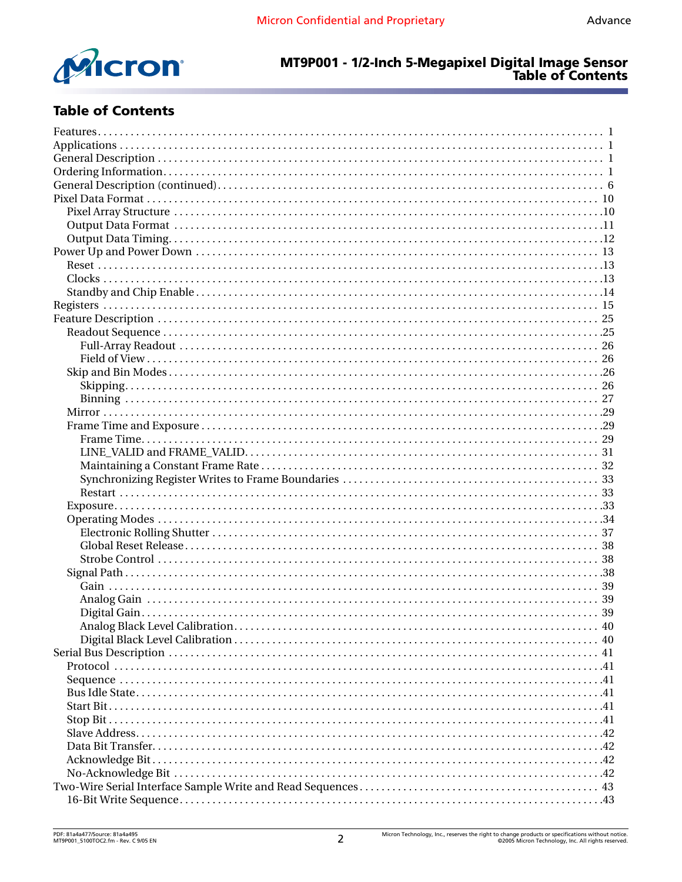

# MT9P001 - 1/2-Inch 5-Megapixel Digital Image Sensor<br>Table of Contents

# **Table of Contents**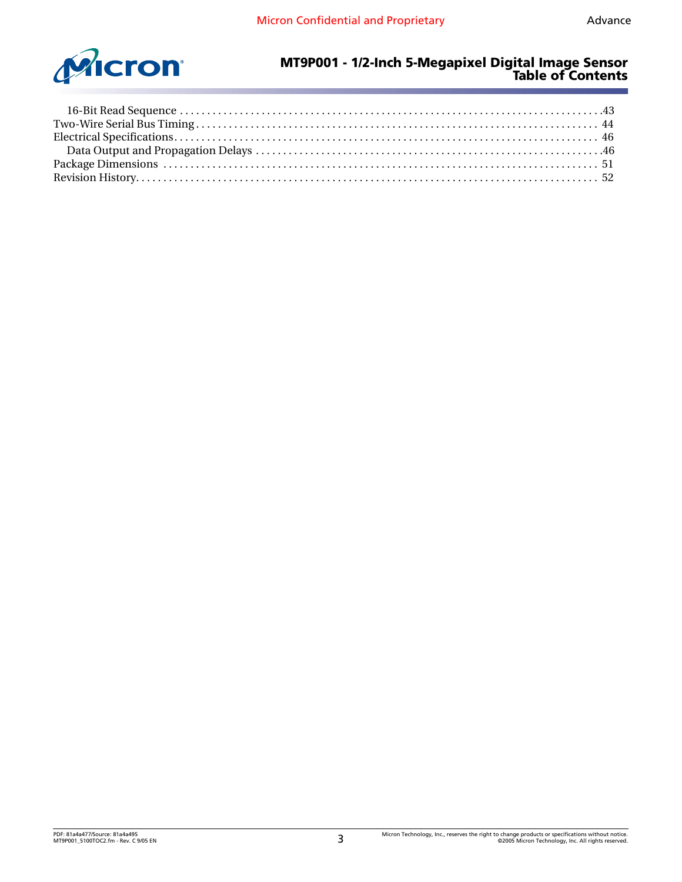

#### **MT9P001 - 1/2-Inch 5-Megapixel Digital Image Sensor Table of Contents**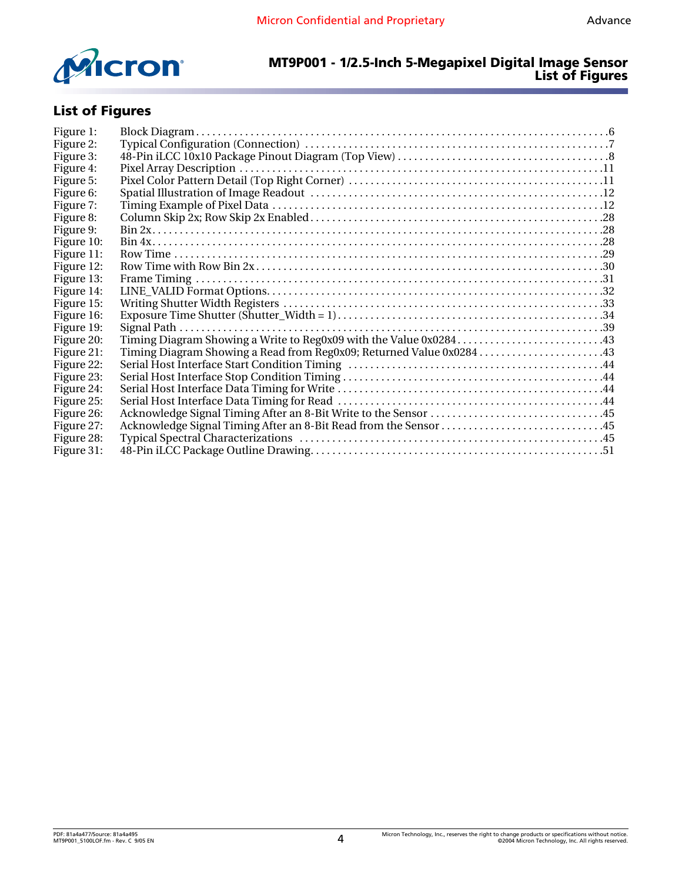

#### **MT9P001 - 1/2.5-Inch 5-Megapixel Digital Image Sensor List of Figures**

# **List of Figures**

| Figure 1:  |                                                                  |  |
|------------|------------------------------------------------------------------|--|
| Figure 2:  |                                                                  |  |
| Figure 3:  |                                                                  |  |
| Figure 4:  |                                                                  |  |
| Figure 5:  |                                                                  |  |
| Figure 6:  |                                                                  |  |
| Figure 7:  |                                                                  |  |
| Figure 8:  |                                                                  |  |
| Figure 9:  |                                                                  |  |
| Figure 10: |                                                                  |  |
| Figure 11: |                                                                  |  |
| Figure 12: |                                                                  |  |
| Figure 13: |                                                                  |  |
| Figure 14: |                                                                  |  |
| Figure 15: |                                                                  |  |
| Figure 16: |                                                                  |  |
| Figure 19: |                                                                  |  |
| Figure 20: |                                                                  |  |
| Figure 21: |                                                                  |  |
| Figure 22: |                                                                  |  |
| Figure 23: |                                                                  |  |
| Figure 24: |                                                                  |  |
| Figure 25: |                                                                  |  |
| Figure 26: |                                                                  |  |
| Figure 27: | Acknowledge Signal Timing After an 8-Bit Read from the Sensor 45 |  |
| Figure 28: |                                                                  |  |
| Figure 31: |                                                                  |  |
|            |                                                                  |  |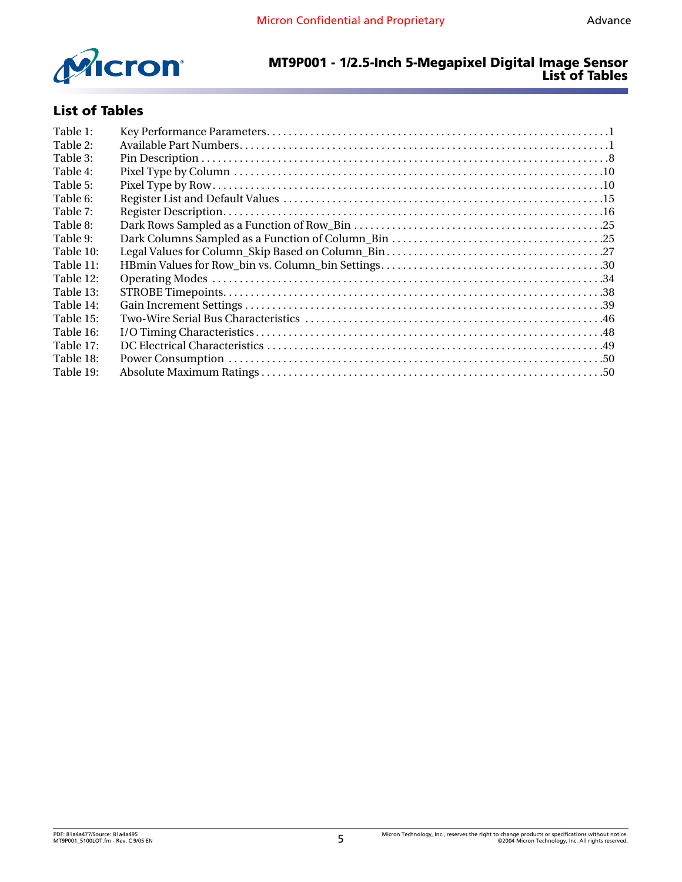

#### **MT9P001 - 1/2.5-Inch 5-Megapixel Digital Image Sensor List of Tables**

# **List of Tables**

| Table 1:  |  |
|-----------|--|
| Table 2:  |  |
| Table 3:  |  |
| Table 4:  |  |
| Table 5:  |  |
| Table 6:  |  |
| Table 7:  |  |
| Table 8:  |  |
| Table 9:  |  |
| Table 10: |  |
| Table 11: |  |
| Table 12: |  |
| Table 13: |  |
| Table 14: |  |
| Table 15: |  |
| Table 16: |  |
| Table 17: |  |
| Table 18: |  |
| Table 19: |  |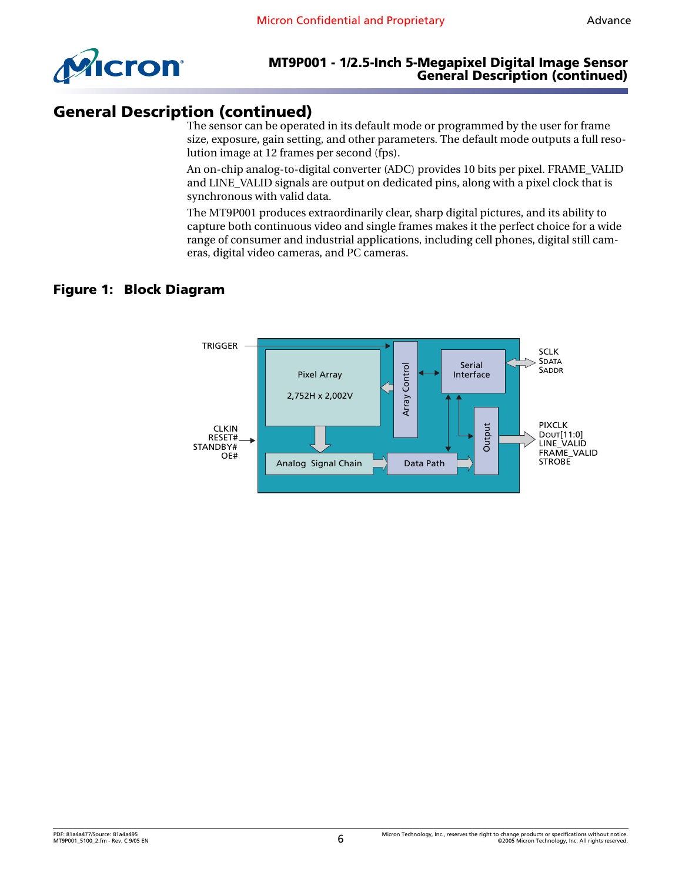

#### **MT9P001 - 1/2.5-Inch 5-Megapixel Digital Image Sensor General Description (continued)**

# <span id="page-5-0"></span>**General Description (continued)**

The sensor can be operated in its default mode or programmed by the user for frame size, exposure, gain setting, and other parameters. The default mode outputs a full resolution image at 12 frames per second (fps).

An on-chip analog-to-digital converter (ADC) provides 10 bits per pixel. FRAME\_VALID and LINE\_VALID signals are output on dedicated pins, along with a pixel clock that is synchronous with valid data.

The MT9P001 produces extraordinarily clear, sharp digital pictures, and its ability to capture both continuous video and single frames makes it the perfect choice for a wide range of consumer and industrial applications, including cell phones, digital still cameras, digital video cameras, and PC cameras.

### <span id="page-5-1"></span>**Figure 1: Block Diagram**

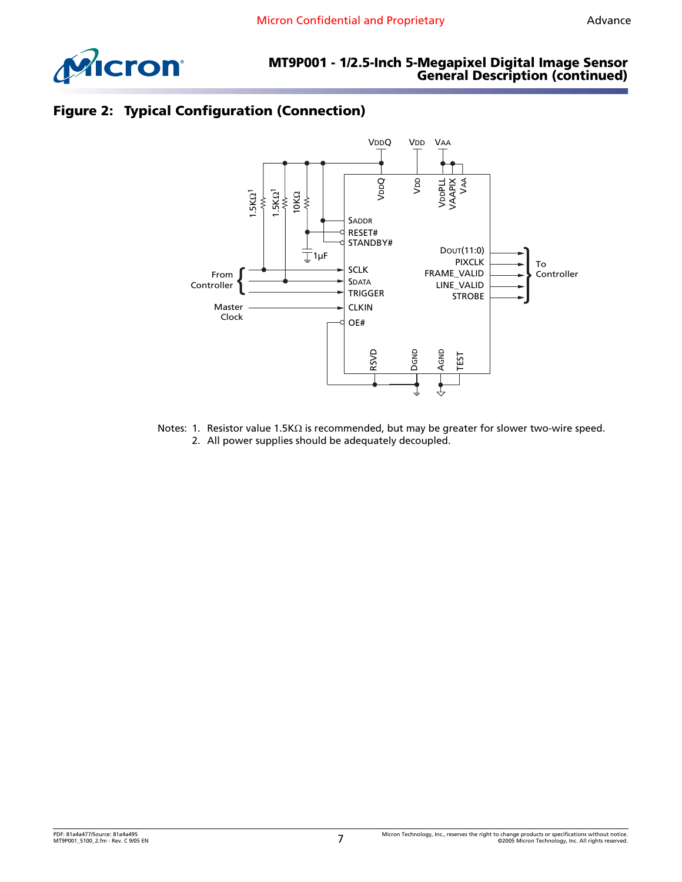

# <span id="page-6-0"></span>**Figure 2: Typical Configuration (Connection)**



Notes: 1. Resistor value 1.5KΩ is recommended, but may be greater for slower two-wire speed. 2. All power supplies should be adequately decoupled.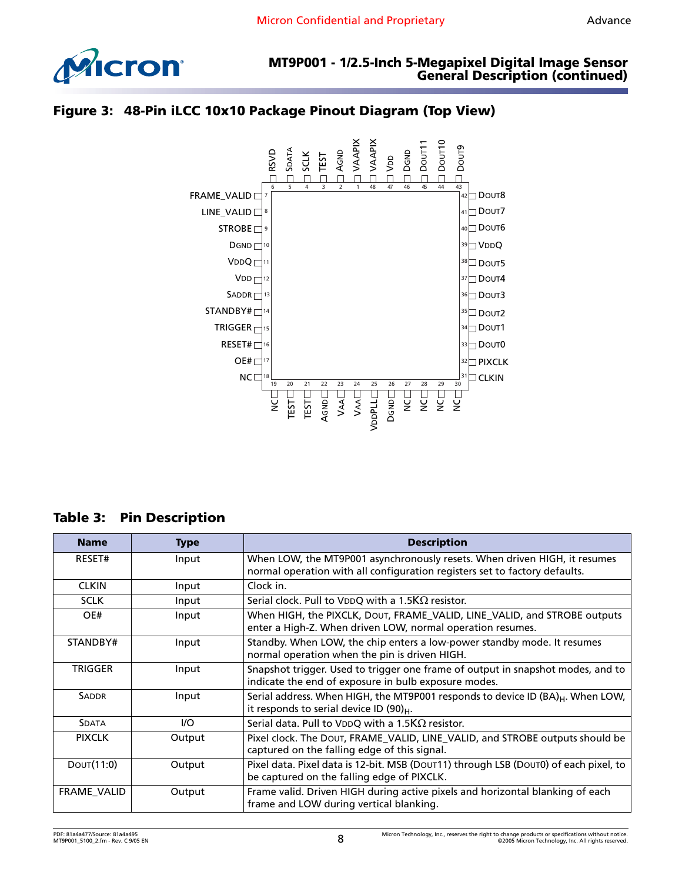

<span id="page-7-0"></span>



# <span id="page-7-1"></span>**Table 3: Pin Description**

| <b>Name</b>        | <b>Type</b> | <b>Description</b>                                                                                                                                      |
|--------------------|-------------|---------------------------------------------------------------------------------------------------------------------------------------------------------|
| RESET#             | Input       | When LOW, the MT9P001 asynchronously resets. When driven HIGH, it resumes<br>normal operation with all configuration registers set to factory defaults. |
| <b>CLKIN</b>       | Input       | Clock in.                                                                                                                                               |
| <b>SCLK</b>        | Input       | Serial clock. Pull to VDDQ with a 1.5K $\Omega$ resistor.                                                                                               |
| OE#                | Input       | When HIGH, the PIXCLK, DOUT, FRAME_VALID, LINE_VALID, and STROBE outputs<br>enter a High-Z. When driven LOW, normal operation resumes.                  |
| STANDBY#           | Input       | Standby. When LOW, the chip enters a low-power standby mode. It resumes<br>normal operation when the pin is driven HIGH.                                |
| <b>TRIGGER</b>     | Input       | Snapshot trigger. Used to trigger one frame of output in snapshot modes, and to<br>indicate the end of exposure in bulb exposure modes.                 |
| <b>SADDR</b>       | Input       | Serial address. When HIGH, the MT9P001 responds to device ID (BA) <sub>H</sub> . When LOW,<br>it responds to serial device ID $(90)_{H}$ .              |
| <b>SDATA</b>       | $UO$        | Serial data. Pull to VDDQ with a 1.5K $\Omega$ resistor.                                                                                                |
| <b>PIXCLK</b>      | Output      | Pixel clock. The DOUT, FRAME_VALID, LINE_VALID, and STROBE outputs should be<br>captured on the falling edge of this signal.                            |
| DOUT(11:0)         | Output      | Pixel data. Pixel data is 12-bit. MSB (DOUT11) through LSB (DOUT0) of each pixel, to<br>be captured on the falling edge of PIXCLK.                      |
| <b>FRAME VALID</b> | Output      | Frame valid. Driven HIGH during active pixels and horizontal blanking of each<br>frame and LOW during vertical blanking.                                |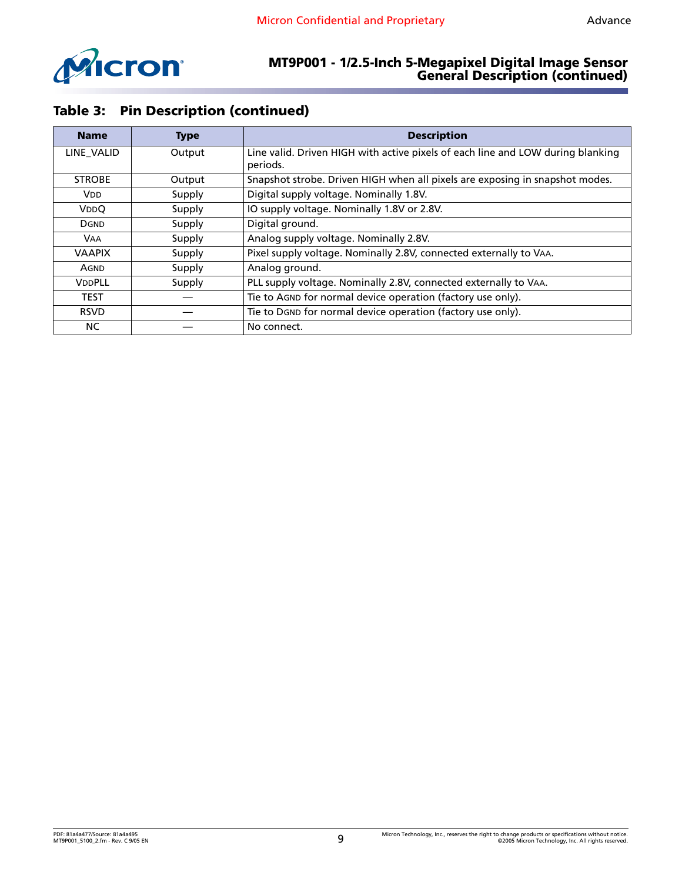

#### **MT9P001 - 1/2.5-Inch 5-Megapixel Digital Image Sensor General Description (continued)**

# **Table 3: Pin Description (continued)**

| <b>Name</b>           | <b>Type</b> | <b>Description</b>                                                                          |
|-----------------------|-------------|---------------------------------------------------------------------------------------------|
| LINE VALID            | Output      | Line valid. Driven HIGH with active pixels of each line and LOW during blanking<br>periods. |
| <b>STROBE</b>         | Output      | Snapshot strobe. Driven HIGH when all pixels are exposing in snapshot modes.                |
| <b>V<sub>DD</sub></b> | Supply      | Digital supply voltage. Nominally 1.8V.                                                     |
| VDDQ                  | Supply      | IO supply voltage. Nominally 1.8V or 2.8V.                                                  |
| <b>DGND</b>           | Supply      | Digital ground.                                                                             |
| <b>VAA</b>            | Supply      | Analog supply voltage. Nominally 2.8V.                                                      |
| <b>VAAPIX</b>         | Supply      | Pixel supply voltage. Nominally 2.8V, connected externally to VAA.                          |
| AGND                  | Supply      | Analog ground.                                                                              |
| VDDPLL                | Supply      | PLL supply voltage. Nominally 2.8V, connected externally to VAA.                            |
| <b>TEST</b>           |             | Tie to AGND for normal device operation (factory use only).                                 |
| <b>RSVD</b>           |             | Tie to DGND for normal device operation (factory use only).                                 |
| NC.                   |             | No connect.                                                                                 |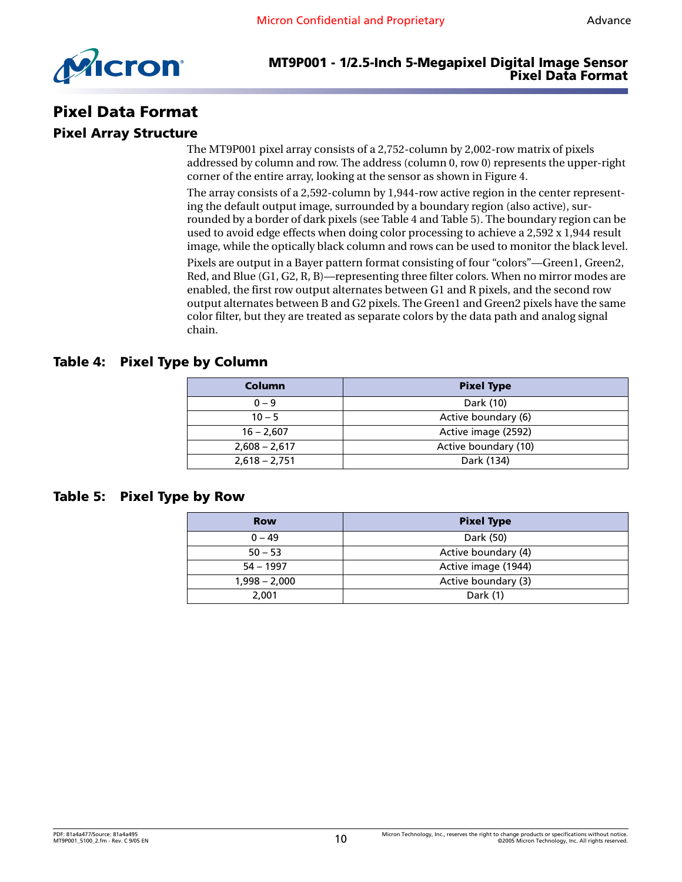

# <span id="page-9-0"></span>**Pixel Data Format**

## <span id="page-9-1"></span>**Pixel Array Structure**

The MT9P001 pixel array consists of a 2,752-column by 2,002-row matrix of pixels addressed by column and row. The address (column 0, row 0) represents the upper-right corner of the entire array, looking at the sensor as shown in [Figure 4](#page-10-1).

The array consists of a 2,592-column by 1,944-row active region in the center representing the default output image, surrounded by a boundary region (also active), surrounded by a border of dark pixels (see [Table 4](#page-9-2) and [Table 5\)](#page-9-3). The boundary region can be used to avoid edge effects when doing color processing to achieve a 2,592 x 1,944 result image, while the optically black column and rows can be used to monitor the black level.

Pixels are output in a Bayer pattern format consisting of four "colors"—Green1, Green2, Red, and Blue (G1, G2, R, B)—representing three filter colors. When no mirror modes are enabled, the first row output alternates between G1 and R pixels, and the second row output alternates between B and G2 pixels. The Green1 and Green2 pixels have the same color filter, but they are treated as separate colors by the data path and analog signal chain.

#### <span id="page-9-2"></span>**Table 4: Pixel Type by Column**

| Column          | <b>Pixel Type</b>    |
|-----------------|----------------------|
| $0 - 9$         | Dark (10)            |
| $10 - 5$        | Active boundary (6)  |
| $16 - 2,607$    | Active image (2592)  |
| $2,608 - 2,617$ | Active boundary (10) |
| $2,618 - 2,751$ | Dark (134)           |

#### <span id="page-9-3"></span>**Table 5: Pixel Type by Row**

| <b>Row</b>      | <b>Pixel Type</b>   |
|-----------------|---------------------|
| $0 - 49$        | Dark (50)           |
| $50 - 53$       | Active boundary (4) |
| $54 - 1997$     | Active image (1944) |
| $1,998 - 2,000$ | Active boundary (3) |
| 2.001           | Dark (1)            |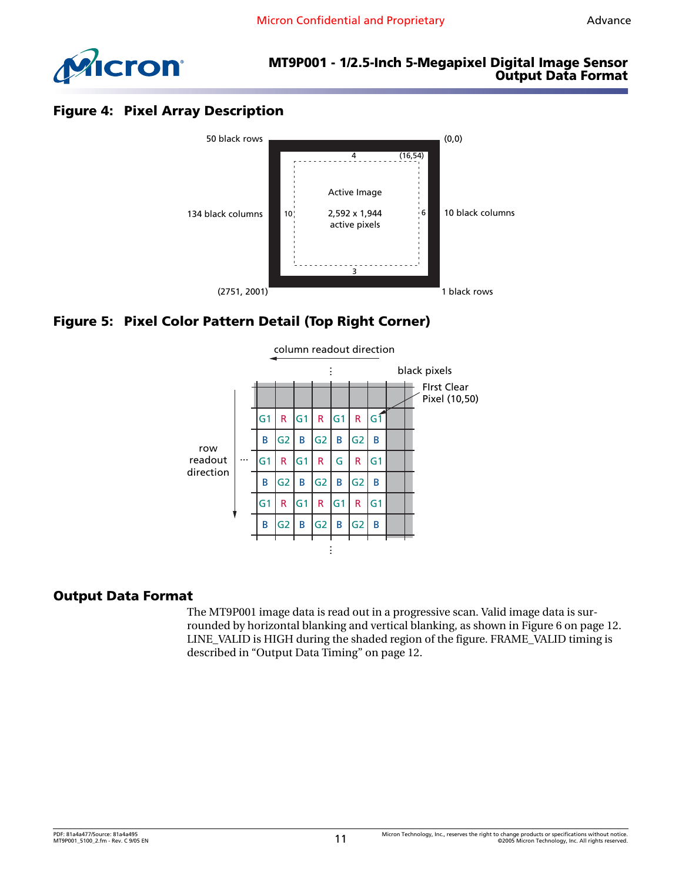

### **MT9P001 - 1/2.5-Inch 5-Megapixel Digital Image Sensor Output Data Format**

# <span id="page-10-1"></span>**Figure 4: Pixel Array Description**



# <span id="page-10-2"></span>**Figure 5: Pixel Color Pattern Detail (Top Right Corner)**



#### <span id="page-10-0"></span>**Output Data Format**

The MT9P001 image data is read out in a progressive scan. Valid image data is surrounded by horizontal blanking and vertical blanking, as shown in [Figure 6 on page 12.](#page-11-1) LINE\_VALID is HIGH during the shaded region of the figure. FRAME\_VALID timing is described in ["Output Data Timing" on page 12.](#page-11-0)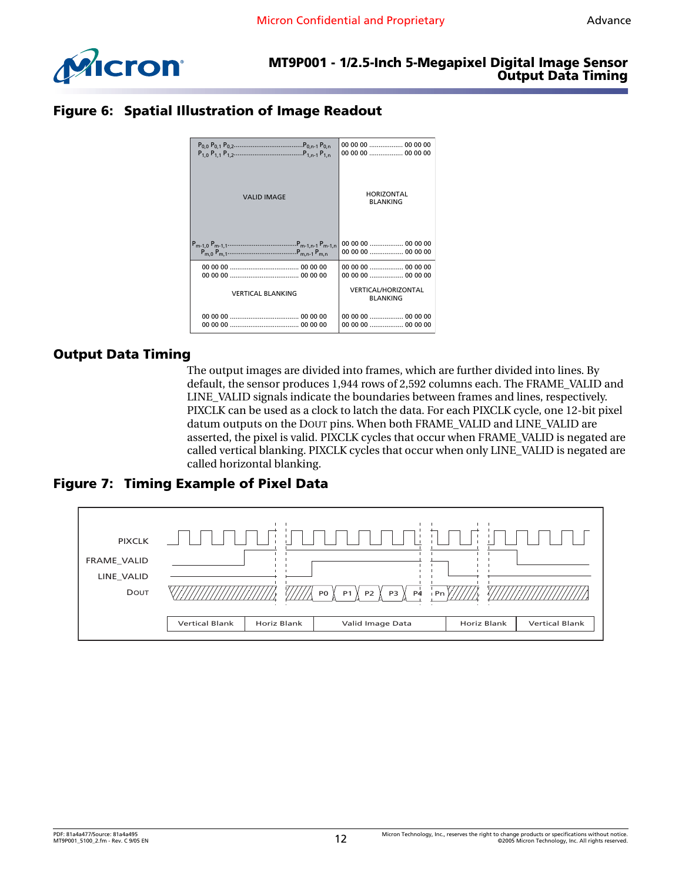

# <span id="page-11-1"></span>**Figure 6: Spatial Illustration of Image Readout**

|                          | 00 00 00  00 00 00                            |
|--------------------------|-----------------------------------------------|
|                          | 00 00 00  00 00 00                            |
| <b>VALID IMAGE</b>       | <b>HORIZONTAL</b><br><b>BLANKING</b>          |
|                          | 00 00 00  00 00 00                            |
|                          |                                               |
|                          |                                               |
| <b>VERTICAL BLANKING</b> | <b>VERTICAL/HORIZONTAL</b><br><b>BLANKING</b> |
|                          |                                               |
|                          |                                               |

#### <span id="page-11-0"></span>**Output Data Timing**

The output images are divided into frames, which are further divided into lines. By default, the sensor produces 1,944 rows of 2,592 columns each. The FRAME\_VALID and LINE\_VALID signals indicate the boundaries between frames and lines, respectively. PIXCLK can be used as a clock to latch the data. For each PIXCLK cycle, one 12-bit pixel datum outputs on the DOUT pins. When both FRAME\_VALID and LINE\_VALID are asserted, the pixel is valid. PIXCLK cycles that occur when FRAME\_VALID is negated are called vertical blanking. PIXCLK cycles that occur when only LINE\_VALID is negated are called horizontal blanking.

<span id="page-11-2"></span>**Figure 7: Timing Example of Pixel Data**

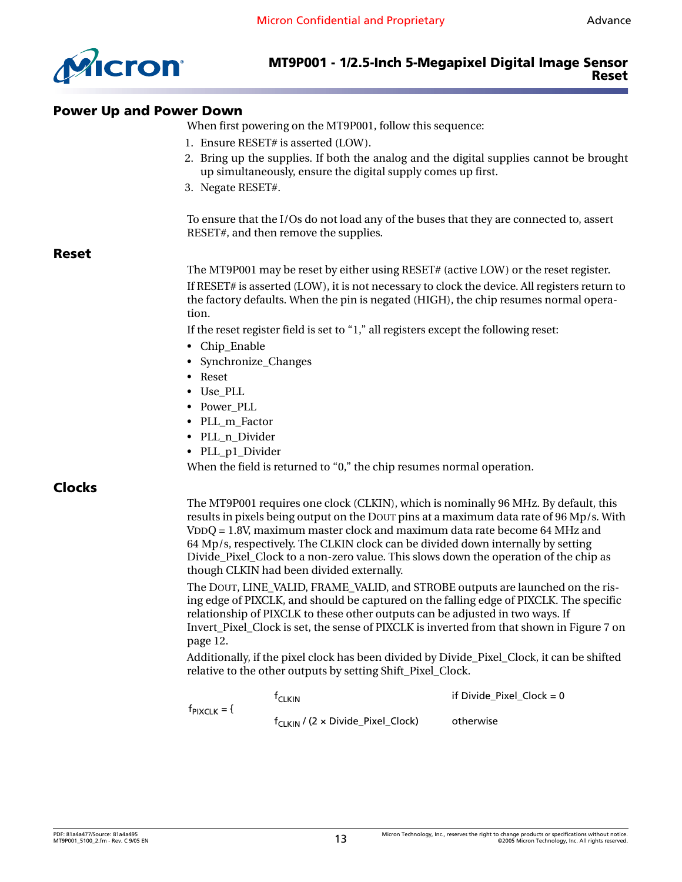

#### <span id="page-12-0"></span>**Power Up and Power Down**

When first powering on the MT9P001, follow this sequence:

- 1. Ensure RESET# is asserted (LOW).
- 2. Bring up the supplies. If both the analog and the digital supplies cannot be brought up simultaneously, ensure the digital supply comes up first.
- 3. Negate RESET#.

To ensure that the I/Os do not load any of the buses that they are connected to, assert RESET#, and then remove the supplies.

#### <span id="page-12-1"></span>**Reset**

The MT9P001 may be reset by either using RESET# (active LOW) or the reset register. If RESET# is asserted (LOW), it is not necessary to clock the device. All registers return to the factory defaults. When the pin is negated (HIGH), the chip resumes normal operation.

If the reset register field is set to "1," all registers except the following reset:

- Chip Enable
- Synchronize\_Changes
- Reset

f<sub>PIXCLK</sub>

- Use\_PLL
- Power\_PLL
- PLL\_m\_Factor
- PLL\_n\_Divider
- PLL\_p1\_Divider

When the field is returned to "0," the chip resumes normal operation.

#### <span id="page-12-2"></span>**Clocks**

The MT9P001 requires one clock (CLKIN), which is nominally 96 MHz. By default, this results in pixels being output on the DOUT pins at a maximum data rate of 96 Mp/s. With VDDQ = 1.8V, maximum master clock and maximum data rate become 64 MHz and 64 Mp/s, respectively. The CLKIN clock can be divided down internally by setting Divide\_Pixel\_Clock to a non-zero value. This slows down the operation of the chip as though CLKIN had been divided externally.

The DOUT, LINE\_VALID, FRAME\_VALID, and STROBE outputs are launched on the rising edge of PIXCLK, and should be captured on the falling edge of PIXCLK. The specific relationship of PIXCLK to these other outputs can be adjusted in two ways. If Invert\_Pixel\_Clock is set, the sense of PIXCLK is inverted from that shown in [Figure 7 on](#page-11-2)  [page 12](#page-11-2).

Additionally, if the pixel clock has been divided by Divide\_Pixel\_Clock, it can be shifted relative to the other outputs by setting Shift\_Pixel\_Clock.

| = { | $\mathsf{r}_{\mathsf{C}}$ i kin                | if Divide Pixel Clock = $0$ |
|-----|------------------------------------------------|-----------------------------|
|     | $f_{C1 \text{KIN}}$ / (2 x Divide_Pixel_Clock) | otherwise                   |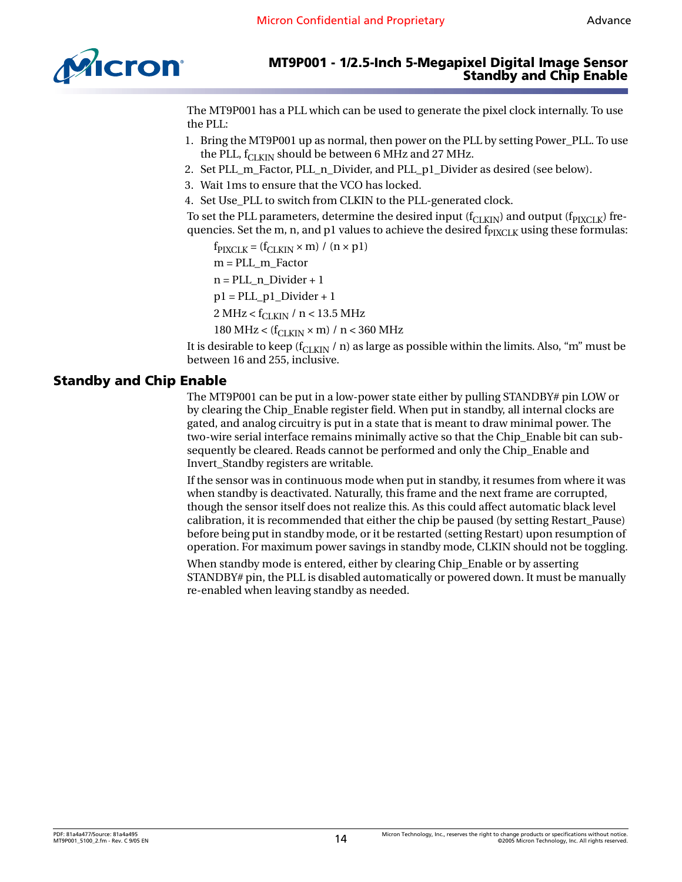

The MT9P001 has a PLL which can be used to generate the pixel clock internally. To use the PLL:

- 1. Bring the MT9P001 up as normal, then power on the PLL by setting Power\_PLL. To use the PLL,  $f_{CLKIN}$  should be between 6 MHz and 27 MHz.
- 2. Set PLL\_m\_Factor, PLL\_n\_Divider, and PLL\_p1\_Divider as desired (see below).
- 3. Wait 1ms to ensure that the VCO has locked.
- 4. Set Use\_PLL to switch from CLKIN to the PLL-generated clock.

To set the PLL parameters, determine the desired input ( $f_{\rm CLKIN}$ ) and output ( $f_{\rm PIXCLK}$ ) frequencies. Set the m, n, and p1 values to achieve the desired  $f_{\text{PIXCLK}}$  using these formulas:

 $f_{\text{PIXCLK}} = (f_{\text{CLKIN}} \times m) / (n \times p1)$ 

m = PLL\_m\_Factor

n = PLL\_n\_Divider + 1

 $p1 = 2$ LL\_p1\_Divider + 1

2 MHz <  $f_{CI KIN}$  / n < 13.5 MHz

180 MHz <  $(f_{CLKIN} \times m)$  / n < 360 MHz

It is desirable to keep ( $f_{CLKIN}$  / n) as large as possible within the limits. Also, "m" must be between 16 and 255, inclusive.

#### <span id="page-13-0"></span>**Standby and Chip Enable**

The MT9P001 can be put in a low-power state either by pulling STANDBY# pin LOW or by clearing the Chip\_Enable register field. When put in standby, all internal clocks are gated, and analog circuitry is put in a state that is meant to draw minimal power. The two-wire serial interface remains minimally active so that the Chip\_Enable bit can subsequently be cleared. Reads cannot be performed and only the Chip\_Enable and Invert\_Standby registers are writable.

If the sensor was in continuous mode when put in standby, it resumes from where it was when standby is deactivated. Naturally, this frame and the next frame are corrupted, though the sensor itself does not realize this. As this could affect automatic black level calibration, it is recommended that either the chip be paused (by setting Restart\_Pause) before being put in standby mode, or it be restarted (setting Restart) upon resumption of operation. For maximum power savings in standby mode, CLKIN should not be toggling.

When standby mode is entered, either by clearing Chip\_Enable or by asserting STANDBY# pin, the PLL is disabled automatically or powered down. It must be manually re-enabled when leaving standby as needed.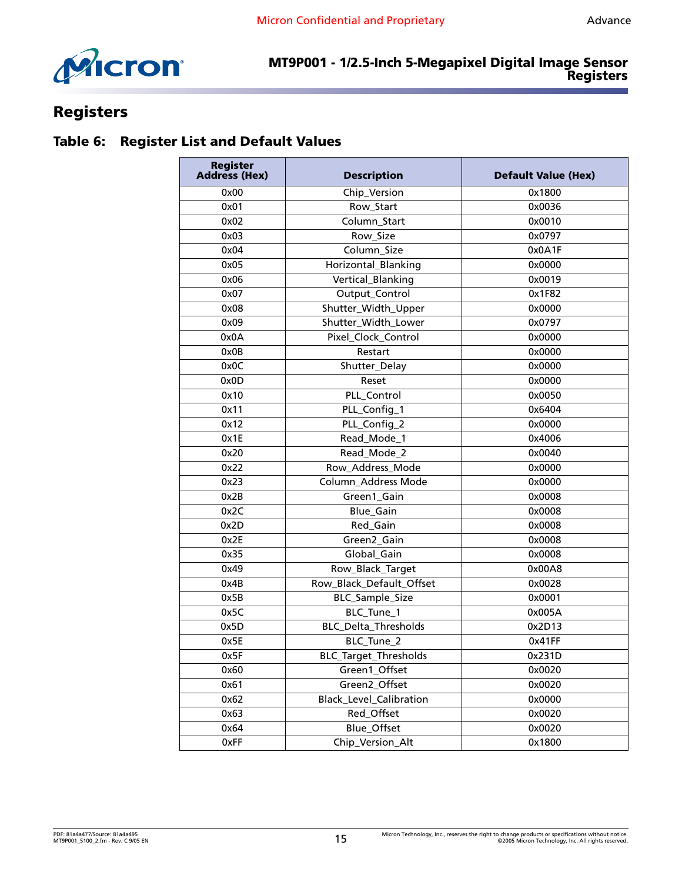

# <span id="page-14-0"></span>**Registers**

# <span id="page-14-1"></span>**Table 6: Register List and Default Values**

| <b>Register</b><br><b>Address (Hex)</b> | <b>Description</b>             | <b>Default Value (Hex)</b> |  |
|-----------------------------------------|--------------------------------|----------------------------|--|
| 0x00                                    | Chip_Version                   | 0x1800                     |  |
| 0x01                                    | Row_Start                      | 0x0036                     |  |
| 0x02                                    | Column_Start                   | 0x0010                     |  |
| 0x03                                    | Row_Size                       | 0x0797                     |  |
| 0x04                                    | Column_Size                    | 0x0A1F                     |  |
| 0x05                                    | Horizontal_Blanking            | 0x0000                     |  |
| 0x06                                    | Vertical_Blanking              | 0x0019                     |  |
| 0x07                                    | Output_Control                 | 0x1F82                     |  |
| 0x08                                    | Shutter_Width_Upper            | 0x0000                     |  |
| 0x09                                    | Shutter_Width_Lower            | 0x0797                     |  |
| 0x0A                                    | Pixel_Clock_Control            | 0x0000                     |  |
| 0x0B                                    | Restart                        | 0x0000                     |  |
| 0x0C                                    | Shutter_Delay                  | 0x0000                     |  |
| 0x0D                                    | Reset                          | 0x0000                     |  |
| 0x10                                    | PLL_Control                    | 0x0050                     |  |
| 0x11                                    | PLL_Config_1                   | 0x6404                     |  |
| 0x12                                    | PLL_Config_2                   | 0x0000                     |  |
| 0x1E                                    | Read_Mode_1                    | 0x4006                     |  |
| 0x20                                    | Read_Mode_2                    | 0x0040                     |  |
| 0x22                                    | Row_Address_Mode               | 0x0000                     |  |
| 0x23                                    | Column_Address Mode            | 0x0000                     |  |
| 0x2B                                    | Green1_Gain                    | 0x0008                     |  |
| 0x2C                                    | Blue_Gain                      | 0x0008                     |  |
| 0x2D                                    | Red_Gain                       | 0x0008                     |  |
| 0x2E<br>Green2_Gain                     |                                | 0x0008                     |  |
| 0x35                                    | Global Gain                    | 0x0008                     |  |
| 0x49                                    | Row_Black_Target               | 0x00A8                     |  |
| 0x4B                                    | Row_Black_Default_Offset       | 0x0028                     |  |
| 0x5B                                    | BLC_Sample_Size                | 0x0001                     |  |
| 0x5C                                    | BLC_Tune_1                     | 0x005A                     |  |
| 0x5D                                    | BLC_Delta_Thresholds           | 0x2D13                     |  |
| BLC_Tune_2<br>0x5E                      |                                | 0x41FF                     |  |
| <b>BLC_Target_Thresholds</b><br>0x5F    |                                | 0x231D                     |  |
| Green1_Offset<br>0x60                   |                                | 0x0020                     |  |
| 0x61                                    | Green2_Offset                  | 0x0020                     |  |
| 0x62                                    | <b>Black Level Calibration</b> | 0x0000                     |  |
| 0x63                                    | Red_Offset                     | 0x0020                     |  |
| 0x64                                    | Blue_Offset                    | 0x0020                     |  |
| 0xFF                                    | Chip_Version_Alt               | 0x1800                     |  |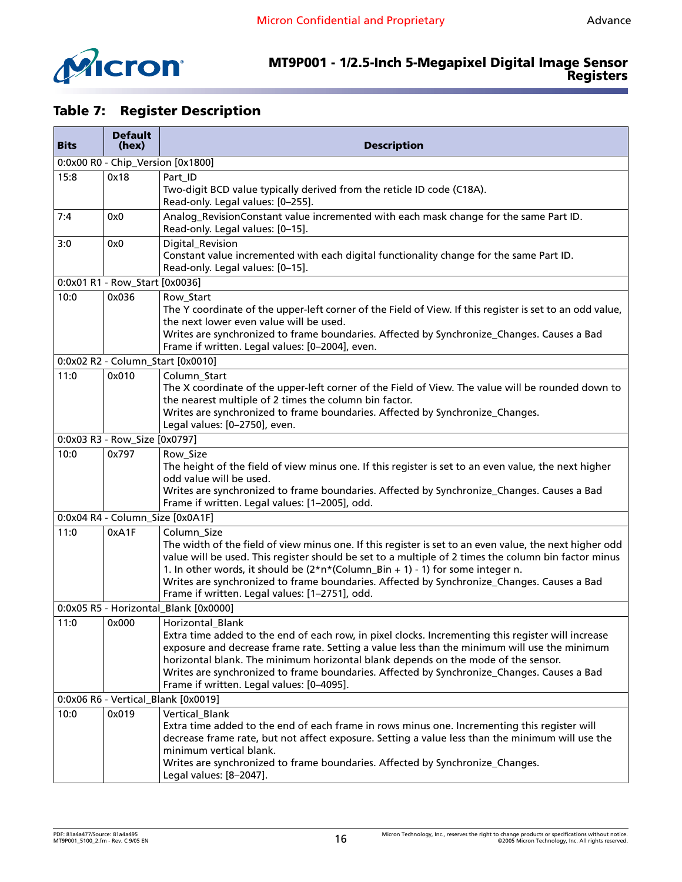

# <span id="page-15-0"></span>**Table 7: Register Description**

| <b>Bits</b> | <b>Default</b><br>(hex)           | <b>Description</b>                                                                                                                                                                                                                                                                                                                                                                                                                                               |  |  |  |
|-------------|-----------------------------------|------------------------------------------------------------------------------------------------------------------------------------------------------------------------------------------------------------------------------------------------------------------------------------------------------------------------------------------------------------------------------------------------------------------------------------------------------------------|--|--|--|
|             | 0:0x00 R0 - Chip_Version [0x1800] |                                                                                                                                                                                                                                                                                                                                                                                                                                                                  |  |  |  |
| 15:8        | 0x18                              | Part_ID<br>Two-digit BCD value typically derived from the reticle ID code (C18A).<br>Read-only. Legal values: [0-255].                                                                                                                                                                                                                                                                                                                                           |  |  |  |
| 7:4         | 0x0                               | Analog_RevisionConstant value incremented with each mask change for the same Part ID.<br>Read-only. Legal values: [0-15].                                                                                                                                                                                                                                                                                                                                        |  |  |  |
| 3:0         | 0x0                               | Digital_Revision<br>Constant value incremented with each digital functionality change for the same Part ID.<br>Read-only. Legal values: [0-15].                                                                                                                                                                                                                                                                                                                  |  |  |  |
|             | 0:0x01 R1 - Row_Start [0x0036]    |                                                                                                                                                                                                                                                                                                                                                                                                                                                                  |  |  |  |
| 10:0        | 0x036                             | Row_Start<br>The Y coordinate of the upper-left corner of the Field of View. If this register is set to an odd value,<br>the next lower even value will be used.<br>Writes are synchronized to frame boundaries. Affected by Synchronize_Changes. Causes a Bad<br>Frame if written. Legal values: [0-2004], even.                                                                                                                                                |  |  |  |
|             |                                   | 0:0x02 R2 - Column_Start [0x0010]                                                                                                                                                                                                                                                                                                                                                                                                                                |  |  |  |
| 11:0        | 0x010                             | Column Start<br>The X coordinate of the upper-left corner of the Field of View. The value will be rounded down to<br>the nearest multiple of 2 times the column bin factor.<br>Writes are synchronized to frame boundaries. Affected by Synchronize_Changes.<br>Legal values: [0-2750], even.                                                                                                                                                                    |  |  |  |
|             | 0:0x03 R3 - Row_Size [0x0797]     |                                                                                                                                                                                                                                                                                                                                                                                                                                                                  |  |  |  |
| 10:0        | 0x797                             | Row_Size<br>The height of the field of view minus one. If this register is set to an even value, the next higher<br>odd value will be used.<br>Writes are synchronized to frame boundaries. Affected by Synchronize_Changes. Causes a Bad<br>Frame if written. Legal values: [1-2005], odd.                                                                                                                                                                      |  |  |  |
|             | 0:0x04 R4 - Column_Size [0x0A1F]  |                                                                                                                                                                                                                                                                                                                                                                                                                                                                  |  |  |  |
| 11:0        | 0xA1F                             | Column_Size<br>The width of the field of view minus one. If this register is set to an even value, the next higher odd<br>value will be used. This register should be set to a multiple of 2 times the column bin factor minus<br>1. In other words, it should be (2*n*(Column_Bin + 1) - 1) for some integer n.<br>Writes are synchronized to frame boundaries. Affected by Synchronize_Changes. Causes a Bad<br>Frame if written. Legal values: [1-2751], odd. |  |  |  |
|             |                                   | 0:0x05 R5 - Horizontal_Blank [0x0000]                                                                                                                                                                                                                                                                                                                                                                                                                            |  |  |  |
| 11:0        | 0x000                             | <b>Horizontal Blank</b><br>Extra time added to the end of each row, in pixel clocks. Incrementing this register will increase<br>exposure and decrease frame rate. Setting a value less than the minimum will use the minimum<br>horizontal blank. The minimum horizontal blank depends on the mode of the sensor.<br>Writes are synchronized to frame boundaries. Affected by Synchronize_Changes. Causes a Bad<br>Frame if written. Legal values: [0-4095].    |  |  |  |
|             |                                   | 0:0x06 R6 - Vertical_Blank [0x0019]                                                                                                                                                                                                                                                                                                                                                                                                                              |  |  |  |
| 10:0        | 0x019                             | Vertical_Blank<br>Extra time added to the end of each frame in rows minus one. Incrementing this register will<br>decrease frame rate, but not affect exposure. Setting a value less than the minimum will use the<br>minimum vertical blank.<br>Writes are synchronized to frame boundaries. Affected by Synchronize_Changes.<br>Legal values: [8-2047].                                                                                                        |  |  |  |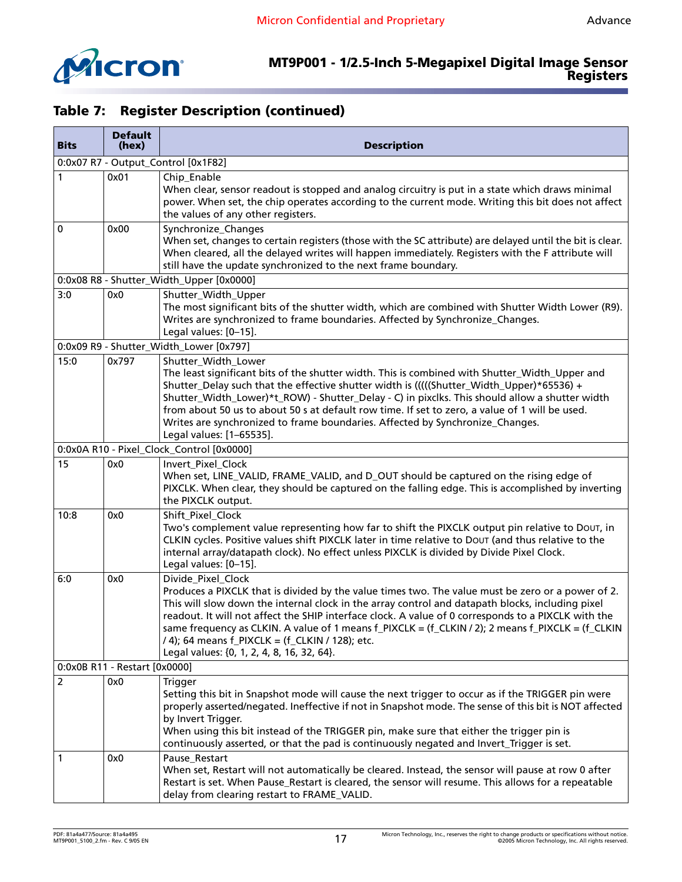

| <b>Bits</b>                   | <b>Default</b><br>(hex) | <b>Description</b>                                                                                                                                                                                                                                                                                                                                                                                                                                                                                                                       |  |  |
|-------------------------------|-------------------------|------------------------------------------------------------------------------------------------------------------------------------------------------------------------------------------------------------------------------------------------------------------------------------------------------------------------------------------------------------------------------------------------------------------------------------------------------------------------------------------------------------------------------------------|--|--|
|                               |                         | 0:0x07 R7 - Output_Control [0x1F82]                                                                                                                                                                                                                                                                                                                                                                                                                                                                                                      |  |  |
| 1                             | 0x01                    | Chip_Enable<br>When clear, sensor readout is stopped and analog circuitry is put in a state which draws minimal<br>power. When set, the chip operates according to the current mode. Writing this bit does not affect<br>the values of any other registers.                                                                                                                                                                                                                                                                              |  |  |
| 0                             | 0x00                    | Synchronize_Changes<br>When set, changes to certain registers (those with the SC attribute) are delayed until the bit is clear.<br>When cleared, all the delayed writes will happen immediately. Registers with the F attribute will<br>still have the update synchronized to the next frame boundary.                                                                                                                                                                                                                                   |  |  |
|                               |                         | 0:0x08 R8 - Shutter_Width_Upper [0x0000]                                                                                                                                                                                                                                                                                                                                                                                                                                                                                                 |  |  |
| 3:0                           | 0x0                     | Shutter_Width_Upper<br>The most significant bits of the shutter width, which are combined with Shutter Width Lower (R9).<br>Writes are synchronized to frame boundaries. Affected by Synchronize_Changes.<br>Legal values: [0-15].                                                                                                                                                                                                                                                                                                       |  |  |
|                               |                         | 0:0x09 R9 - Shutter_Width_Lower [0x797]                                                                                                                                                                                                                                                                                                                                                                                                                                                                                                  |  |  |
| 15:0                          | 0x797                   | Shutter_Width_Lower<br>The least significant bits of the shutter width. This is combined with Shutter_Width_Upper and<br>Shutter_Delay such that the effective shutter width is (((((Shutter_Width_Upper)*65536) +<br>Shutter_Width_Lower)*t_ROW) - Shutter_Delay - C) in pixclks. This should allow a shutter width<br>from about 50 us to about 50 s at default row time. If set to zero, a value of 1 will be used.<br>Writes are synchronized to frame boundaries. Affected by Synchronize_Changes.<br>Legal values: [1-65535].      |  |  |
|                               |                         | 0:0x0A R10 - Pixel_Clock_Control [0x0000]                                                                                                                                                                                                                                                                                                                                                                                                                                                                                                |  |  |
| 15                            | 0x0                     | Invert_Pixel_Clock<br>When set, LINE_VALID, FRAME_VALID, and D_OUT should be captured on the rising edge of<br>PIXCLK. When clear, they should be captured on the falling edge. This is accomplished by inverting<br>the PIXCLK output.                                                                                                                                                                                                                                                                                                  |  |  |
| 10:8                          | 0x0                     | Shift_Pixel_Clock<br>Two's complement value representing how far to shift the PIXCLK output pin relative to Dout, in<br>CLKIN cycles. Positive values shift PIXCLK later in time relative to DOUT (and thus relative to the<br>internal array/datapath clock). No effect unless PIXCLK is divided by Divide Pixel Clock.<br>Legal values: [0-15].                                                                                                                                                                                        |  |  |
| 6:0                           | 0x0                     | Divide_Pixel_Clock<br>Produces a PIXCLK that is divided by the value times two. The value must be zero or a power of 2.<br>This will slow down the internal clock in the array control and datapath blocks, including pixel<br>readout. It will not affect the SHIP interface clock. A value of 0 corresponds to a PIXCLK with the<br>same frequency as CLKIN. A value of 1 means f_PIXCLK = (f_CLKIN / 2); 2 means f_PIXCLK = (f_CLKIN<br>/ 4); 64 means f_PIXCLK = (f_CLKIN / 128); etc.<br>Legal values: {0, 1, 2, 4, 8, 16, 32, 64}. |  |  |
| 0:0x0B R11 - Restart [0x0000] |                         |                                                                                                                                                                                                                                                                                                                                                                                                                                                                                                                                          |  |  |
| $\overline{2}$                | 0x0                     | Trigger<br>Setting this bit in Snapshot mode will cause the next trigger to occur as if the TRIGGER pin were<br>properly asserted/negated. Ineffective if not in Snapshot mode. The sense of this bit is NOT affected<br>by Invert Trigger.<br>When using this bit instead of the TRIGGER pin, make sure that either the trigger pin is<br>continuously asserted, or that the pad is continuously negated and Invert_Trigger is set.                                                                                                     |  |  |
| 1                             | 0x0                     | Pause_Restart<br>When set, Restart will not automatically be cleared. Instead, the sensor will pause at row 0 after<br>Restart is set. When Pause_Restart is cleared, the sensor will resume. This allows for a repeatable<br>delay from clearing restart to FRAME_VALID.                                                                                                                                                                                                                                                                |  |  |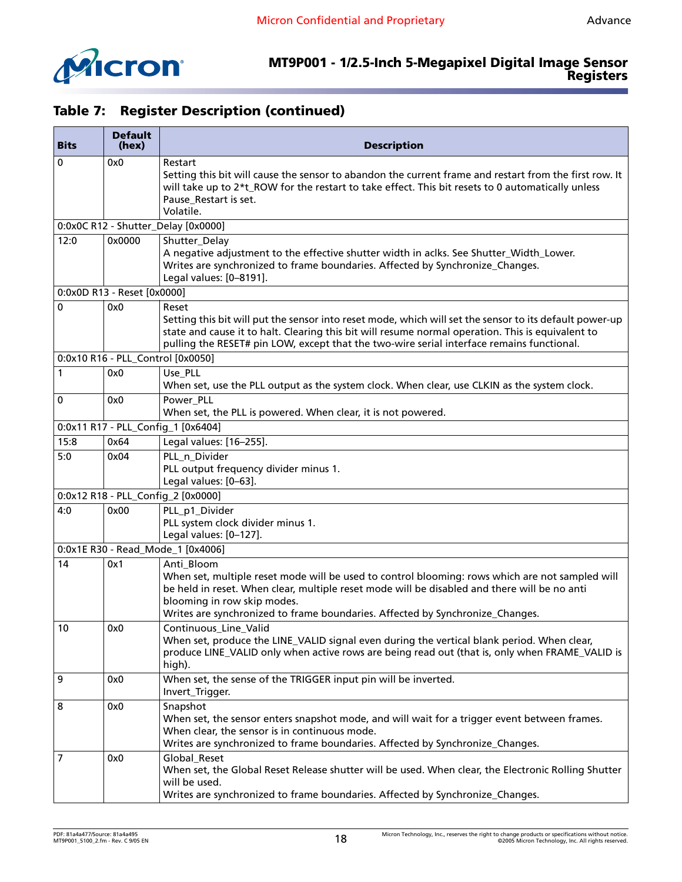

| <b>Bits</b> | <b>Default</b><br>(hex)     | <b>Description</b>                                                                                                                                                                                                                                                                                                            |  |
|-------------|-----------------------------|-------------------------------------------------------------------------------------------------------------------------------------------------------------------------------------------------------------------------------------------------------------------------------------------------------------------------------|--|
| 0           | 0x0                         | Restart<br>Setting this bit will cause the sensor to abandon the current frame and restart from the first row. It<br>will take up to 2*t_ROW for the restart to take effect. This bit resets to 0 automatically unless<br>Pause_Restart is set.<br>Volatile.                                                                  |  |
|             |                             | 0:0x0C R12 - Shutter_Delay [0x0000]                                                                                                                                                                                                                                                                                           |  |
| 12:0        | 0x0000                      | Shutter_Delay<br>A negative adjustment to the effective shutter width in aclks. See Shutter_Width_Lower.<br>Writes are synchronized to frame boundaries. Affected by Synchronize_Changes.<br>Legal values: [0-8191].                                                                                                          |  |
|             | 0:0x0D R13 - Reset [0x0000] |                                                                                                                                                                                                                                                                                                                               |  |
| 0           | 0x0                         | Reset<br>Setting this bit will put the sensor into reset mode, which will set the sensor to its default power-up<br>state and cause it to halt. Clearing this bit will resume normal operation. This is equivalent to<br>pulling the RESET# pin LOW, except that the two-wire serial interface remains functional.            |  |
|             |                             | 0:0x10 R16 - PLL_Control [0x0050]                                                                                                                                                                                                                                                                                             |  |
| 1           | 0x0                         | Use_PLL<br>When set, use the PLL output as the system clock. When clear, use CLKIN as the system clock.                                                                                                                                                                                                                       |  |
| 0           | 0x0                         | Power_PLL<br>When set, the PLL is powered. When clear, it is not powered.                                                                                                                                                                                                                                                     |  |
|             |                             | 0:0x11 R17 - PLL_Config_1 [0x6404]                                                                                                                                                                                                                                                                                            |  |
| 15:8        | 0x64                        | Legal values: [16-255].                                                                                                                                                                                                                                                                                                       |  |
| 5:0         | 0x04                        | PLL n_Divider<br>PLL output frequency divider minus 1.<br>Legal values: [0-63].                                                                                                                                                                                                                                               |  |
|             |                             | 0:0x12 R18 - PLL_Config_2 [0x0000]                                                                                                                                                                                                                                                                                            |  |
| 4:0         | 0x00                        | PLL_p1_Divider<br>PLL system clock divider minus 1.<br>Legal values: [0-127].                                                                                                                                                                                                                                                 |  |
|             |                             | 0:0x1E R30 - Read_Mode_1 [0x4006]                                                                                                                                                                                                                                                                                             |  |
| 14          | 0x1                         | Anti_Bloom<br>When set, multiple reset mode will be used to control blooming: rows which are not sampled will<br>be held in reset. When clear, multiple reset mode will be disabled and there will be no anti<br>blooming in row skip modes.<br>Writes are synchronized to frame boundaries. Affected by Synchronize_Changes. |  |
| 10          | 0x0                         | Continuous Line Valid<br>When set, produce the LINE_VALID signal even during the vertical blank period. When clear,<br>produce LINE_VALID only when active rows are being read out (that is, only when FRAME_VALID is<br>high).                                                                                               |  |
| 9           | 0x0                         | When set, the sense of the TRIGGER input pin will be inverted.<br>Invert_Trigger.                                                                                                                                                                                                                                             |  |
| 8           | 0x0                         | Snapshot<br>When set, the sensor enters snapshot mode, and will wait for a trigger event between frames.<br>When clear, the sensor is in continuous mode.<br>Writes are synchronized to frame boundaries. Affected by Synchronize_Changes.                                                                                    |  |
| 7           | 0x0                         | Global_Reset<br>When set, the Global Reset Release shutter will be used. When clear, the Electronic Rolling Shutter<br>will be used.<br>Writes are synchronized to frame boundaries. Affected by Synchronize_Changes.                                                                                                         |  |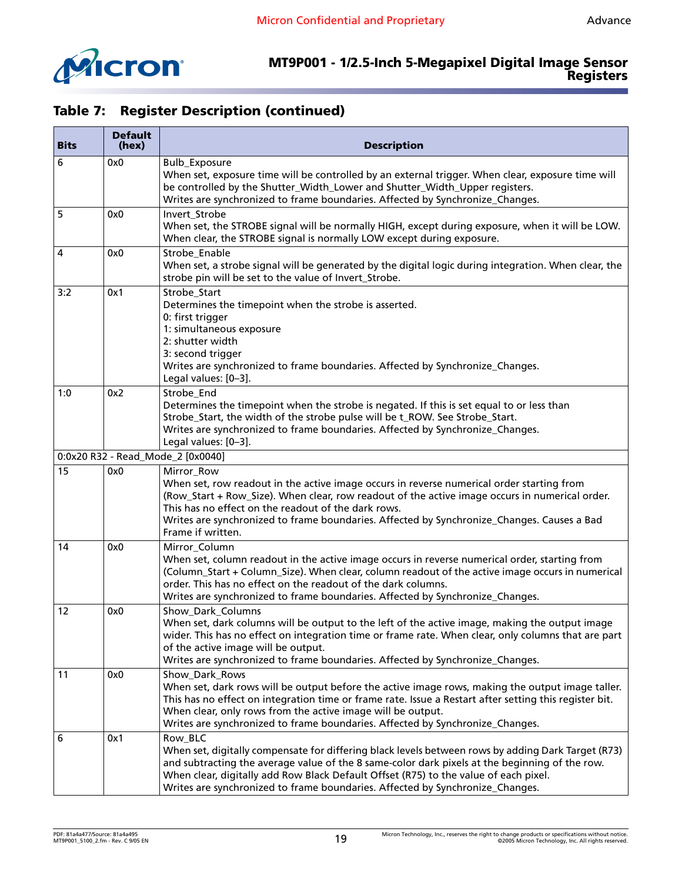

| <b>Bits</b> | <b>Default</b><br>(hex) | <b>Description</b>                                                                                                                                                                                                                                                                                                                                                                       |  |
|-------------|-------------------------|------------------------------------------------------------------------------------------------------------------------------------------------------------------------------------------------------------------------------------------------------------------------------------------------------------------------------------------------------------------------------------------|--|
| 6           | 0x0                     | <b>Bulb_Exposure</b><br>When set, exposure time will be controlled by an external trigger. When clear, exposure time will<br>be controlled by the Shutter_Width_Lower and Shutter_Width_Upper registers.<br>Writes are synchronized to frame boundaries. Affected by Synchronize_Changes.                                                                                                |  |
| 5           | 0x0                     | Invert_Strobe<br>When set, the STROBE signal will be normally HIGH, except during exposure, when it will be LOW.<br>When clear, the STROBE signal is normally LOW except during exposure.                                                                                                                                                                                                |  |
| 4           | 0x0                     | Strobe_Enable<br>When set, a strobe signal will be generated by the digital logic during integration. When clear, the<br>strobe pin will be set to the value of Invert_Strobe.                                                                                                                                                                                                           |  |
| 3:2         | 0x1                     | Strobe_Start<br>Determines the timepoint when the strobe is asserted.<br>0: first trigger<br>1: simultaneous exposure<br>2: shutter width<br>3: second trigger<br>Writes are synchronized to frame boundaries. Affected by Synchronize_Changes.<br>Legal values: [0-3].                                                                                                                  |  |
| 1:0         | 0x2                     | Strobe_End<br>Determines the timepoint when the strobe is negated. If this is set equal to or less than<br>Strobe_Start, the width of the strobe pulse will be t_ROW. See Strobe_Start.<br>Writes are synchronized to frame boundaries. Affected by Synchronize_Changes.<br>Legal values: [0-3].                                                                                         |  |
|             |                         | 0:0x20 R32 - Read_Mode_2 [0x0040]                                                                                                                                                                                                                                                                                                                                                        |  |
| 15          | 0x0                     | Mirror_Row<br>When set, row readout in the active image occurs in reverse numerical order starting from<br>(Row_Start + Row_Size). When clear, row readout of the active image occurs in numerical order.<br>This has no effect on the readout of the dark rows.<br>Writes are synchronized to frame boundaries. Affected by Synchronize_Changes. Causes a Bad<br>Frame if written.      |  |
| 14          | 0x0                     | Mirror_Column<br>When set, column readout in the active image occurs in reverse numerical order, starting from<br>(Column_Start + Column_Size). When clear, column readout of the active image occurs in numerical<br>order. This has no effect on the readout of the dark columns.<br>Writes are synchronized to frame boundaries. Affected by Synchronize_Changes.                     |  |
| 12          | 0x0                     | Show_Dark_Columns<br>When set, dark columns will be output to the left of the active image, making the output image<br>wider. This has no effect on integration time or frame rate. When clear, only columns that are part<br>of the active image will be output.<br>Writes are synchronized to frame boundaries. Affected by Synchronize_Changes.                                       |  |
| 11          | 0x0                     | Show Dark Rows<br>When set, dark rows will be output before the active image rows, making the output image taller.<br>This has no effect on integration time or frame rate. Issue a Restart after setting this register bit.<br>When clear, only rows from the active image will be output.<br>Writes are synchronized to frame boundaries. Affected by Synchronize_Changes.             |  |
| 6           | 0x1                     | Row_BLC<br>When set, digitally compensate for differing black levels between rows by adding Dark Target (R73)<br>and subtracting the average value of the 8 same-color dark pixels at the beginning of the row.<br>When clear, digitally add Row Black Default Offset (R75) to the value of each pixel.<br>Writes are synchronized to frame boundaries. Affected by Synchronize_Changes. |  |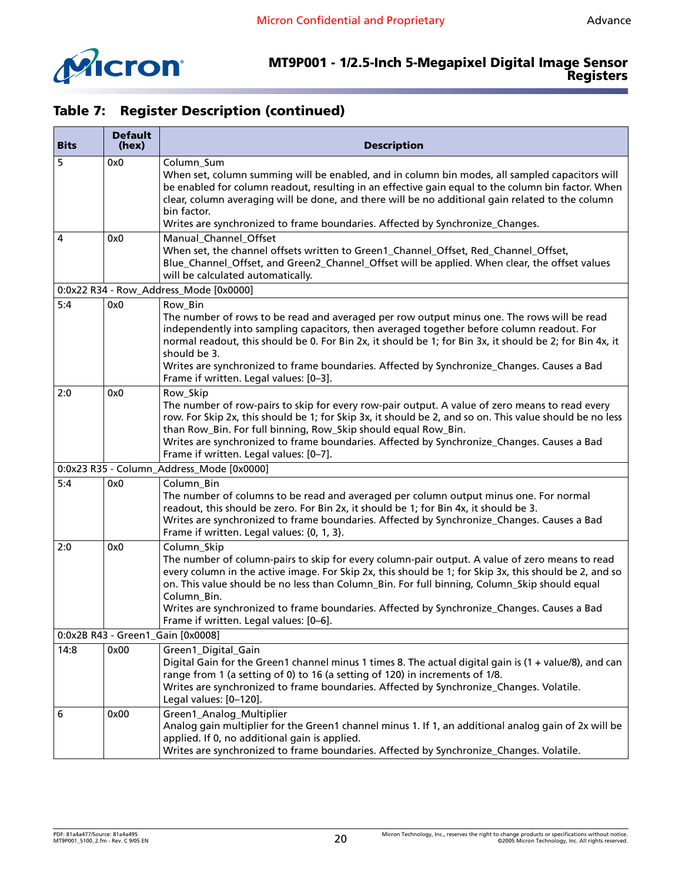

T

|  |  | <b>Table 7: Register Description (continued)</b> |  |
|--|--|--------------------------------------------------|--|
|--|--|--------------------------------------------------|--|

| <b>Bits</b> | <b>Default</b><br>(hex)           | <b>Description</b>                                                                                                                                                                                                                                                                                                                                                                                                                                                             |  |  |
|-------------|-----------------------------------|--------------------------------------------------------------------------------------------------------------------------------------------------------------------------------------------------------------------------------------------------------------------------------------------------------------------------------------------------------------------------------------------------------------------------------------------------------------------------------|--|--|
| 5           | 0x0                               | Column_Sum<br>When set, column summing will be enabled, and in column bin modes, all sampled capacitors will<br>be enabled for column readout, resulting in an effective gain equal to the column bin factor. When<br>clear, column averaging will be done, and there will be no additional gain related to the column<br>bin factor.                                                                                                                                          |  |  |
|             |                                   | Writes are synchronized to frame boundaries. Affected by Synchronize_Changes.                                                                                                                                                                                                                                                                                                                                                                                                  |  |  |
| 4           | 0x0                               | Manual_Channel_Offset<br>When set, the channel offsets written to Green1_Channel_Offset, Red_Channel_Offset,<br>Blue_Channel_Offset, and Green2_Channel_Offset will be applied. When clear, the offset values<br>will be calculated automatically.                                                                                                                                                                                                                             |  |  |
|             |                                   | 0:0x22 R34 - Row_Address_Mode [0x0000]                                                                                                                                                                                                                                                                                                                                                                                                                                         |  |  |
| 5:4         | 0x0                               | Row_Bin<br>The number of rows to be read and averaged per row output minus one. The rows will be read<br>independently into sampling capacitors, then averaged together before column readout. For<br>normal readout, this should be 0. For Bin 2x, it should be 1; for Bin 3x, it should be 2; for Bin 4x, it<br>should be 3.<br>Writes are synchronized to frame boundaries. Affected by Synchronize_Changes. Causes a Bad<br>Frame if written. Legal values: [0-3].         |  |  |
| 2:0         | 0x0                               | Row_Skip<br>The number of row-pairs to skip for every row-pair output. A value of zero means to read every<br>row. For Skip 2x, this should be 1; for Skip 3x, it should be 2, and so on. This value should be no less<br>than Row_Bin. For full binning, Row_Skip should equal Row_Bin.<br>Writes are synchronized to frame boundaries. Affected by Synchronize_Changes. Causes a Bad<br>Frame if written. Legal values: [0-7].                                               |  |  |
|             |                                   | 0:0x23 R35 - Column_Address_Mode [0x0000]                                                                                                                                                                                                                                                                                                                                                                                                                                      |  |  |
| 5:4         | 0x0                               | Column_Bin<br>The number of columns to be read and averaged per column output minus one. For normal<br>readout, this should be zero. For Bin 2x, it should be 1; for Bin 4x, it should be 3.<br>Writes are synchronized to frame boundaries. Affected by Synchronize_Changes. Causes a Bad<br>Frame if written. Legal values: {0, 1, 3}.                                                                                                                                       |  |  |
| 2:0         | 0x0                               | Column_Skip<br>The number of column-pairs to skip for every column-pair output. A value of zero means to read<br>every column in the active image. For Skip 2x, this should be 1; for Skip 3x, this should be 2, and so<br>on. This value should be no less than Column_Bin. For full binning, Column_Skip should equal<br>Column_Bin.<br>Writes are synchronized to frame boundaries. Affected by Synchronize_Changes. Causes a Bad<br>Frame if written. Legal values: [0-6]. |  |  |
|             | 0:0x2B R43 - Green1_Gain [0x0008] |                                                                                                                                                                                                                                                                                                                                                                                                                                                                                |  |  |
| 14:8        | 0x00                              | Green1_Digital_Gain<br>Digital Gain for the Green1 channel minus 1 times 8. The actual digital gain is (1 + value/8), and can<br>range from 1 (a setting of 0) to 16 (a setting of 120) in increments of 1/8.<br>Writes are synchronized to frame boundaries. Affected by Synchronize_Changes. Volatile.<br>Legal values: [0-120].                                                                                                                                             |  |  |
| 6           | 0x00                              | Green1_Analog_Multiplier<br>Analog gain multiplier for the Green1 channel minus 1. If 1, an additional analog gain of 2x will be<br>applied. If 0, no additional gain is applied.<br>Writes are synchronized to frame boundaries. Affected by Synchronize_Changes. Volatile.                                                                                                                                                                                                   |  |  |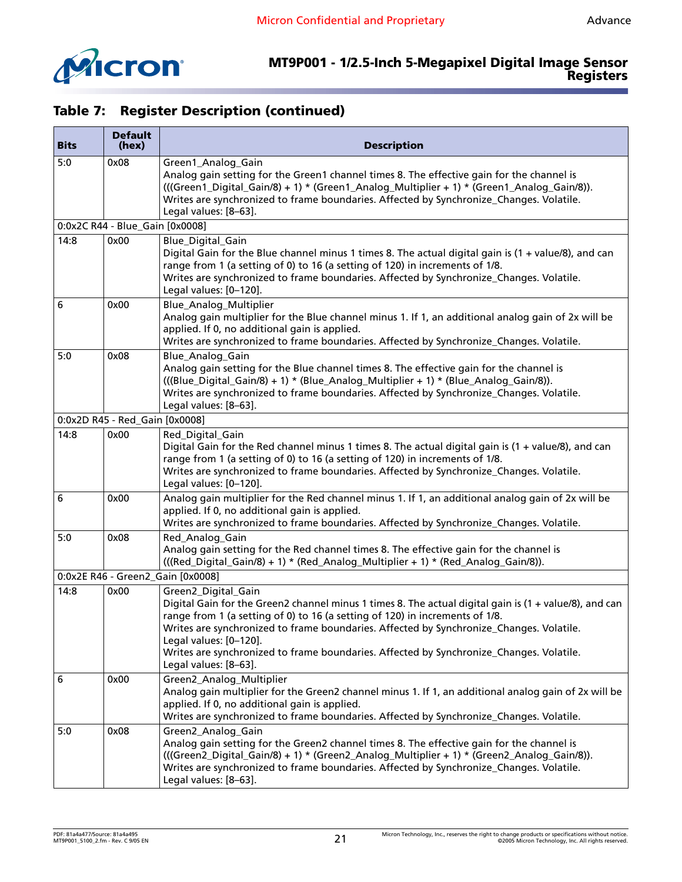

#### **MT9P001 - 1/2.5-Inch 5-Megapixel Digital Image Sensor Registers**

| <b>Bits</b> | <b>Default</b><br>(hex)         | <b>Description</b>                                                                                                                                                                                                                                                                                                                                                                                                                                     |  |
|-------------|---------------------------------|--------------------------------------------------------------------------------------------------------------------------------------------------------------------------------------------------------------------------------------------------------------------------------------------------------------------------------------------------------------------------------------------------------------------------------------------------------|--|
| 5:0         | 0x08                            | Green1_Analog_Gain<br>Analog gain setting for the Green1 channel times 8. The effective gain for the channel is<br>(((Green1_Digital_Gain/8) + 1) * (Green1_Analog_Multiplier + 1) * (Green1_Analog_Gain/8)).<br>Writes are synchronized to frame boundaries. Affected by Synchronize_Changes. Volatile.<br>Legal values: [8-63].                                                                                                                      |  |
|             | 0:0x2C R44 - Blue_Gain [0x0008] |                                                                                                                                                                                                                                                                                                                                                                                                                                                        |  |
| 14:8        | 0x00                            | Blue Digital Gain<br>Digital Gain for the Blue channel minus 1 times 8. The actual digital gain is (1 + value/8), and can<br>range from 1 (a setting of 0) to 16 (a setting of 120) in increments of 1/8.<br>Writes are synchronized to frame boundaries. Affected by Synchronize_Changes. Volatile.<br>Legal values: [0-120].                                                                                                                         |  |
| 6           | 0x00                            | Blue_Analog_Multiplier<br>Analog gain multiplier for the Blue channel minus 1. If 1, an additional analog gain of 2x will be<br>applied. If 0, no additional gain is applied.<br>Writes are synchronized to frame boundaries. Affected by Synchronize_Changes. Volatile.                                                                                                                                                                               |  |
| 5:0         | 0x08                            | Blue_Analog_Gain<br>Analog gain setting for the Blue channel times 8. The effective gain for the channel is<br>(((Blue_Digital_Gain/8) + 1) * (Blue_Analog_Multiplier + 1) * (Blue_Analog_Gain/8)).<br>Writes are synchronized to frame boundaries. Affected by Synchronize_Changes. Volatile.<br>Legal values: [8-63].                                                                                                                                |  |
|             | 0:0x2D R45 - Red_Gain [0x0008]  |                                                                                                                                                                                                                                                                                                                                                                                                                                                        |  |
| 14:8        | 0x00                            | Red_Digital_Gain<br>Digital Gain for the Red channel minus 1 times 8. The actual digital gain is (1 + value/8), and can<br>range from 1 (a setting of 0) to 16 (a setting of 120) in increments of 1/8.<br>Writes are synchronized to frame boundaries. Affected by Synchronize_Changes. Volatile.<br>Legal values: [0-120].                                                                                                                           |  |
| 6           | 0x00                            | Analog gain multiplier for the Red channel minus 1. If 1, an additional analog gain of 2x will be<br>applied. If 0, no additional gain is applied.<br>Writes are synchronized to frame boundaries. Affected by Synchronize_Changes. Volatile.                                                                                                                                                                                                          |  |
| 5:0         | 0x08                            | Red_Analog_Gain<br>Analog gain setting for the Red channel times 8. The effective gain for the channel is<br>(((Red_Digital_Gain/8) + 1) * (Red_Analog_Multiplier + 1) * (Red_Analog_Gain/8)).                                                                                                                                                                                                                                                         |  |
|             |                                 | 0:0x2E R46 - Green2_Gain [0x0008]                                                                                                                                                                                                                                                                                                                                                                                                                      |  |
| 14:8        | 0x00                            | Green2_Digital_Gain<br>Digital Gain for the Green2 channel minus 1 times 8. The actual digital gain is (1 + value/8), and can<br>range from 1 (a setting of 0) to 16 (a setting of 120) in increments of 1/8.<br>Writes are synchronized to frame boundaries. Affected by Synchronize_Changes. Volatile.<br>Legal values: [0-120].<br>Writes are synchronized to frame boundaries. Affected by Synchronize_Changes. Volatile.<br>Legal values: [8-63]. |  |
| 6           | 0x00                            | Green2_Analog_Multiplier<br>Analog gain multiplier for the Green2 channel minus 1. If 1, an additional analog gain of 2x will be<br>applied. If 0, no additional gain is applied.<br>Writes are synchronized to frame boundaries. Affected by Synchronize_Changes. Volatile.                                                                                                                                                                           |  |
| 5:0         | 0x08                            | Green2_Analog_Gain<br>Analog gain setting for the Green2 channel times 8. The effective gain for the channel is<br>(((Green2_Digital_Gain/8) + 1) * (Green2_Analog_Multiplier + 1) * (Green2_Analog_Gain/8)).<br>Writes are synchronized to frame boundaries. Affected by Synchronize_Changes. Volatile.<br>Legal values: [8-63].                                                                                                                      |  |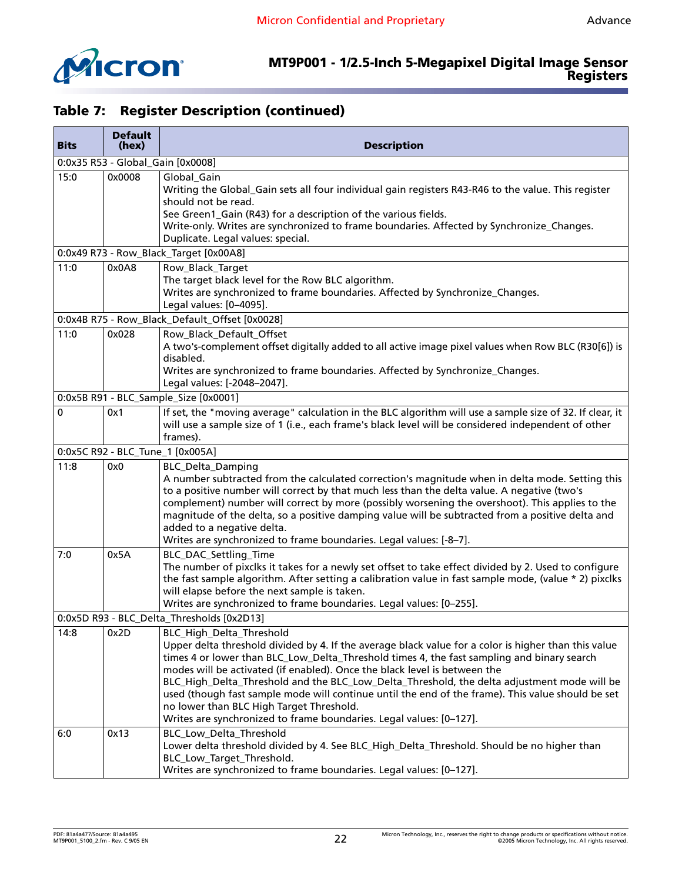

| <b>Bits</b>                                | <b>Default</b><br>(hex) | <b>Description</b>                                                                                                                                                                                                                                                                                                                                                                                                                                                                                                                                                                                                                 |  |
|--------------------------------------------|-------------------------|------------------------------------------------------------------------------------------------------------------------------------------------------------------------------------------------------------------------------------------------------------------------------------------------------------------------------------------------------------------------------------------------------------------------------------------------------------------------------------------------------------------------------------------------------------------------------------------------------------------------------------|--|
|                                            |                         | 0:0x35 R53 - Global_Gain [0x0008]                                                                                                                                                                                                                                                                                                                                                                                                                                                                                                                                                                                                  |  |
| 15:0                                       | 0x0008                  | Global_Gain<br>Writing the Global_Gain sets all four individual gain registers R43-R46 to the value. This register<br>should not be read.<br>See Green1_Gain (R43) for a description of the various fields.<br>Write-only. Writes are synchronized to frame boundaries. Affected by Synchronize_Changes.<br>Duplicate. Legal values: special.                                                                                                                                                                                                                                                                                      |  |
|                                            |                         | 0:0x49 R73 - Row_Black_Target [0x00A8]                                                                                                                                                                                                                                                                                                                                                                                                                                                                                                                                                                                             |  |
| 11:0                                       | 0x0A8                   | Row_Black_Target<br>The target black level for the Row BLC algorithm.<br>Writes are synchronized to frame boundaries. Affected by Synchronize_Changes.<br>Legal values: [0-4095].                                                                                                                                                                                                                                                                                                                                                                                                                                                  |  |
|                                            |                         | 0:0x4B R75 - Row_Black_Default_Offset [0x0028]                                                                                                                                                                                                                                                                                                                                                                                                                                                                                                                                                                                     |  |
| 11:0                                       | 0x028                   | Row_Black_Default_Offset<br>A two's-complement offset digitally added to all active image pixel values when Row BLC (R30[6]) is<br>disabled.<br>Writes are synchronized to frame boundaries. Affected by Synchronize_Changes.<br>Legal values: [-2048-2047].                                                                                                                                                                                                                                                                                                                                                                       |  |
|                                            |                         | 0:0x5B R91 - BLC_Sample_Size [0x0001]                                                                                                                                                                                                                                                                                                                                                                                                                                                                                                                                                                                              |  |
| 0                                          | 0x1                     | If set, the "moving average" calculation in the BLC algorithm will use a sample size of 32. If clear, it<br>will use a sample size of 1 (i.e., each frame's black level will be considered independent of other<br>frames).                                                                                                                                                                                                                                                                                                                                                                                                        |  |
|                                            |                         | 0:0x5C R92 - BLC_Tune_1 [0x005A]                                                                                                                                                                                                                                                                                                                                                                                                                                                                                                                                                                                                   |  |
| 11:8                                       | 0x0                     | <b>BLC_Delta_Damping</b><br>A number subtracted from the calculated correction's magnitude when in delta mode. Setting this<br>to a positive number will correct by that much less than the delta value. A negative (two's<br>complement) number will correct by more (possibly worsening the overshoot). This applies to the<br>magnitude of the delta, so a positive damping value will be subtracted from a positive delta and<br>added to a negative delta.<br>Writes are synchronized to frame boundaries. Legal values: [-8-7].                                                                                              |  |
| 7:0                                        | 0x5A                    | BLC_DAC_Settling_Time<br>The number of pixclks it takes for a newly set offset to take effect divided by 2. Used to configure<br>the fast sample algorithm. After setting a calibration value in fast sample mode, (value * 2) pixclks<br>will elapse before the next sample is taken.<br>Writes are synchronized to frame boundaries. Legal values: [0-255].                                                                                                                                                                                                                                                                      |  |
| 0:0x5D R93 - BLC_Delta_Thresholds [0x2D13] |                         |                                                                                                                                                                                                                                                                                                                                                                                                                                                                                                                                                                                                                                    |  |
| 14:8                                       | 0x2D                    | BLC_High_Delta_Threshold<br>Upper delta threshold divided by 4. If the average black value for a color is higher than this value<br>times 4 or lower than BLC_Low_Delta_Threshold times 4, the fast sampling and binary search<br>modes will be activated (if enabled). Once the black level is between the<br>BLC_High_Delta_Threshold and the BLC_Low_Delta_Threshold, the delta adjustment mode will be<br>used (though fast sample mode will continue until the end of the frame). This value should be set<br>no lower than BLC High Target Threshold.<br>Writes are synchronized to frame boundaries. Legal values: [0-127]. |  |
| 6:0                                        | 0x13                    | BLC_Low_Delta_Threshold<br>Lower delta threshold divided by 4. See BLC_High_Delta_Threshold. Should be no higher than<br>BLC_Low_Target_Threshold.<br>Writes are synchronized to frame boundaries. Legal values: [0-127].                                                                                                                                                                                                                                                                                                                                                                                                          |  |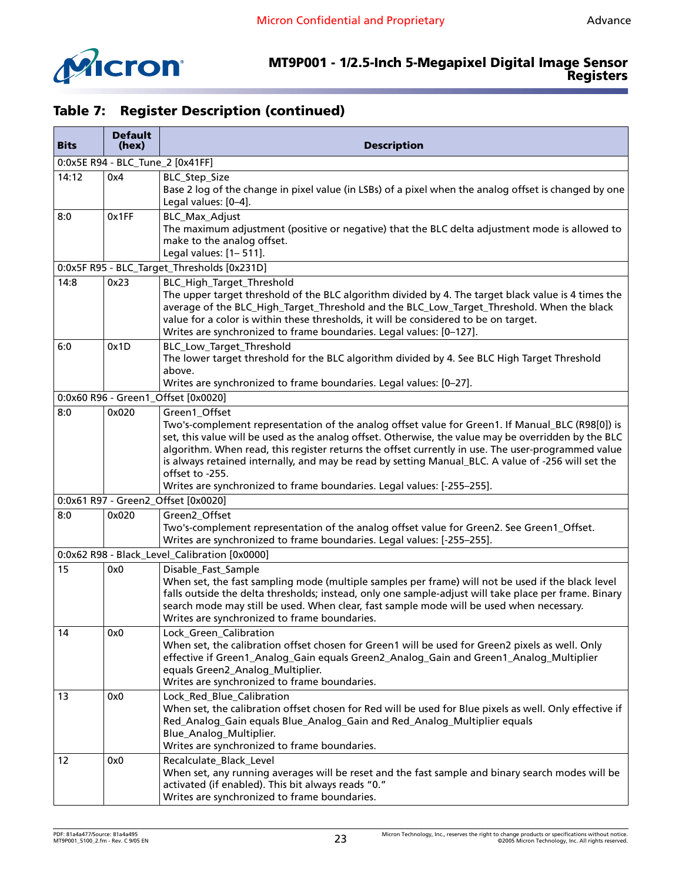

| <b>Bits</b> | <b>Default</b><br>(hex)          | <b>Description</b>                                                                                                                                                                                                                                                                                                                                                                                                                                                                                                                 |  |  |  |
|-------------|----------------------------------|------------------------------------------------------------------------------------------------------------------------------------------------------------------------------------------------------------------------------------------------------------------------------------------------------------------------------------------------------------------------------------------------------------------------------------------------------------------------------------------------------------------------------------|--|--|--|
|             | 0:0x5E R94 - BLC_Tune_2 [0x41FF] |                                                                                                                                                                                                                                                                                                                                                                                                                                                                                                                                    |  |  |  |
| 14:12       | 0x4                              | BLC_Step_Size<br>Base 2 log of the change in pixel value (in LSBs) of a pixel when the analog offset is changed by one<br>Legal values: [0-4].                                                                                                                                                                                                                                                                                                                                                                                     |  |  |  |
| 8:0         | 0x1FF                            | <b>BLC_Max_Adjust</b><br>The maximum adjustment (positive or negative) that the BLC delta adjustment mode is allowed to<br>make to the analog offset.<br>Legal values: [1-511].                                                                                                                                                                                                                                                                                                                                                    |  |  |  |
|             |                                  | 0:0x5F R95 - BLC_Target_Thresholds [0x231D]                                                                                                                                                                                                                                                                                                                                                                                                                                                                                        |  |  |  |
| 14:8        | 0x23                             | BLC_High_Target_Threshold<br>The upper target threshold of the BLC algorithm divided by 4. The target black value is 4 times the<br>average of the BLC_High_Target_Threshold and the BLC_Low_Target_Threshold. When the black<br>value for a color is within these thresholds, it will be considered to be on target.<br>Writes are synchronized to frame boundaries. Legal values: [0-127].                                                                                                                                       |  |  |  |
| 6:0         | 0x1D                             | BLC_Low_Target_Threshold<br>The lower target threshold for the BLC algorithm divided by 4. See BLC High Target Threshold<br>above.<br>Writes are synchronized to frame boundaries. Legal values: [0-27].                                                                                                                                                                                                                                                                                                                           |  |  |  |
|             |                                  | 0:0x60 R96 - Green1_Offset [0x0020]                                                                                                                                                                                                                                                                                                                                                                                                                                                                                                |  |  |  |
| 8:0         | 0x020                            | Green1_Offset<br>Two's-complement representation of the analog offset value for Green1. If Manual_BLC (R98[0]) is<br>set, this value will be used as the analog offset. Otherwise, the value may be overridden by the BLC<br>algorithm. When read, this register returns the offset currently in use. The user-programmed value<br>is always retained internally, and may be read by setting Manual_BLC. A value of -256 will set the<br>offset to -255.<br>Writes are synchronized to frame boundaries. Legal values: [-255-255]. |  |  |  |
|             |                                  | 0:0x61 R97 - Green2_Offset [0x0020]                                                                                                                                                                                                                                                                                                                                                                                                                                                                                                |  |  |  |
| 8:0         | 0x020                            | Green2_Offset<br>Two's-complement representation of the analog offset value for Green2. See Green1_Offset.<br>Writes are synchronized to frame boundaries. Legal values: [-255-255].                                                                                                                                                                                                                                                                                                                                               |  |  |  |
|             |                                  | 0:0x62 R98 - Black_Level_Calibration [0x0000]                                                                                                                                                                                                                                                                                                                                                                                                                                                                                      |  |  |  |
| 15          | 0x0                              | Disable_Fast_Sample<br>When set, the fast sampling mode (multiple samples per frame) will not be used if the black level<br>falls outside the delta thresholds; instead, only one sample-adjust will take place per frame. Binary<br>search mode may still be used. When clear, fast sample mode will be used when necessary.<br>Writes are synchronized to frame boundaries.                                                                                                                                                      |  |  |  |
| 14          | 0x0                              | Lock_Green_Calibration<br>When set, the calibration offset chosen for Green1 will be used for Green2 pixels as well. Only<br>effective if Green1_Analog_Gain equals Green2_Analog_Gain and Green1_Analog_Multiplier<br>equals Green2_Analog_Multiplier.<br>Writes are synchronized to frame boundaries.                                                                                                                                                                                                                            |  |  |  |
| 13          | 0x0                              | Lock_Red_Blue_Calibration<br>When set, the calibration offset chosen for Red will be used for Blue pixels as well. Only effective if<br>Red_Analog_Gain equals Blue_Analog_Gain and Red_Analog_Multiplier equals<br>Blue_Analog_Multiplier.<br>Writes are synchronized to frame boundaries.                                                                                                                                                                                                                                        |  |  |  |
| 12          | 0x0                              | Recalculate_Black_Level<br>When set, any running averages will be reset and the fast sample and binary search modes will be<br>activated (if enabled). This bit always reads "0."<br>Writes are synchronized to frame boundaries.                                                                                                                                                                                                                                                                                                  |  |  |  |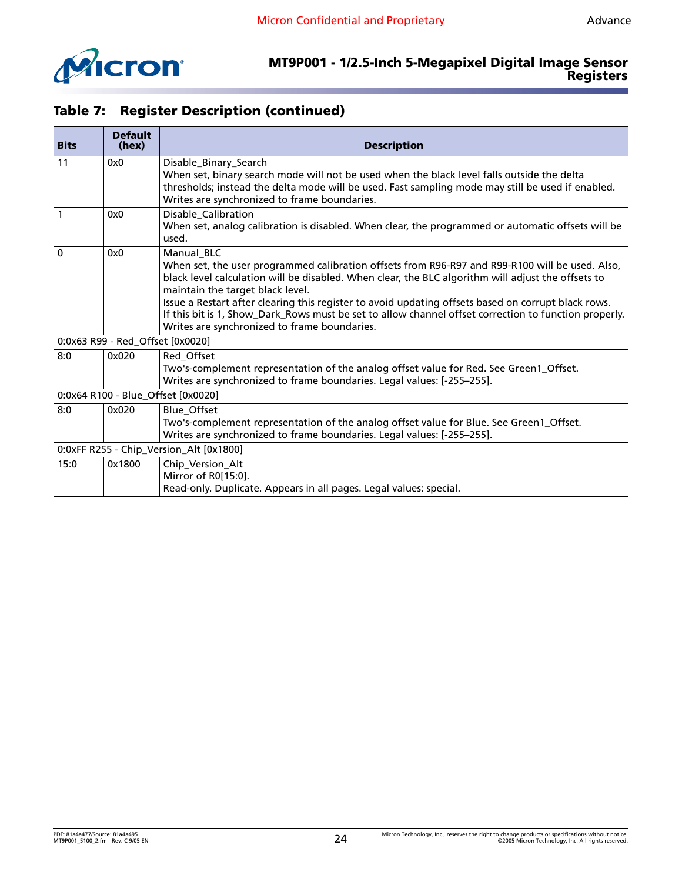

| <b>Bits</b>                             | <b>Default</b><br>(hex)            | <b>Description</b>                                                                                                                                                                                                                                                                                                                                                                                                                                                                                                      |  |  |
|-----------------------------------------|------------------------------------|-------------------------------------------------------------------------------------------------------------------------------------------------------------------------------------------------------------------------------------------------------------------------------------------------------------------------------------------------------------------------------------------------------------------------------------------------------------------------------------------------------------------------|--|--|
| 11                                      | 0x0                                | Disable_Binary_Search<br>When set, binary search mode will not be used when the black level falls outside the delta<br>thresholds; instead the delta mode will be used. Fast sampling mode may still be used if enabled.<br>Writes are synchronized to frame boundaries.                                                                                                                                                                                                                                                |  |  |
| 1                                       | 0x0                                | Disable_Calibration<br>When set, analog calibration is disabled. When clear, the programmed or automatic offsets will be<br>used.                                                                                                                                                                                                                                                                                                                                                                                       |  |  |
| $\Omega$                                | 0x0                                | Manual BLC<br>When set, the user programmed calibration offsets from R96-R97 and R99-R100 will be used. Also,<br>black level calculation will be disabled. When clear, the BLC algorithm will adjust the offsets to<br>maintain the target black level.<br>Issue a Restart after clearing this register to avoid updating offsets based on corrupt black rows.<br>If this bit is 1, Show_Dark_Rows must be set to allow channel offset correction to function properly.<br>Writes are synchronized to frame boundaries. |  |  |
|                                         | 0:0x63 R99 - Red_Offset [0x0020]   |                                                                                                                                                                                                                                                                                                                                                                                                                                                                                                                         |  |  |
| 8:0                                     | 0x020                              | Red_Offset<br>Two's-complement representation of the analog offset value for Red. See Green1_Offset.<br>Writes are synchronized to frame boundaries. Legal values: [-255-255].                                                                                                                                                                                                                                                                                                                                          |  |  |
|                                         | 0:0x64 R100 - Blue_Offset [0x0020] |                                                                                                                                                                                                                                                                                                                                                                                                                                                                                                                         |  |  |
| 8:0                                     | 0x020                              | <b>Blue Offset</b><br>Two's-complement representation of the analog offset value for Blue. See Green1_Offset.<br>Writes are synchronized to frame boundaries. Legal values: [-255-255].                                                                                                                                                                                                                                                                                                                                 |  |  |
| 0:0xFF R255 - Chip_Version_Alt [0x1800] |                                    |                                                                                                                                                                                                                                                                                                                                                                                                                                                                                                                         |  |  |
| 15:0                                    | 0x1800                             | Chip_Version_Alt<br>Mirror of R0[15:0].<br>Read-only. Duplicate. Appears in all pages. Legal values: special.                                                                                                                                                                                                                                                                                                                                                                                                           |  |  |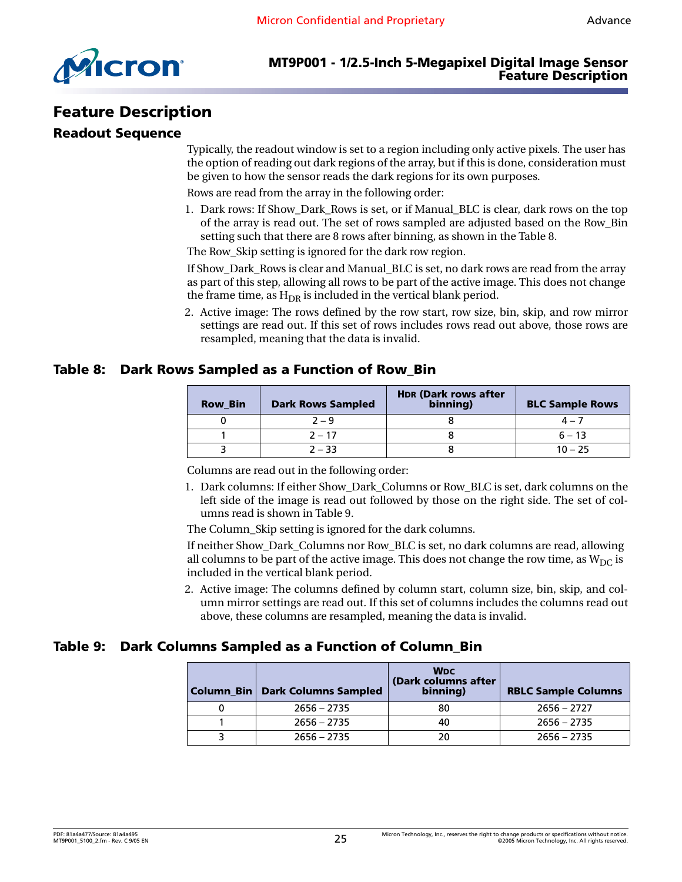

# <span id="page-24-0"></span>**Feature Description**

#### <span id="page-24-1"></span>**Readout Sequence**

Typically, the readout window is set to a region including only active pixels. The user has the option of reading out dark regions of the array, but if this is done, consideration must be given to how the sensor reads the dark regions for its own purposes.

Rows are read from the array in the following order:

1. Dark rows: If Show\_Dark\_Rows is set, or if Manual\_BLC is clear, dark rows on the top of the array is read out. The set of rows sampled are adjusted based on the Row\_Bin setting such that there are 8 rows after binning, as shown in the [Table 8.](#page-24-2)

The Row\_Skip setting is ignored for the dark row region.

If Show\_Dark\_Rows is clear and Manual\_BLC is set, no dark rows are read from the array as part of this step, allowing all rows to be part of the active image. This does not change the frame time, as  $H_{DR}$  is included in the vertical blank period.

2. Active image: The rows defined by the row start, row size, bin, skip, and row mirror settings are read out. If this set of rows includes rows read out above, those rows are resampled, meaning that the data is invalid.

#### <span id="page-24-2"></span>**Table 8: Dark Rows Sampled as a Function of Row\_Bin**

| <b>Row Bin</b> | <b>Dark Rows Sampled</b> | <b>HDR (Dark rows after)</b><br>binning) | <b>BLC Sample Rows</b> |
|----------------|--------------------------|------------------------------------------|------------------------|
|                | $2 - 9$                  |                                          | $\Delta = 7$           |
|                | $2 - 17$                 |                                          | $6 - 13$               |
|                | $2 - 33$                 |                                          | $10 - 25$              |

Columns are read out in the following order:

1. Dark columns: If either Show\_Dark\_Columns or Row\_BLC is set, dark columns on the left side of the image is read out followed by those on the right side. The set of columns read is shown in [Table 9](#page-24-3).

The Column Skip setting is ignored for the dark columns.

If neither Show\_Dark\_Columns nor Row\_BLC is set, no dark columns are read, allowing all columns to be part of the active image. This does not change the row time, as  $W_{DC}$  is included in the vertical blank period.

2. Active image: The columns defined by column start, column size, bin, skip, and column mirror settings are read out. If this set of columns includes the columns read out above, these columns are resampled, meaning the data is invalid.

#### <span id="page-24-3"></span>**Table 9: Dark Columns Sampled as a Function of Column\_Bin**

| Column Bin   Dark Columns Sampled | <b>WDC</b><br>(Dark columns after<br>binning) | <b>RBLC Sample Columns</b> |
|-----------------------------------|-----------------------------------------------|----------------------------|
| $2656 - 2735$                     | 80                                            | $2656 - 2727$              |
| $2656 - 2735$                     | 40                                            | $2656 - 2735$              |
| $2656 - 2735$                     | 20                                            | $2656 - 2735$              |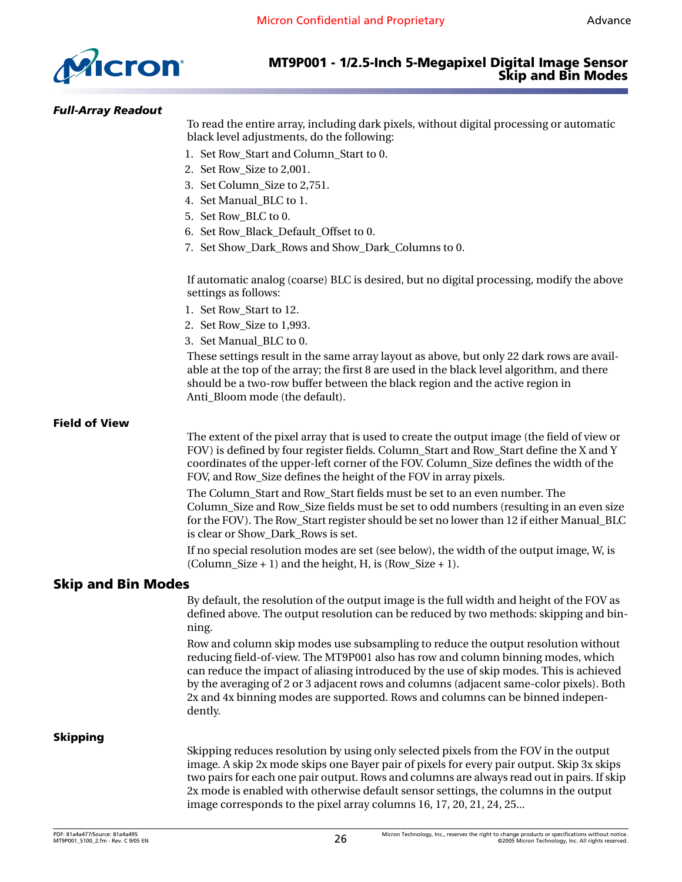

#### <span id="page-25-0"></span>*Full-Array Readout*

To read the entire array, including dark pixels, without digital processing or automatic black level adjustments, do the following:

- 1. Set Row\_Start and Column\_Start to 0.
- 2. Set Row\_Size to 2,001.
- 3. Set Column\_Size to 2,751.
- 4. Set Manual\_BLC to 1.
- 5. Set Row\_BLC to 0.
- 6. Set Row\_Black\_Default\_Offset to 0.
- 7. Set Show\_Dark\_Rows and Show\_Dark\_Columns to 0.

If automatic analog (coarse) BLC is desired, but no digital processing, modify the above settings as follows:

- 1. Set Row\_Start to 12.
- 2. Set Row\_Size to 1,993.
- 3. Set Manual\_BLC to 0.

These settings result in the same array layout as above, but only 22 dark rows are available at the top of the array; the first 8 are used in the black level algorithm, and there should be a two-row buffer between the black region and the active region in Anti\_Bloom mode (the default).

#### <span id="page-25-1"></span>**Field of View**

The extent of the pixel array that is used to create the output image (the field of view or FOV) is defined by four register fields. Column\_Start and Row\_Start define the X and Y coordinates of the upper-left corner of the FOV. Column\_Size defines the width of the FOV, and Row\_Size defines the height of the FOV in array pixels.

The Column\_Start and Row\_Start fields must be set to an even number. The Column\_Size and Row\_Size fields must be set to odd numbers (resulting in an even size for the FOV). The Row\_Start register should be set no lower than 12 if either Manual\_BLC is clear or Show\_Dark\_Rows is set.

If no special resolution modes are set (see below), the width of the output image, W, is  $(Column\_Size + 1)$  and the height, H, is  $(Row\_Size + 1)$ .

#### <span id="page-25-2"></span>**Skip and Bin Modes**

By default, the resolution of the output image is the full width and height of the FOV as defined above. The output resolution can be reduced by two methods: skipping and binning.

Row and column skip modes use subsampling to reduce the output resolution without reducing field-of-view. The MT9P001 also has row and column binning modes, which can reduce the impact of aliasing introduced by the use of skip modes. This is achieved by the averaging of 2 or 3 adjacent rows and columns (adjacent same-color pixels). Both 2x and 4x binning modes are supported. Rows and columns can be binned independently.

#### <span id="page-25-3"></span>**Skipping**

Skipping reduces resolution by using only selected pixels from the FOV in the output image. A skip 2x mode skips one Bayer pair of pixels for every pair output. Skip 3x skips two pairs for each one pair output. Rows and columns are always read out in pairs. If skip 2x mode is enabled with otherwise default sensor settings, the columns in the output image corresponds to the pixel array columns 16, 17, 20, 21, 24, 25...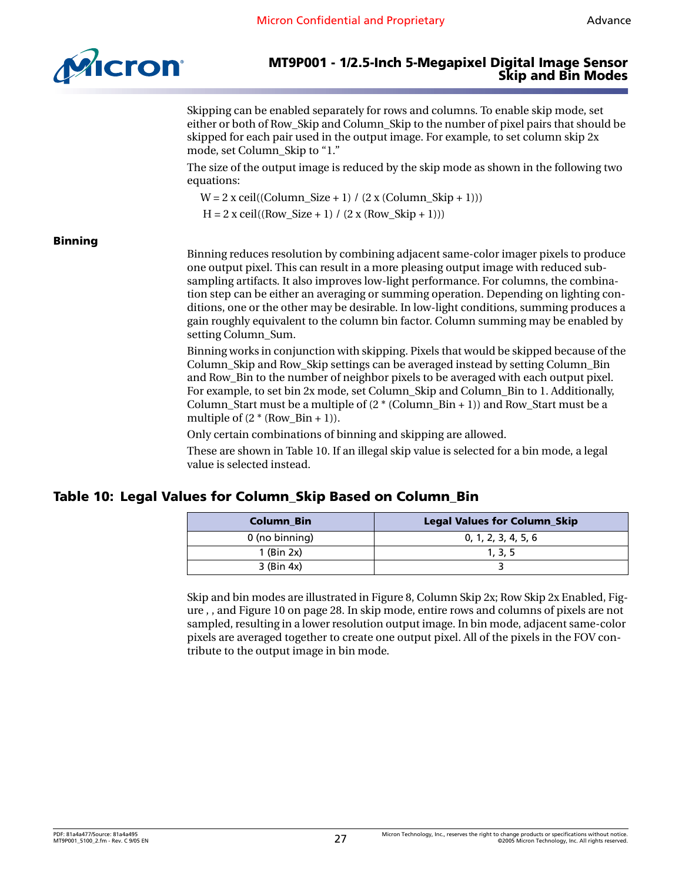

Skipping can be enabled separately for rows and columns. To enable skip mode, set either or both of Row\_Skip and Column\_Skip to the number of pixel pairs that should be skipped for each pair used in the output image. For example, to set column skip 2x mode, set Column\_Skip to "1."

The size of the output image is reduced by the skip mode as shown in the following two equations:

 $W = 2$  x ceil((Column Size + 1) / (2 x (Column Skip + 1)))

 $H = 2$  x ceil((Row Size + 1) / (2 x (Row Skip + 1)))

#### <span id="page-26-0"></span>**Binning**

Binning reduces resolution by combining adjacent same-color imager pixels to produce one output pixel. This can result in a more pleasing output image with reduced subsampling artifacts. It also improves low-light performance. For columns, the combination step can be either an averaging or summing operation. Depending on lighting conditions, one or the other may be desirable. In low-light conditions, summing produces a gain roughly equivalent to the column bin factor. Column summing may be enabled by setting Column Sum.

Binning works in conjunction with skipping. Pixels that would be skipped because of the Column\_Skip and Row\_Skip settings can be averaged instead by setting Column\_Bin and Row\_Bin to the number of neighbor pixels to be averaged with each output pixel. For example, to set bin 2x mode, set Column\_Skip and Column\_Bin to 1. Additionally, Column\_Start must be a multiple of  $(2 * (Column_Bin + 1))$  and Row\_Start must be a multiple of  $(2 * (Row Bin + 1))$ .

Only certain combinations of binning and skipping are allowed.

These are shown in [Table 10.](#page-26-1) If an illegal skip value is selected for a bin mode, a legal value is selected instead.

# <span id="page-26-1"></span>**Table 10: Legal Values for Column\_Skip Based on Column\_Bin**

| <b>Column Bin</b> | <b>Legal Values for Column_Skip</b> |
|-------------------|-------------------------------------|
| 0 (no binning)    | 0, 1, 2, 3, 4, 5, 6                 |
| $1$ (Bin 2x)      | 1, 3, 5                             |
| $3$ (Bin 4x)      |                                     |

Skip and bin modes are illustrated in [Figure 8, Column Skip 2x; Row Skip 2x Enabled,](#page-27-0) Figure , , and [Figure 10 on page 28](#page-27-2). In skip mode, entire rows and columns of pixels are not sampled, resulting in a lower resolution output image. In bin mode, adjacent same-color pixels are averaged together to create one output pixel. All of the pixels in the FOV contribute to the output image in bin mode.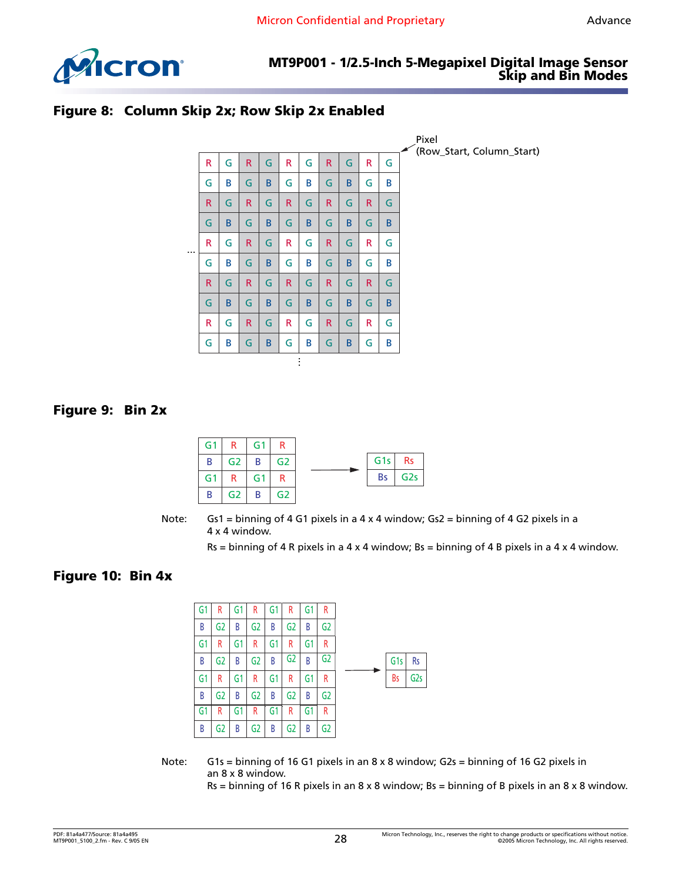

#### <span id="page-27-0"></span>**Figure 8: Column Skip 2x; Row Skip 2x Enabled**



#### <span id="page-27-1"></span>**Figure 9: Bin 2x**



Note: Gs1 = binning of 4 G1 pixels in a 4 x 4 window; Gs2 = binning of 4 G2 pixels in a 4 x 4 window.

 $Rs = binning of 4 R pixels in a 4 x 4 window; Bs = binning of 4 B pixels in a 4 x 4 window.$ 

#### <span id="page-27-2"></span>**Figure 10: Bin 4x**

| G1 | R  | Gʻ | R  | G1 | R  | G1 | R  |  |                 |                 |
|----|----|----|----|----|----|----|----|--|-----------------|-----------------|
| В  | G2 | В  | G2 | В  | G2 | B  | G2 |  |                 |                 |
| G1 | R  | G1 | R  | G1 | R  | G1 | R  |  |                 |                 |
| В  | G2 | В  | G2 | B  | G2 | B  | G2 |  | G <sub>1s</sub> | <b>Rs</b>       |
| G1 | R  | G1 | R  | G1 | R  | G1 | R  |  | Bs              | G <sub>2s</sub> |
| В  | G2 | В  | G2 | В  | G2 | B  | G2 |  |                 |                 |
| G1 | R  | G1 | R  | G1 | R  | G1 | R  |  |                 |                 |
| В  | G2 | В  | G2 | В  | G2 | В  | G2 |  |                 |                 |

Note: G1s = binning of 16 G1 pixels in an  $8 \times 8$  window; G2s = binning of 16 G2 pixels in an 8 x 8 window.

 $Rs = binning of 16 R pixels in an 8 x 8 window; Bs = binning of B pixels in an 8 x 8 window.$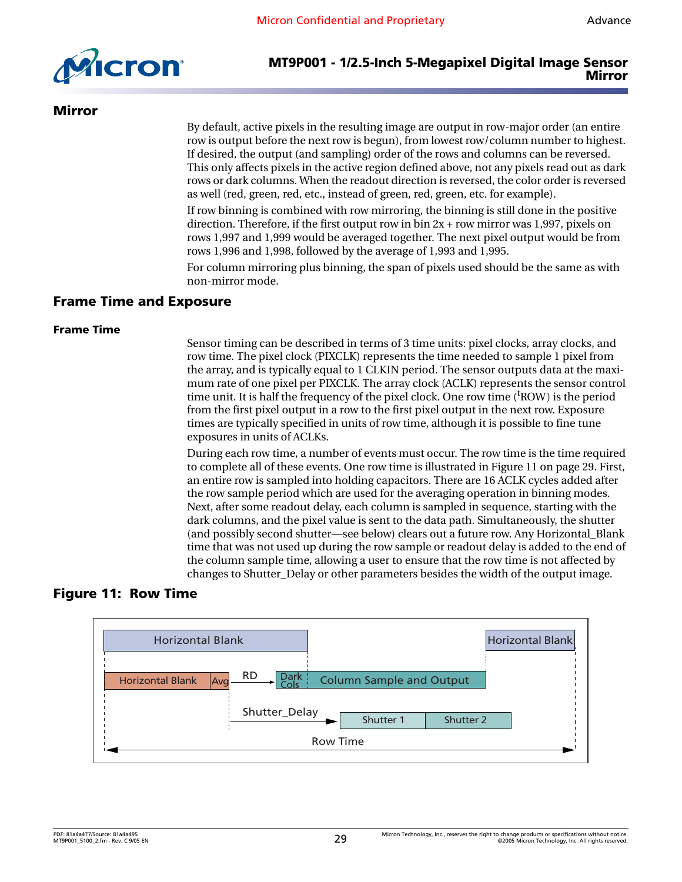

#### <span id="page-28-0"></span>**Mirror**

By default, active pixels in the resulting image are output in row-major order (an entire row is output before the next row is begun), from lowest row/column number to highest. If desired, the output (and sampling) order of the rows and columns can be reversed. This only affects pixels in the active region defined above, not any pixels read out as dark rows or dark columns. When the readout direction is reversed, the color order is reversed as well (red, green, red, etc., instead of green, red, green, etc. for example).

If row binning is combined with row mirroring, the binning is still done in the positive direction. Therefore, if the first output row in bin  $2x + row$  mirror was 1,997, pixels on rows 1,997 and 1,999 would be averaged together. The next pixel output would be from rows 1,996 and 1,998, followed by the average of 1,993 and 1,995.

For column mirroring plus binning, the span of pixels used should be the same as with non-mirror mode.

#### <span id="page-28-1"></span>**Frame Time and Exposure**

#### <span id="page-28-2"></span>**Frame Time**

Sensor timing can be described in terms of 3 time units: pixel clocks, array clocks, and row time. The pixel clock (PIXCLK) represents the time needed to sample 1 pixel from the array, and is typically equal to 1 CLKIN period. The sensor outputs data at the maximum rate of one pixel per PIXCLK. The array clock (ACLK) represents the sensor control time unit. It is half the frequency of the pixel clock. One row time ('ROW) is the period from the first pixel output in a row to the first pixel output in the next row. Exposure times are typically specified in units of row time, although it is possible to fine tune exposures in units of ACLKs.

During each row time, a number of events must occur. The row time is the time required to complete all of these events. One row time is illustrated in [Figure 11 on page 29.](#page-28-3) First, an entire row is sampled into holding capacitors. There are 16 ACLK cycles added after the row sample period which are used for the averaging operation in binning modes. Next, after some readout delay, each column is sampled in sequence, starting with the dark columns, and the pixel value is sent to the data path. Simultaneously, the shutter (and possibly second shutter—see below) clears out a future row. Any Horizontal\_Blank time that was not used up during the row sample or readout delay is added to the end of the column sample time, allowing a user to ensure that the row time is not affected by changes to Shutter\_Delay or other parameters besides the width of the output image.

#### <span id="page-28-3"></span>**Figure 11: Row Time**

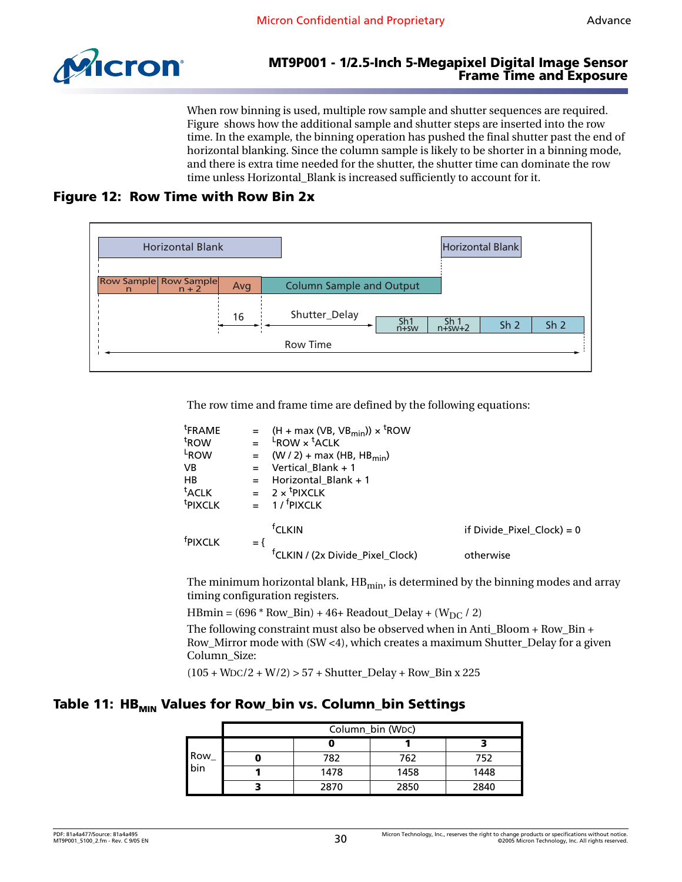

#### **MT9P001 - 1/2.5-Inch 5-Megapixel Digital Image Sensor Frame Time and Exposure**

When row binning is used, multiple row sample and shutter sequences are required. Figure shows how the additional sample and shutter steps are inserted into the row time. In the example, the binning operation has pushed the final shutter past the end of horizontal blanking. Since the column sample is likely to be shorter in a binning mode, and there is extra time needed for the shutter, the shutter time can dominate the row time unless Horizontal\_Blank is increased sufficiently to account for it.

### <span id="page-29-0"></span>**Figure 12: Row Time with Row Bin 2x**



The row time and frame time are defined by the following equations:

| <sup>t</sup> FRAME  |       | = $(H + max (VB, VB_{min})) \times ^t ROW$   |                              |
|---------------------|-------|----------------------------------------------|------------------------------|
| <sup>t</sup> ROW    |       | $L$ ROW $\times$ $L$ ACLK                    |                              |
| L <sub>ROW</sub>    | $=$   | $(W / 2)$ + max (HB, HB <sub>min</sub> )     |                              |
| <b>VB</b>           |       | $=$ Vertical Blank + 1                       |                              |
| HB                  | $=$   | Horizontal Blank $+1$                        |                              |
| <sup>t</sup> ACLK   |       | $= 2 \times$ <sup>t</sup> PIXCLK             |                              |
| <sup>t</sup> PIXCLK |       | 1 / <sup>f</sup> PIXCLK                      |                              |
| <sup>f</sup> PIXCLK | $=$ { | <sup>†</sup> CLKIN                           | if Divide Pixel Clock) = $0$ |
|                     |       | <sup>f</sup> CLKIN / (2x Divide_Pixel_Clock) | otherwise                    |

The minimum horizontal blank,  $HB_{min}$ , is determined by the binning modes and array timing configuration registers.

HBmin =  $(696 * Row_Bin) + 46 + Readout_Delay + (W_{DC} / 2)$ 

The following constraint must also be observed when in Anti\_Bloom + Row\_Bin + Row\_Mirror mode with (SW <4), which creates a maximum Shutter\_Delay for a given Column\_Size:

 $(105 + WDC/2 + W/2)$  > 57 + Shutter\_Delay + Row\_Bin x 225

#### Table 11: HB<sub>MIN</sub> Values for Row\_bin vs. Column\_bin Settings

|             | Column_bin (WDC) |      |      |      |  |  |  |
|-------------|------------------|------|------|------|--|--|--|
| Row_<br>bin |                  |      |      |      |  |  |  |
|             |                  | 782  | 762  | 752  |  |  |  |
|             |                  | 1478 | 1458 | 1448 |  |  |  |
|             |                  | 2870 | 2850 | 2840 |  |  |  |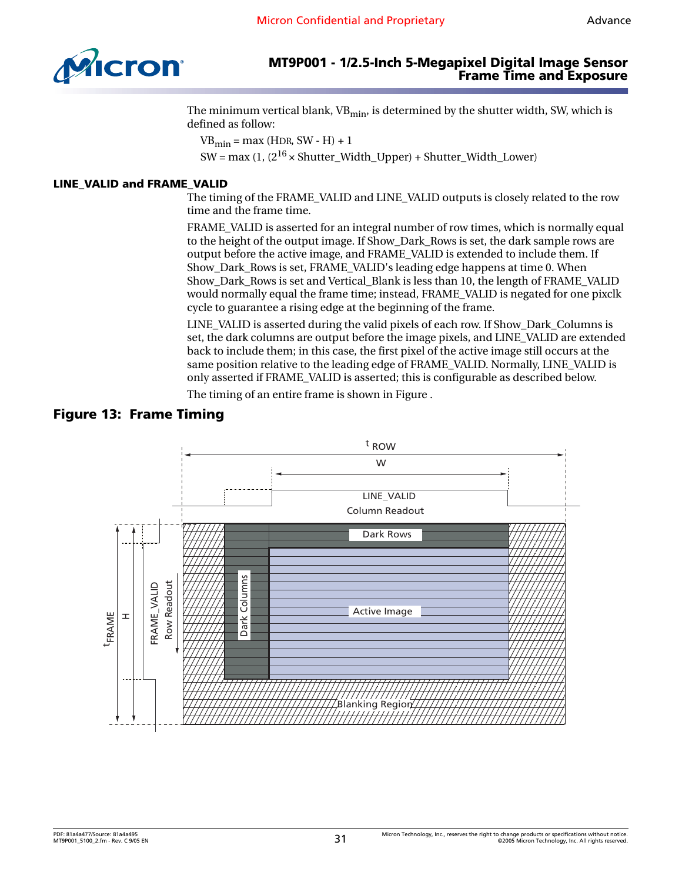



#### **MT9P001 - 1/2.5-Inch 5-Megapixel Digital Image Sensor Frame Time and Exposure**

The minimum vertical blank, VB<sub>min</sub>, is determined by the shutter width, SW, which is defined as follow:

 $VB_{\text{min}} = \text{max (HDR, SW - H)} + 1$ SW = max (1,  $(2^{16} \times \text{Shutter Width Upper}) + \text{Shutter Width Lower})$ 

#### <span id="page-30-0"></span>**LINE\_VALID and FRAME\_VALID**

The timing of the FRAME\_VALID and LINE\_VALID outputs is closely related to the row time and the frame time.

FRAME\_VALID is asserted for an integral number of row times, which is normally equal to the height of the output image. If Show\_Dark\_Rows is set, the dark sample rows are output before the active image, and FRAME\_VALID is extended to include them. If Show\_Dark\_Rows is set, FRAME\_VALID's leading edge happens at time 0. When Show\_Dark\_Rows is set and Vertical\_Blank is less than 10, the length of FRAME\_VALID would normally equal the frame time; instead, FRAME\_VALID is negated for one pixclk cycle to guarantee a rising edge at the beginning of the frame.

LINE\_VALID is asserted during the valid pixels of each row. If Show\_Dark\_Columns is set, the dark columns are output before the image pixels, and LINE\_VALID are extended back to include them; in this case, the first pixel of the active image still occurs at the same position relative to the leading edge of FRAME\_VALID. Normally, LINE\_VALID is only asserted if FRAME\_VALID is asserted; this is configurable as described below.

The timing of an entire frame is shown in Figure .

#### <span id="page-30-1"></span>**Figure 13: Frame Timing**

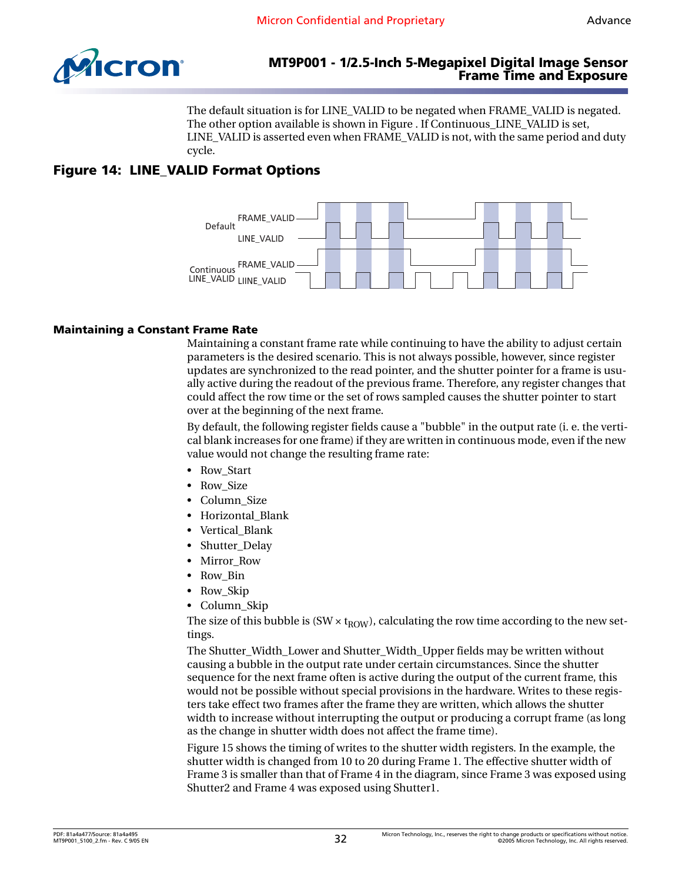

The default situation is for LINE\_VALID to be negated when FRAME\_VALID is negated. The other option available is shown in Figure . If Continuous\_LINE\_VALID is set, LINE\_VALID is asserted even when FRAME\_VALID is not, with the same period and duty cycle.

# <span id="page-31-1"></span>**Figure 14: LINE\_VALID Format Options**



#### <span id="page-31-0"></span>**Maintaining a Constant Frame Rate**

Maintaining a constant frame rate while continuing to have the ability to adjust certain parameters is the desired scenario. This is not always possible, however, since register updates are synchronized to the read pointer, and the shutter pointer for a frame is usually active during the readout of the previous frame. Therefore, any register changes that could affect the row time or the set of rows sampled causes the shutter pointer to start over at the beginning of the next frame.

By default, the following register fields cause a "bubble" in the output rate (i. e. the vertical blank increases for one frame) if they are written in continuous mode, even if the new value would not change the resulting frame rate:

- Row Start
- Row Size
- Column\_Size
- Horizontal\_Blank
- Vertical Blank
- Shutter Delay
- Mirror Row
- Row\_Bin
- Row Skip
- Column\_Skip

The size of this bubble is (SW  $\times$  t<sub>ROW</sub>), calculating the row time according to the new settings.

The Shutter\_Width\_Lower and Shutter\_Width\_Upper fields may be written without causing a bubble in the output rate under certain circumstances. Since the shutter sequence for the next frame often is active during the output of the current frame, this would not be possible without special provisions in the hardware. Writes to these registers take effect two frames after the frame they are written, which allows the shutter width to increase without interrupting the output or producing a corrupt frame (as long as the change in shutter width does not affect the frame time).

[Figure 15](#page-32-3) shows the timing of writes to the shutter width registers. In the example, the shutter width is changed from 10 to 20 during Frame 1. The effective shutter width of Frame 3 is smaller than that of Frame 4 in the diagram, since Frame 3 was exposed using Shutter2 and Frame 4 was exposed using Shutter1.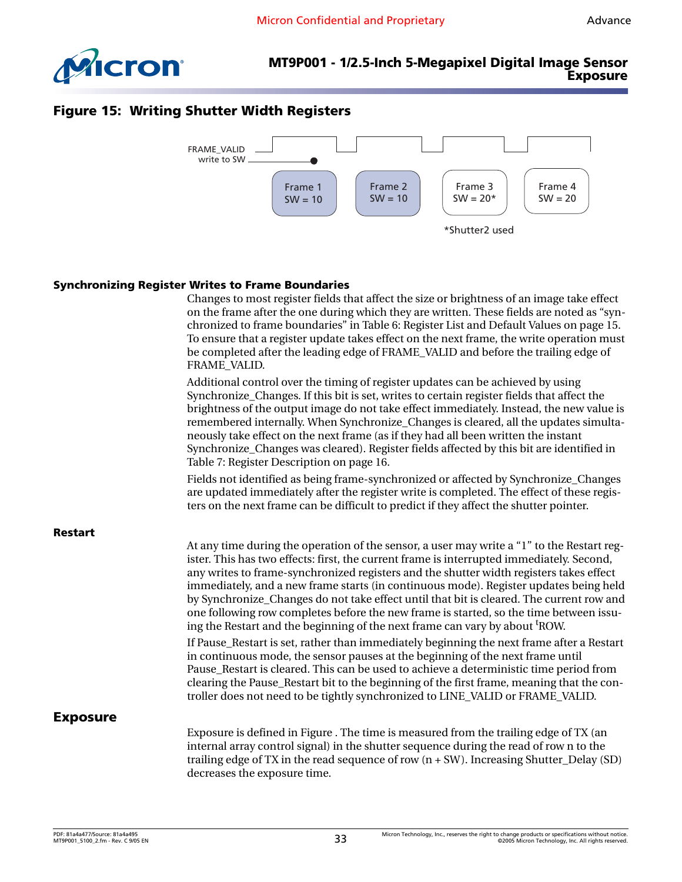

#### **MT9P001 - 1/2.5-Inch 5-Megapixel Digital Image Sensor Exposure**

### <span id="page-32-3"></span>**Figure 15: Writing Shutter Width Registers**



#### <span id="page-32-0"></span>**Synchronizing Register Writes to Frame Boundaries**

<span id="page-32-2"></span><span id="page-32-1"></span>

|                 | Changes to most register fields that affect the size or brightness of an image take effect<br>on the frame after the one during which they are written. These fields are noted as "syn-<br>chronized to frame boundaries" in Table 6: Register List and Default Values on page 15.<br>To ensure that a register update takes effect on the next frame, the write operation must<br>be completed after the leading edge of FRAME_VALID and before the trailing edge of<br>FRAME_VALID.                                                                                                                                                                        |
|-----------------|--------------------------------------------------------------------------------------------------------------------------------------------------------------------------------------------------------------------------------------------------------------------------------------------------------------------------------------------------------------------------------------------------------------------------------------------------------------------------------------------------------------------------------------------------------------------------------------------------------------------------------------------------------------|
|                 | Additional control over the timing of register updates can be achieved by using<br>Synchronize_Changes. If this bit is set, writes to certain register fields that affect the<br>brightness of the output image do not take effect immediately. Instead, the new value is<br>remembered internally. When Synchronize_Changes is cleared, all the updates simulta-<br>neously take effect on the next frame (as if they had all been written the instant<br>Synchronize_Changes was cleared). Register fields affected by this bit are identified in<br>Table 7: Register Description on page 16.                                                             |
|                 | Fields not identified as being frame-synchronized or affected by Synchronize_Changes<br>are updated immediately after the register write is completed. The effect of these regis-<br>ters on the next frame can be difficult to predict if they affect the shutter pointer.                                                                                                                                                                                                                                                                                                                                                                                  |
| <b>Restart</b>  | At any time during the operation of the sensor, a user may write a "1" to the Restart reg-<br>ister. This has two effects: first, the current frame is interrupted immediately. Second,<br>any writes to frame-synchronized registers and the shutter width registers takes effect<br>immediately, and a new frame starts (in continuous mode). Register updates being held<br>by Synchronize_Changes do not take effect until that bit is cleared. The current row and<br>one following row completes before the new frame is started, so the time between issu-<br>ing the Restart and the beginning of the next frame can vary by about <sup>t</sup> ROW. |
|                 | If Pause_Restart is set, rather than immediately beginning the next frame after a Restart<br>in continuous mode, the sensor pauses at the beginning of the next frame until<br>Pause_Restart is cleared. This can be used to achieve a deterministic time period from<br>clearing the Pause_Restart bit to the beginning of the first frame, meaning that the con-<br>troller does not need to be tightly synchronized to LINE_VALID or FRAME_VALID.                                                                                                                                                                                                         |
| <b>Exposure</b> |                                                                                                                                                                                                                                                                                                                                                                                                                                                                                                                                                                                                                                                              |
|                 | Exposure is defined in Figure . The time is measured from the trailing edge of TX (an<br>internal array control signal) in the shutter sequence during the read of row n to the<br>trailing edge of TX in the read sequence of row $(n + SW)$ . Increasing Shutter_Delay (SD)<br>decreases the exposure time.                                                                                                                                                                                                                                                                                                                                                |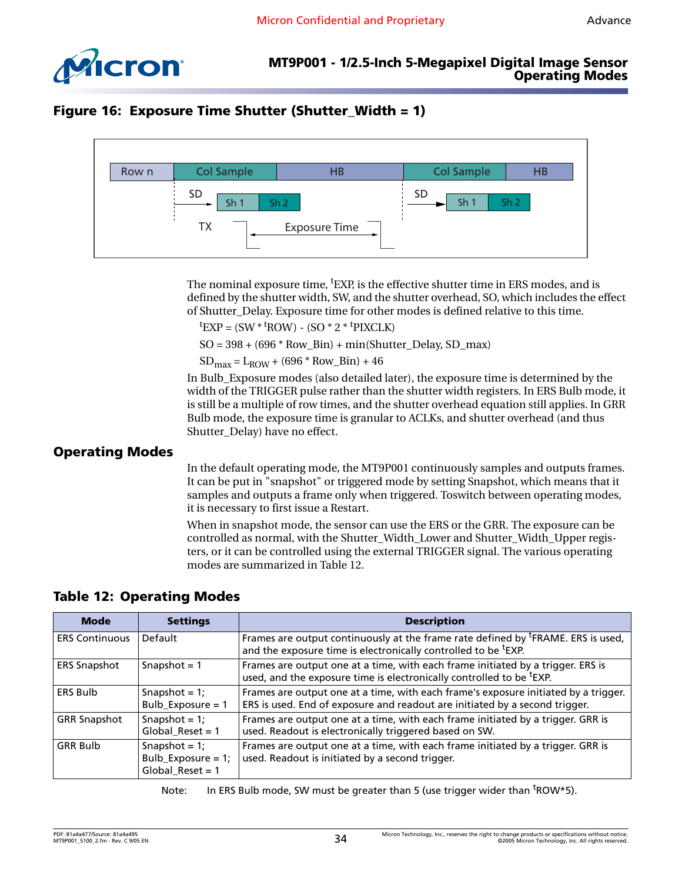

# <span id="page-33-1"></span>**Figure 16: Exposure Time Shutter (Shutter\_Width = 1)**



The nominal exposure time, <sup>t</sup>EXP, is the effective shutter time in ERS modes, and is defined by the shutter width, SW, and the shutter overhead, SO, which includes the effect of Shutter\_Delay. Exposure time for other modes is defined relative to this time.

 ${}^t$ EXP = (SW  $*$  <sup>t</sup>ROW) - (SO  $*$  2  $*$  <sup>t</sup>PIXCLK)

 $SO = 398 + (696 * Row_Bin) + min(Shutter_Delay, SD_max)$ 

 $SD_{max} = L_{ROW} + (696 * Row_Bin) + 46$ 

In Bulb\_Exposure modes (also detailed later), the exposure time is determined by the width of the TRIGGER pulse rather than the shutter width registers. In ERS Bulb mode, it is still be a multiple of row times, and the shutter overhead equation still applies. In GRR Bulb mode, the exposure time is granular to ACLKs, and shutter overhead (and thus Shutter Delay) have no effect.

#### <span id="page-33-0"></span>**Operating Modes**

In the default operating mode, the MT9P001 continuously samples and outputs frames. It can be put in "snapshot" or triggered mode by setting Snapshot, which means that it samples and outputs a frame only when triggered. Toswitch between operating modes, it is necessary to first issue a Restart.

When in snapshot mode, the sensor can use the ERS or the GRR. The exposure can be controlled as normal, with the Shutter\_Width\_Lower and Shutter\_Width\_Upper registers, or it can be controlled using the external TRIGGER signal. The various operating modes are summarized in [Table 12.](#page-33-2)

| <b>Mode</b>           | <b>Settings</b>                                                  | <b>Description</b>                                                                                                                                                         |
|-----------------------|------------------------------------------------------------------|----------------------------------------------------------------------------------------------------------------------------------------------------------------------------|
| <b>ERS Continuous</b> | Default                                                          | Frames are output continuously at the frame rate defined by <sup>t</sup> FRAME. ERS is used,<br>and the exposure time is electronically controlled to be <sup>t</sup> EXP. |
| <b>ERS Snapshot</b>   | Snapshot = $1$                                                   | Frames are output one at a time, with each frame initiated by a trigger. ERS is<br>used, and the exposure time is electronically controlled to be <sup>t</sup> EXP.        |
| <b>ERS Bulb</b>       | Snapshot = $1$ ;<br>Bulb_Exposure = 1                            | Frames are output one at a time, with each frame's exposure initiated by a trigger.<br>ERS is used. End of exposure and readout are initiated by a second trigger.         |
| <b>GRR Snapshot</b>   | Snapshot = $1$ ;<br>$Global\_Reset = 1$                          | Frames are output one at a time, with each frame initiated by a trigger. GRR is<br>used. Readout is electronically triggered based on SW.                                  |
| <b>GRR Bulb</b>       | Snapshot = $1$ ;<br>Bulb_Exposure = $1$ ;<br>$Global\_Reset = 1$ | Frames are output one at a time, with each frame initiated by a trigger. GRR is<br>used. Readout is initiated by a second trigger.                                         |

# <span id="page-33-2"></span>**Table 12: Operating Modes**

Note: In ERS Bulb mode, SW must be greater than 5 (use trigger wider than <sup>t</sup>ROW\*5).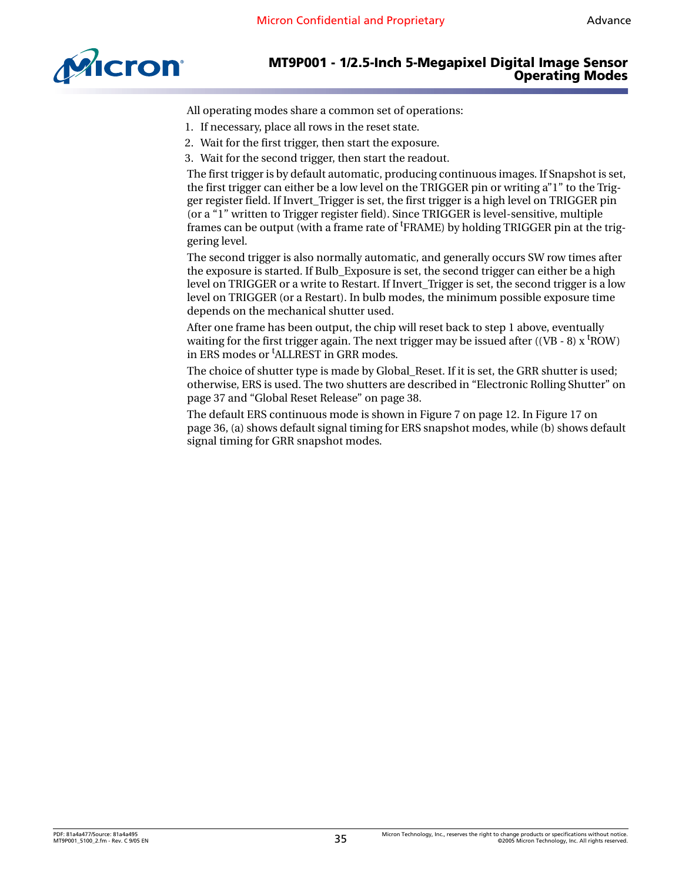

All operating modes share a common set of operations:

- 1. If necessary, place all rows in the reset state.
- 2. Wait for the first trigger, then start the exposure.
- 3. Wait for the second trigger, then start the readout.

The first trigger is by default automatic, producing continuous images. If Snapshot is set, the first trigger can either be a low level on the TRIGGER pin or writing a"1" to the Trigger register field. If Invert\_Trigger is set, the first trigger is a high level on TRIGGER pin (or a "1" written to Trigger register field). Since TRIGGER is level-sensitive, multiple frames can be output (with a frame rate of <sup>t</sup>FRAME) by holding TRIGGER pin at the triggering level.

The second trigger is also normally automatic, and generally occurs SW row times after the exposure is started. If Bulb\_Exposure is set, the second trigger can either be a high level on TRIGGER or a write to Restart. If Invert\_Trigger is set, the second trigger is a low level on TRIGGER (or a Restart). In bulb modes, the minimum possible exposure time depends on the mechanical shutter used.

After one frame has been output, the chip will reset back to step 1 above, eventually waiting for the first trigger again. The next trigger may be issued after ((VB - 8) x  $\text{t}$ ROW) in ERS modes or <sup>t</sup>ALLREST in GRR modes.

The choice of shutter type is made by Global Reset. If it is set, the GRR shutter is used; otherwise, ERS is used. The two shutters are described in ["Electronic Rolling Shutter" on](#page-36-0)  [page 37](#page-36-0) and ["Global Reset Release" on page 38](#page-37-0).

The default ERS continuous mode is shown in [Figure 7 on page 12](#page-11-2). In [Figure 17 on](#page-35-0)  [page 36](#page-35-0), (a) shows default signal timing for ERS snapshot modes, while (b) shows default signal timing for GRR snapshot modes.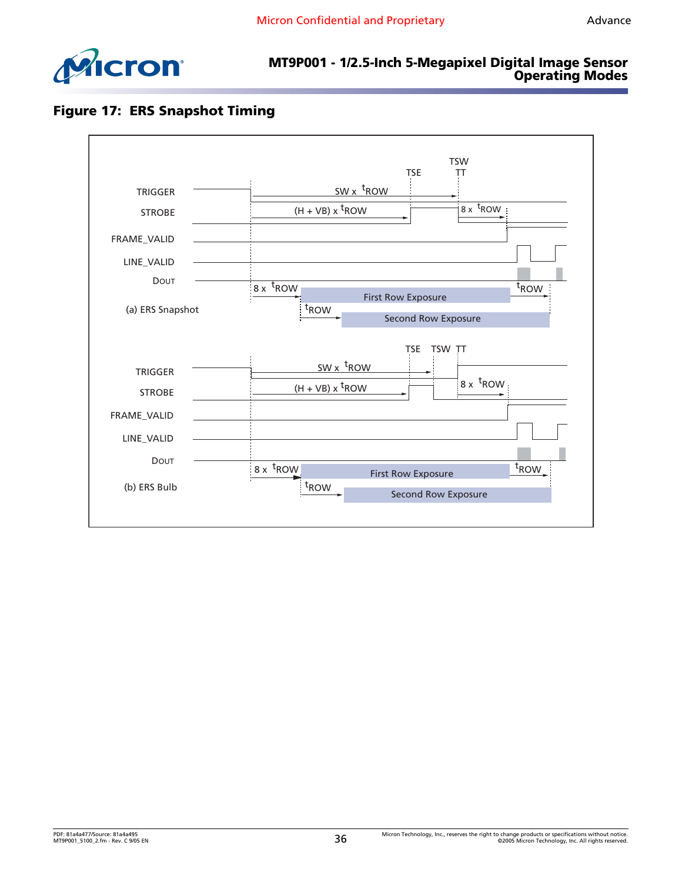

# <span id="page-35-0"></span>**Figure 17: ERS Snapshot Timing**

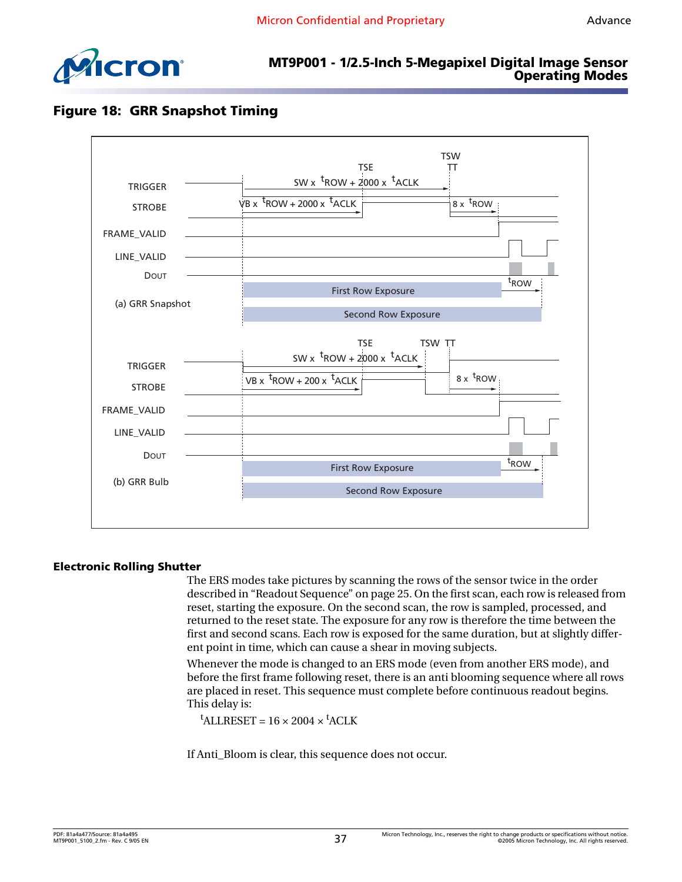

# <span id="page-36-1"></span>**Figure 18: GRR Snapshot Timing**



#### <span id="page-36-0"></span>**Electronic Rolling Shutter**

The ERS modes take pictures by scanning the rows of the sensor twice in the order described in ["Readout Sequence" on page 25.](#page-24-1) On the first scan, each row is released from reset, starting the exposure. On the second scan, the row is sampled, processed, and returned to the reset state. The exposure for any row is therefore the time between the first and second scans. Each row is exposed for the same duration, but at slightly different point in time, which can cause a shear in moving subjects.

Whenever the mode is changed to an ERS mode (even from another ERS mode), and before the first frame following reset, there is an anti blooming sequence where all rows are placed in reset. This sequence must complete before continuous readout begins. This delay is:

 $^{\text{t}}$ ALLRESET = 16 × 2004 ×  $^{\text{t}}$ ACLK

If Anti\_Bloom is clear, this sequence does not occur.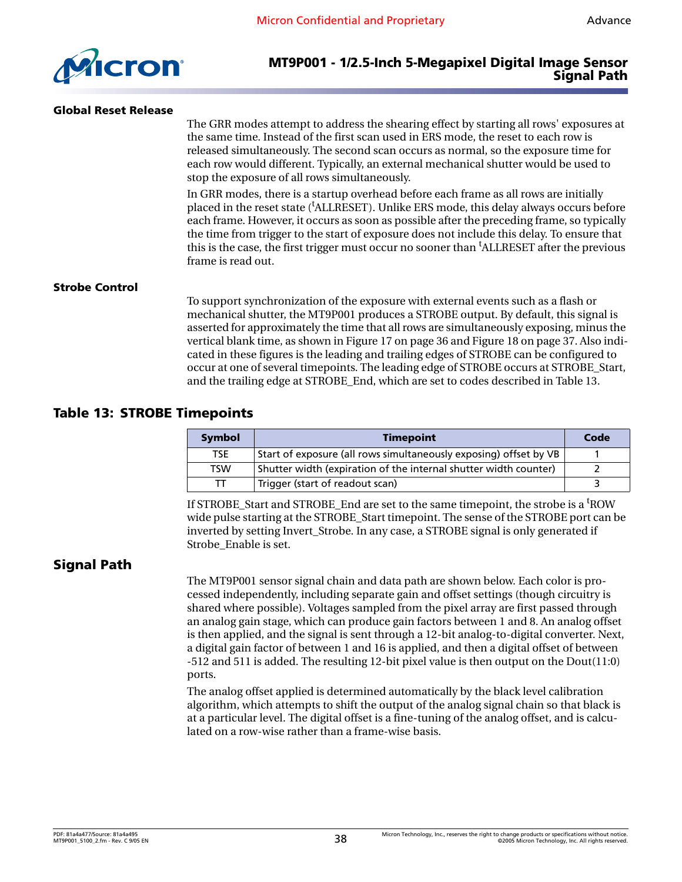

#### <span id="page-37-0"></span>**Global Reset Release**

The GRR modes attempt to address the shearing effect by starting all rows' exposures at the same time. Instead of the first scan used in ERS mode, the reset to each row is released simultaneously. The second scan occurs as normal, so the exposure time for each row would different. Typically, an external mechanical shutter would be used to stop the exposure of all rows simultaneously.

In GRR modes, there is a startup overhead before each frame as all rows are initially placed in the reset state ('ALLRESET). Unlike ERS mode, this delay always occurs before each frame. However, it occurs as soon as possible after the preceding frame, so typically the time from trigger to the start of exposure does not include this delay. To ensure that this is the case, the first trigger must occur no sooner than <sup>t</sup>ALLRESET after the previous frame is read out.

#### <span id="page-37-1"></span>**Strobe Control**

To support synchronization of the exposure with external events such as a flash or mechanical shutter, the MT9P001 produces a STROBE output. By default, this signal is asserted for approximately the time that all rows are simultaneously exposing, minus the vertical blank time, as shown in [Figure 17 on page 36](#page-35-0) and [Figure 18 on page 37](#page-36-1). Also indicated in these figures is the leading and trailing edges of STROBE can be configured to occur at one of several timepoints. The leading edge of STROBE occurs at STROBE\_Start, and the trailing edge at STROBE\_End, which are set to codes described in [Table 13](#page-37-3).

#### <span id="page-37-3"></span>**Table 13: STROBE Timepoints**

| <b>Symbol</b> | <b>Timepoint</b>                                                  | Code |
|---------------|-------------------------------------------------------------------|------|
| <b>TSE</b>    | Start of exposure (all rows simultaneously exposing) offset by VB |      |
| TSW           | Shutter width (expiration of the internal shutter width counter)  |      |
| тт            | Trigger (start of readout scan)                                   |      |

If STROBE\_Start and STROBE\_End are set to the same timepoint, the strobe is a <sup>t</sup>ROW wide pulse starting at the STROBE\_Start timepoint. The sense of the STROBE port can be inverted by setting Invert\_Strobe. In any case, a STROBE signal is only generated if Strobe\_Enable is set.

#### <span id="page-37-2"></span>**Signal Path**

The MT9P001 sensor signal chain and data path are shown below. Each color is processed independently, including separate gain and offset settings (though circuitry is shared where possible). Voltages sampled from the pixel array are first passed through an analog gain stage, which can produce gain factors between 1 and 8. An analog offset is then applied, and the signal is sent through a 12-bit analog-to-digital converter. Next, a digital gain factor of between 1 and 16 is applied, and then a digital offset of between -512 and 511 is added. The resulting 12-bit pixel value is then output on the Dout(11:0) ports.

The analog offset applied is determined automatically by the black level calibration algorithm, which attempts to shift the output of the analog signal chain so that black is at a particular level. The digital offset is a fine-tuning of the analog offset, and is calculated on a row-wise rather than a frame-wise basis.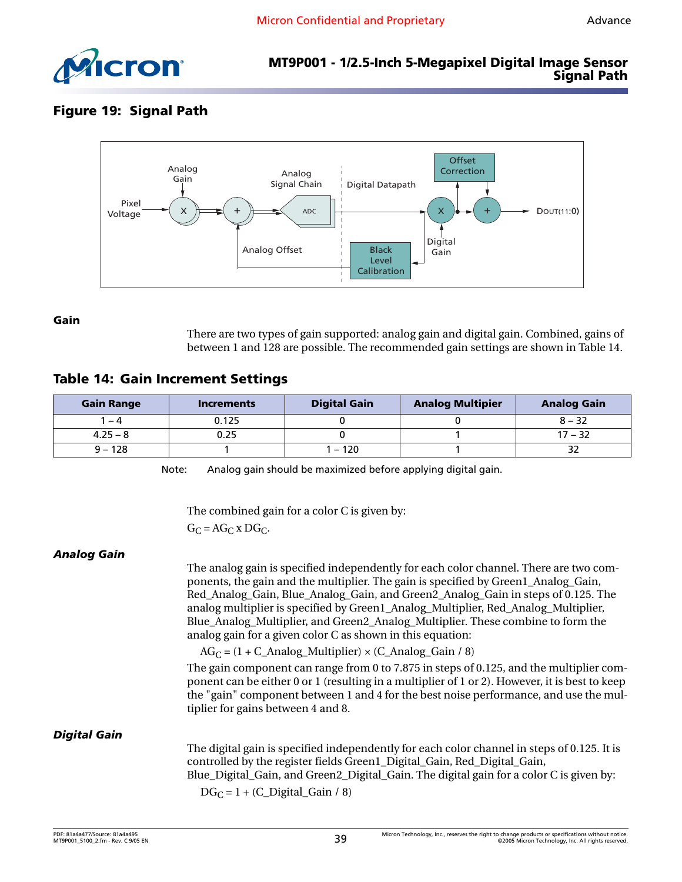

# <span id="page-38-3"></span>**Figure 19: Signal Path**



<span id="page-38-0"></span>**Gain**

There are two types of gain supported: analog gain and digital gain. Combined, gains of between 1 and 128 are possible. The recommended gain settings are shown in [Table 14.](#page-38-4)

#### <span id="page-38-4"></span>**Table 14: Gain Increment Settings**

| <b>Gain Range</b> | <b>Increments</b> | <b>Digital Gain</b> | <b>Analog Multipier</b> | <b>Analog Gain</b> |
|-------------------|-------------------|---------------------|-------------------------|--------------------|
| - 4               | 0.125             |                     |                         | $8 - 32$           |
| $4.25 - 8$        | 0.25              |                     |                         | $17 - 32$          |
| $9 - 128$         |                   | $-120$              |                         |                    |

Note: Analog gain should be maximized before applying digital gain.

The combined gain for a color C is given by:

 $G_C = AG_C$  x DG<sub>C</sub>.

#### <span id="page-38-1"></span>*Analog Gain*

The analog gain is specified independently for each color channel. There are two components, the gain and the multiplier. The gain is specified by Green1\_Analog\_Gain, Red\_Analog\_Gain, Blue\_Analog\_Gain, and Green2\_Analog\_Gain in steps of 0.125. The analog multiplier is specified by Green1\_Analog\_Multiplier, Red\_Analog\_Multiplier, Blue\_Analog\_Multiplier, and Green2\_Analog\_Multiplier. These combine to form the analog gain for a given color C as shown in this equation:

 $AG_C = (1 + C_Analog_Multiplier) \times (C_Analog_Gain / 8)$ 

The gain component can range from 0 to 7.875 in steps of 0.125, and the multiplier component can be either 0 or 1 (resulting in a multiplier of 1 or 2). However, it is best to keep the "gain" component between 1 and 4 for the best noise performance, and use the multiplier for gains between 4 and 8.

#### <span id="page-38-2"></span>*Digital Gain*

The digital gain is specified independently for each color channel in steps of 0.125. It is controlled by the register fields Green1\_Digital\_Gain, Red\_Digital\_Gain, Blue\_Digital\_Gain, and Green2\_Digital\_Gain. The digital gain for a color C is given by:  $DG_C = 1 + (C_D)$ igital\_Gain / 8)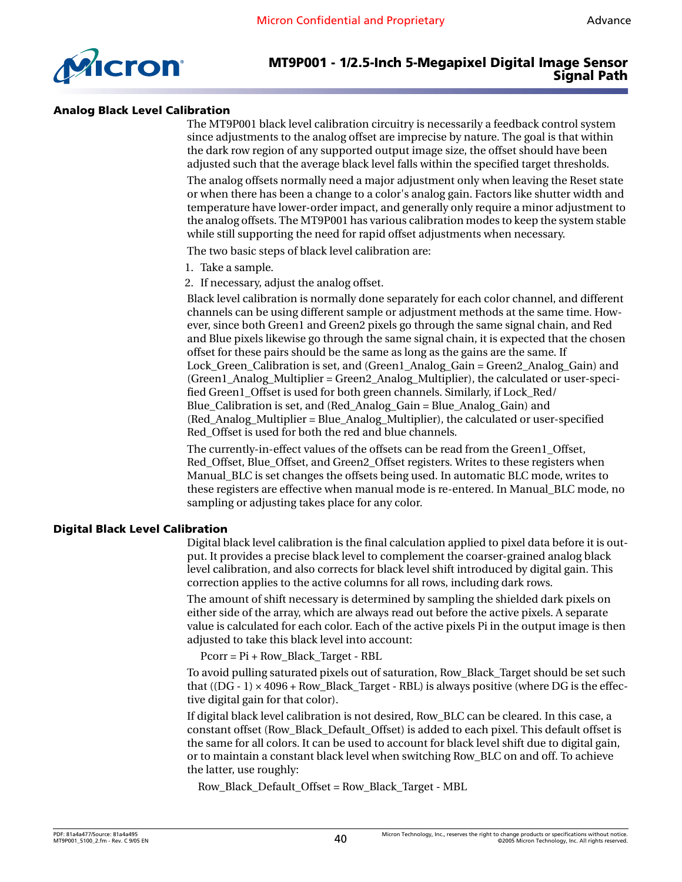

#### <span id="page-39-0"></span>**Analog Black Level Calibration**

The MT9P001 black level calibration circuitry is necessarily a feedback control system since adjustments to the analog offset are imprecise by nature. The goal is that within the dark row region of any supported output image size, the offset should have been adjusted such that the average black level falls within the specified target thresholds.

The analog offsets normally need a major adjustment only when leaving the Reset state or when there has been a change to a color's analog gain. Factors like shutter width and temperature have lower-order impact, and generally only require a minor adjustment to the analog offsets. The MT9P001 has various calibration modes to keep the system stable while still supporting the need for rapid offset adjustments when necessary.

The two basic steps of black level calibration are:

- 1. Take a sample.
- 2. If necessary, adjust the analog offset.

Black level calibration is normally done separately for each color channel, and different channels can be using different sample or adjustment methods at the same time. However, since both Green1 and Green2 pixels go through the same signal chain, and Red and Blue pixels likewise go through the same signal chain, it is expected that the chosen offset for these pairs should be the same as long as the gains are the same. If Lock\_Green\_Calibration is set, and (Green1\_Analog\_Gain = Green2\_Analog\_Gain) and (Green1\_Analog\_Multiplier = Green2\_Analog\_Multiplier), the calculated or user-specified Green1\_Offset is used for both green channels. Similarly, if Lock\_Red/ Blue Calibration is set, and (Red Analog Gain = Blue Analog Gain) and (Red\_Analog\_Multiplier = Blue\_Analog\_Multiplier), the calculated or user-specified Red\_Offset is used for both the red and blue channels.

The currently-in-effect values of the offsets can be read from the Green1\_Offset, Red\_Offset, Blue\_Offset, and Green2\_Offset registers. Writes to these registers when Manual\_BLC is set changes the offsets being used. In automatic BLC mode, writes to these registers are effective when manual mode is re-entered. In Manual\_BLC mode, no sampling or adjusting takes place for any color.

#### <span id="page-39-1"></span>**Digital Black Level Calibration**

Digital black level calibration is the final calculation applied to pixel data before it is output. It provides a precise black level to complement the coarser-grained analog black level calibration, and also corrects for black level shift introduced by digital gain. This correction applies to the active columns for all rows, including dark rows.

The amount of shift necessary is determined by sampling the shielded dark pixels on either side of the array, which are always read out before the active pixels. A separate value is calculated for each color. Each of the active pixels Pi in the output image is then adjusted to take this black level into account:

Pcorr = Pi + Row\_Black\_Target - RBL

To avoid pulling saturated pixels out of saturation, Row\_Black\_Target should be set such that  $((DG - 1) \times 4096 + Row\_Black\_Target - RBL)$  is always positive (where DG is the effective digital gain for that color).

If digital black level calibration is not desired, Row\_BLC can be cleared. In this case, a constant offset (Row\_Black\_Default\_Offset) is added to each pixel. This default offset is the same for all colors. It can be used to account for black level shift due to digital gain, or to maintain a constant black level when switching Row\_BLC on and off. To achieve the latter, use roughly:

Row\_Black\_Default\_Offset = Row\_Black\_Target - MBL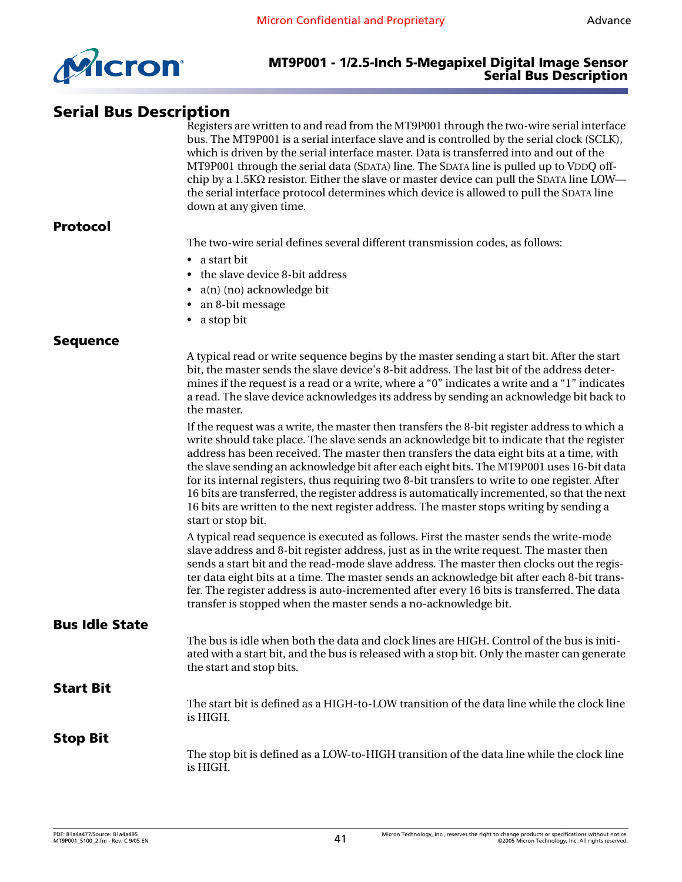

# <span id="page-40-0"></span>**Serial Bus Description**

Registers are written to and read from the MT9P001 through the two-wire serial interface bus. The MT9P001 is a serial interface slave and is controlled by the serial clock (SCLK), which is driven by the serial interface master. Data is transferred into and out of the MT9P001 through the serial data (SDATA) line. The SDATA line is pulled up to VDDQ offchip by a 1.5K $\Omega$  resistor. Either the slave or master device can pull the SDATA line LOW the serial interface protocol determines which device is allowed to pull the SDATA line down at any given time.

#### <span id="page-40-1"></span>**Protocol**

The two-wire serial defines several different transmission codes, as follows:

- a start bit
- the slave device 8-bit address
- a(n) (no) acknowledge bit
- an 8-bit message
- a stop bit

#### <span id="page-40-2"></span>**Sequence**

A typical read or write sequence begins by the master sending a start bit. After the start bit, the master sends the slave device's 8-bit address. The last bit of the address determines if the request is a read or a write, where a "0" indicates a write and a "1" indicates a read. The slave device acknowledges its address by sending an acknowledge bit back to the master.

If the request was a write, the master then transfers the 8-bit register address to which a write should take place. The slave sends an acknowledge bit to indicate that the register address has been received. The master then transfers the data eight bits at a time, with the slave sending an acknowledge bit after each eight bits. The MT9P001 uses 16-bit data for its internal registers, thus requiring two 8-bit transfers to write to one register. After 16 bits are transferred, the register address is automatically incremented, so that the next 16 bits are written to the next register address. The master stops writing by sending a start or stop bit.

A typical read sequence is executed as follows. First the master sends the write-mode slave address and 8-bit register address, just as in the write request. The master then sends a start bit and the read-mode slave address. The master then clocks out the register data eight bits at a time. The master sends an acknowledge bit after each 8-bit transfer. The register address is auto-incremented after every 16 bits is transferred. The data transfer is stopped when the master sends a no-acknowledge bit.

#### <span id="page-40-3"></span>**Bus Idle State**

The bus is idle when both the data and clock lines are HIGH. Control of the bus is initiated with a start bit, and the bus is released with a stop bit. Only the master can generate the start and stop bits.

## <span id="page-40-4"></span>**Start Bit**

The start bit is defined as a HIGH-to-LOW transition of the data line while the clock line is HIGH.

#### <span id="page-40-5"></span>**Stop Bit**

The stop bit is defined as a LOW-to-HIGH transition of the data line while the clock line is HIGH.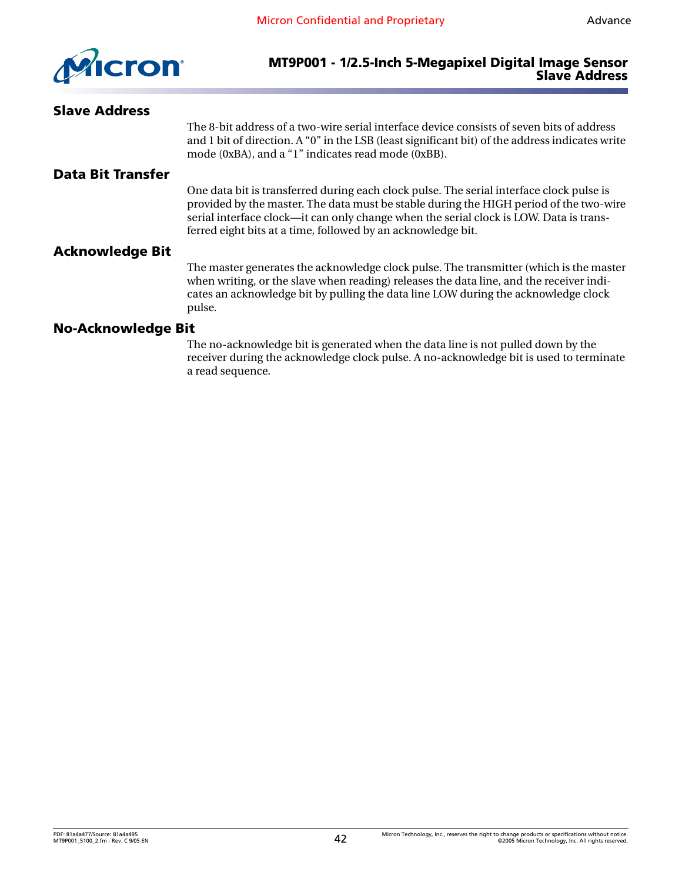

#### **MT9P001 - 1/2.5-Inch 5-Megapixel Digital Image Sensor Slave Address**

#### <span id="page-41-3"></span><span id="page-41-2"></span><span id="page-41-1"></span><span id="page-41-0"></span>**Slave Address** The 8-bit address of a two-wire serial interface device consists of seven bits of address and 1 bit of direction. A "0" in the LSB (least significant bit) of the address indicates write mode (0xBA), and a "1" indicates read mode (0xBB). **Data Bit Transfer** One data bit is transferred during each clock pulse. The serial interface clock pulse is provided by the master. The data must be stable during the HIGH period of the two-wire serial interface clock—it can only change when the serial clock is LOW. Data is transferred eight bits at a time, followed by an acknowledge bit. **Acknowledge Bit** The master generates the acknowledge clock pulse. The transmitter (which is the master when writing, or the slave when reading) releases the data line, and the receiver indicates an acknowledge bit by pulling the data line LOW during the acknowledge clock pulse. **No-Acknowledge Bit** The no-acknowledge bit is generated when the data line is not pulled down by the receiver during the acknowledge clock pulse. A no-acknowledge bit is used to terminate a read sequence.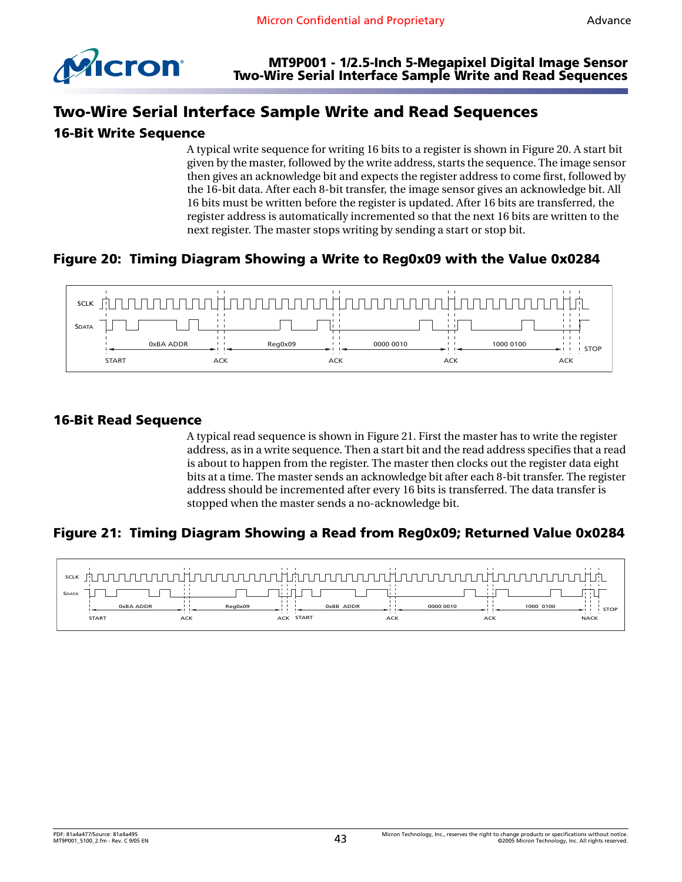

# <span id="page-42-0"></span>**Two-Wire Serial Interface Sample Write and Read Sequences**

#### <span id="page-42-1"></span>**16-Bit Write Sequence**

A typical write sequence for writing 16 bits to a register is shown in [Figure 20.](#page-42-3) A start bit given by the master, followed by the write address, starts the sequence. The image sensor then gives an acknowledge bit and expects the register address to come first, followed by the 16-bit data. After each 8-bit transfer, the image sensor gives an acknowledge bit. All 16 bits must be written before the register is updated. After 16 bits are transferred, the register address is automatically incremented so that the next 16 bits are written to the next register. The master stops writing by sending a start or stop bit.

# <span id="page-42-3"></span>**Figure 20: Timing Diagram Showing a Write to Reg0x09 with the Value 0x0284**



#### <span id="page-42-2"></span>**16-Bit Read Sequence**

A typical read sequence is shown in [Figure 21](#page-42-4). First the master has to write the register address, as in a write sequence. Then a start bit and the read address specifies that a read is about to happen from the register. The master then clocks out the register data eight bits at a time. The master sends an acknowledge bit after each 8-bit transfer. The register address should be incremented after every 16 bits is transferred. The data transfer is stopped when the master sends a no-acknowledge bit.

#### <span id="page-42-4"></span>**Figure 21: Timing Diagram Showing a Read from Reg0x09; Returned Value 0x0284**

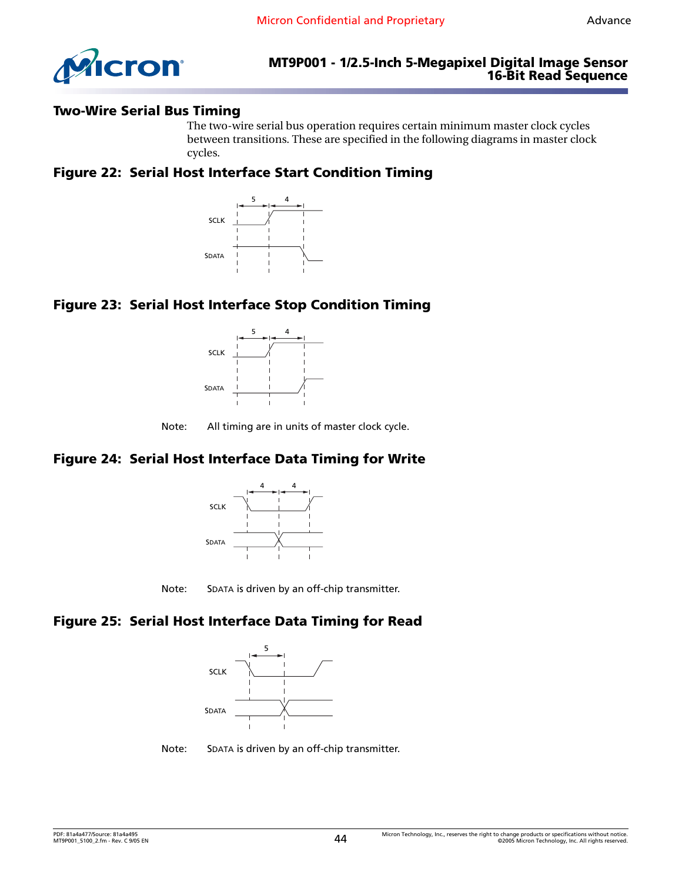

#### <span id="page-43-0"></span>**Two-Wire Serial Bus Timing**

The two-wire serial bus operation requires certain minimum master clock cycles between transitions. These are specified in the following diagrams in master clock cycles.

#### <span id="page-43-1"></span>**Figure 22: Serial Host Interface Start Condition Timing**



# <span id="page-43-2"></span>**Figure 23: Serial Host Interface Stop Condition Timing**



Note: All timing are in units of master clock cycle.

# <span id="page-43-3"></span>**Figure 24: Serial Host Interface Data Timing for Write**





#### <span id="page-43-4"></span>**Figure 25: Serial Host Interface Data Timing for Read**



Note: SDATA is driven by an off-chip transmitter.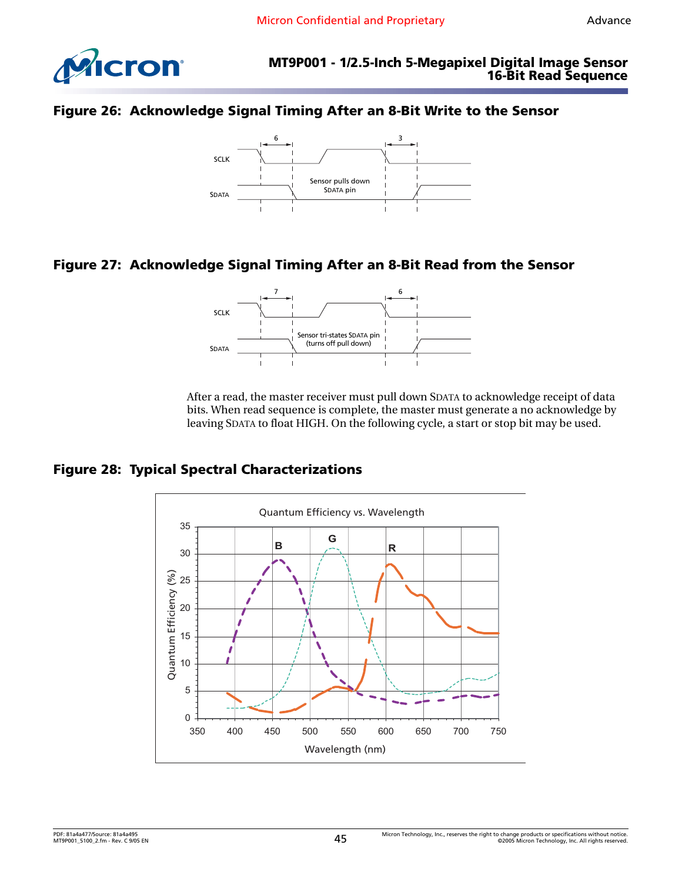



#### <span id="page-44-0"></span>**Figure 26: Acknowledge Signal Timing After an 8-Bit Write to the Sensor**



# <span id="page-44-1"></span>**Figure 27: Acknowledge Signal Timing After an 8-Bit Read from the Sensor**



After a read, the master receiver must pull down SDATA to acknowledge receipt of data bits. When read sequence is complete, the master must generate a no acknowledge by leaving SDATA to float HIGH. On the following cycle, a start or stop bit may be used.

#### <span id="page-44-2"></span>**Figure 28: Typical Spectral Characterizations**

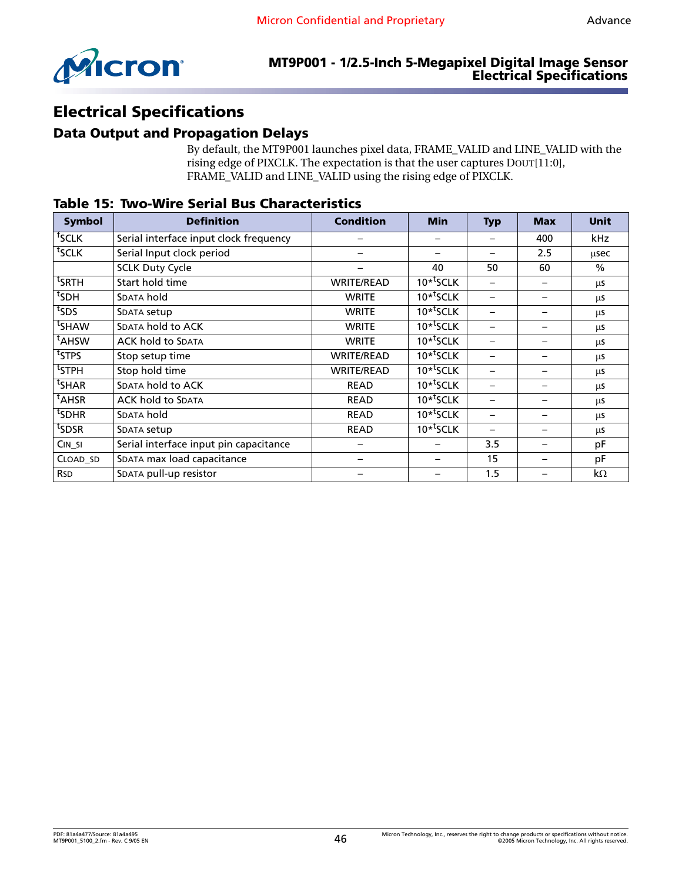

#### **MT9P001 - 1/2.5-Inch 5-Megapixel Digital Image Sensor Electrical Specifications**

# <span id="page-45-0"></span>**Electrical Specifications**

#### <span id="page-45-1"></span>**Data Output and Propagation Delays**

By default, the MT9P001 launches pixel data, FRAME\_VALID and LINE\_VALID with the rising edge of PIXCLK. The expectation is that the user captures DOUT[11:0], FRAME\_VALID and LINE\_VALID using the rising edge of PIXCLK.

| <b>Symbol</b>     | <b>Definition</b>                      | <b>Condition</b>  | <b>Min</b>                        | <b>Typ</b>               | <b>Max</b> | <b>Unit</b>   |
|-------------------|----------------------------------------|-------------------|-----------------------------------|--------------------------|------------|---------------|
| $fSCLK$           | Serial interface input clock frequency |                   |                                   |                          | 400        | kHz           |
| tsclk             | Serial Input clock period              |                   |                                   |                          | 2.5        | usec          |
|                   | <b>SCLK Duty Cycle</b>                 |                   | 40                                | 50                       | 60         | $\frac{0}{0}$ |
| <sup>t</sup> SRTH | Start hold time                        | <b>WRITE/READ</b> | $10*$ <sup>t</sup> SCLK           |                          |            | μs            |
| <sup>t</sup> SDH  | <b>SDATA hold</b>                      | <b>WRITE</b>      | $10*$ <sup>t</sup> SCLK           |                          |            | μs            |
| ts <sub>DS</sub>  | SDATA setup                            | <b>WRITE</b>      | $10*$ <sup>t</sup> SCLK           |                          |            | μs            |
| tsHAW             | SDATA hold to ACK                      | <b>WRITE</b>      | $10*$ <sup>t</sup> SCLK           |                          |            | μs            |
| <sup>t</sup> AHSW | <b>ACK hold to SDATA</b>               | <b>WRITE</b>      | $10*$ <sup>t</sup> SCLK           |                          |            | μs            |
| <sup>t</sup> STPS | Stop setup time                        | <b>WRITE/READ</b> | $10*$ <sup>t</sup> SCLK           |                          |            | μs            |
| <sup>t</sup> STPH | Stop hold time                         | <b>WRITE/READ</b> | $10*$ <sup>t</sup> SCLK           |                          |            | μs            |
| <sup>t</sup> SHAR | SDATA hold to ACK                      | <b>READ</b>       | $\overline{10}$ <sup>*</sup> sCLK | —                        |            | μs            |
| <sup>t</sup> AHSR | <b>ACK hold to SDATA</b>               | <b>READ</b>       | $\overline{10}$ <sup>*</sup> sCLK | —                        |            | μs            |
| <sup>t</sup> SDHR | <b>SDATA hold</b>                      | <b>READ</b>       | $10*$ <sup>t</sup> SCLK           | $\overline{\phantom{0}}$ |            | μs            |
| tsdsr             | SDATA setup                            | <b>READ</b>       | $10*$ <sup>t</sup> SCLK           | $\overline{\phantom{0}}$ |            | μs            |
| $CIN_SI$          | Serial interface input pin capacitance |                   |                                   | 3.5                      |            | pF            |
| CLOAD_SD          | SDATA max load capacitance             |                   |                                   | 15                       |            | pF            |
| <b>RSD</b>        | SDATA pull-up resistor                 |                   |                                   | 1.5                      |            | $k\Omega$     |

#### <span id="page-45-2"></span>**Table 15: Two-Wire Serial Bus Characteristics**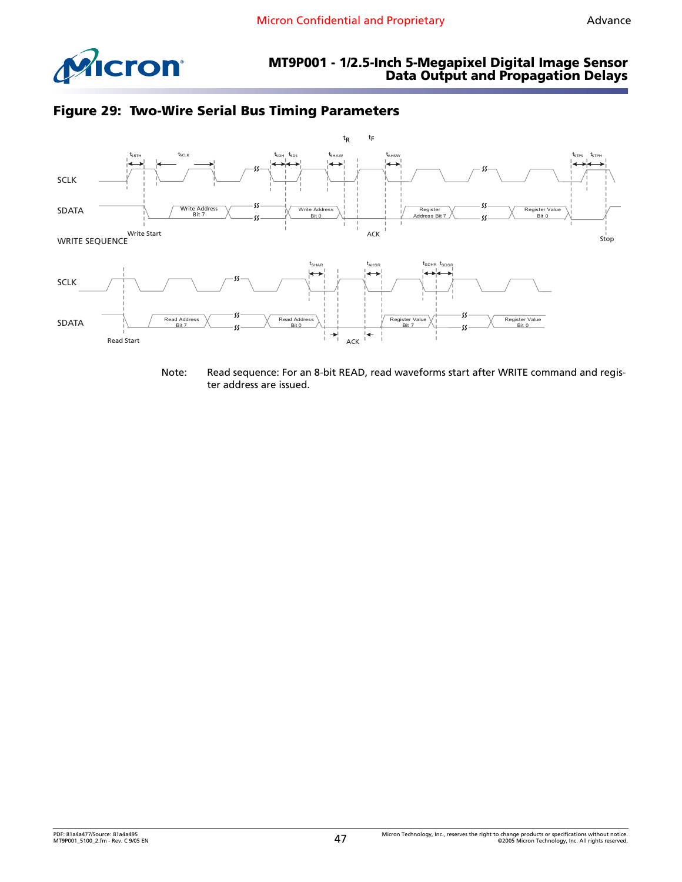





Note: Read sequence: For an 8-bit READ, read waveforms start after WRITE command and register address are issued.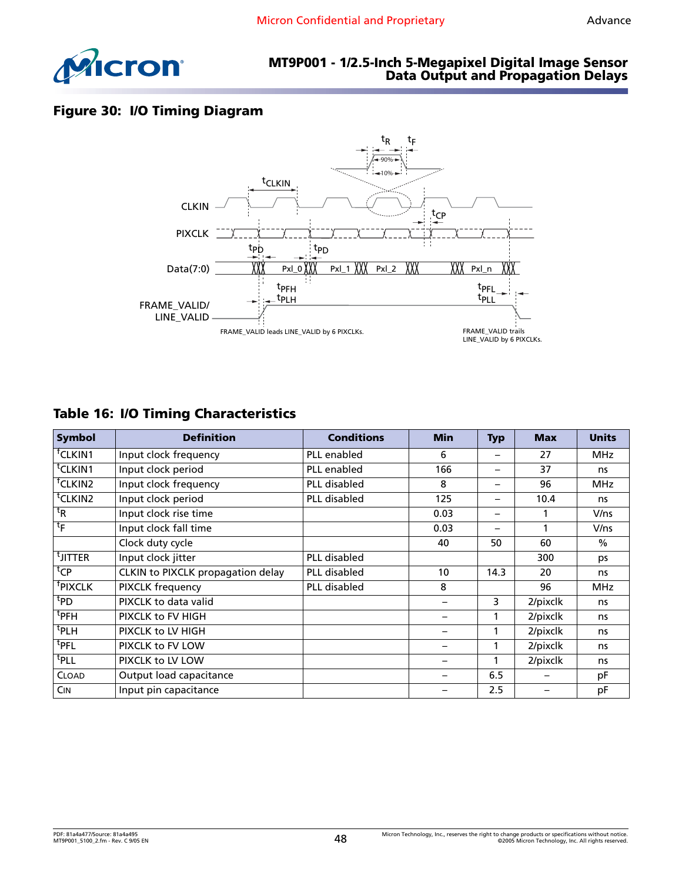

# **Figure 30: I/O Timing Diagram**



# <span id="page-47-0"></span>**Table 16: I/O Timing Characteristics**

| <b>Symbol</b>             | <b>Definition</b>                 | <b>Conditions</b>   | <b>Min</b>               | <b>Typ</b>               | <b>Max</b> | <b>Units</b> |
|---------------------------|-----------------------------------|---------------------|--------------------------|--------------------------|------------|--------------|
| <sup>†</sup> CLKIN1       | Input clock frequency             | PLL enabled         | 6                        | $\overline{\phantom{0}}$ | 27         | MHz.         |
| <sup>t</sup> CLKIN1       | Input clock period                | PLL enabled         | 166                      | $\overline{\phantom{0}}$ | 37         | ns           |
| <sup>†</sup> CLKIN2       | Input clock frequency             | <b>PLL</b> disabled | 8                        | $\overline{\phantom{0}}$ | 96         | <b>MHz</b>   |
| <sup>t</sup> CLKIN2       | Input clock period                | PLL disabled        | 125                      | $\overline{\phantom{0}}$ | 10.4       | ns           |
| ${}^{\rm t}$ <sub>R</sub> | Input clock rise time             |                     | 0.03                     | $\overline{\phantom{0}}$ |            | V/ns         |
| $t_{\mathsf{F}}$          | Input clock fall time             |                     | 0.03                     | $\overline{\phantom{0}}$ | 1          | V/ns         |
|                           | Clock duty cycle                  |                     | 40                       | 50                       | 60         | $\%$         |
| <sup>t</sup> JITTER       | Input clock jitter                | <b>PLL</b> disabled |                          |                          | 300        | ps           |
| ${}^{\text{t}}$ CP        | CLKIN to PIXCLK propagation delay | PLL disabled        | 10                       | 14.3                     | 20         | ns           |
| <sup>†</sup> PIXCLK       | <b>PIXCLK frequency</b>           | <b>PLL</b> disabled | 8                        |                          | 96         | <b>MHz</b>   |
| <sup>t</sup> PD           | PIXCLK to data valid              |                     |                          | 3                        | 2/pixclk   | ns           |
| $t$ PFH                   | PIXCLK to FV HIGH                 |                     |                          |                          | 2/pixclk   | ns           |
| <sup>t</sup> PLH          | PIXCLK to LV HIGH                 |                     |                          | 1                        | 2/pixclk   | ns           |
| <sup>t</sup> pfl          | PIXCLK to FV LOW                  |                     |                          | 1                        | 2/pixclk   | ns           |
| <sup>t</sup> pll          | PIXCLK to LV LOW                  |                     | $\overline{\phantom{0}}$ | 1                        | 2/pixclk   | ns           |
| <b>CLOAD</b>              | Output load capacitance           |                     |                          | 6.5                      |            | рF           |
| <b>CIN</b>                | Input pin capacitance             |                     |                          | 2.5                      |            | pF           |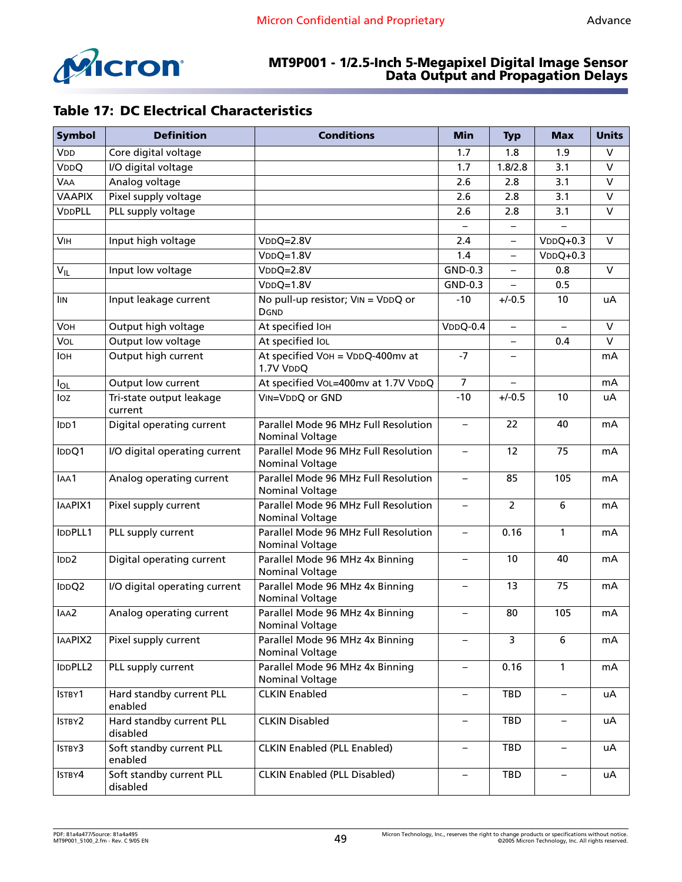

# <span id="page-48-0"></span>**Table 17: DC Electrical Characteristics**

| <b>Symbol</b>   | <b>Definition</b>                    | <b>Conditions</b>                                       | <b>Min</b>               | <b>Typ</b>     | <b>Max</b>               | <b>Units</b> |
|-----------------|--------------------------------------|---------------------------------------------------------|--------------------------|----------------|--------------------------|--------------|
| V <sub>DD</sub> | Core digital voltage                 |                                                         | 1.7                      | 1.8            | 1.9                      | $\vee$       |
| VDDQ            | I/O digital voltage                  |                                                         | 1.7                      | 1.8/2.8        | 3.1                      | $\vee$       |
| <b>VAA</b>      | Analog voltage                       |                                                         | 2.6                      | 2.8            | 3.1                      | V            |
| <b>VAAPIX</b>   | Pixel supply voltage                 |                                                         | 2.6                      | 2.8            | 3.1                      | $\mathsf{V}$ |
| <b>VDDPLL</b>   | PLL supply voltage                   |                                                         | 2.6                      | 2.8            | 3.1                      | $\vee$       |
|                 |                                      |                                                         |                          |                |                          |              |
| <b>VIH</b>      | Input high voltage                   | $VDDQ=2.8V$                                             | 2.4                      |                | $VDDQ+0.3$               | $\vee$       |
|                 |                                      | $VDDQ=1.8V$                                             | 1.4                      | $-$            | $VDDQ+0.3$               |              |
| $V_{ L}$        | Input low voltage                    | $VDDQ=2.8V$                                             | GND-0.3                  | $-$            | 0.8                      | $\vee$       |
|                 |                                      | $VDDQ=1.8V$                                             | GND-0.3                  | $\equiv$       | 0.5                      |              |
| <b>IIN</b>      | Input leakage current                | No pull-up resistor; VIN = VDDQ or<br><b>DGND</b>       | $-10$                    | $+/-0.5$       | 10                       | uA           |
| VOH             | Output high voltage                  | At specified IOH                                        | $VDDQ-0.4$               |                |                          | $\vee$       |
| VOL             | Output low voltage                   | At specified IOL                                        |                          |                | 0.4                      | $\vee$       |
| <b>IOH</b>      | Output high current                  | At specified VOH = $VDDQ-400$ mv at<br>1.7V VDDQ        | $-7$                     |                |                          | mA           |
| $I_{OL}$        | Output low current                   | At specified VoL=400mv at 1.7V VDDQ                     | $\overline{7}$           |                |                          | mA           |
| loz             | Tri-state output leakage<br>current  | VIN=VDDQ or GND                                         | $-10$                    | $+/-0.5$       | 10                       | uA           |
| IDD1            | Digital operating current            | Parallel Mode 96 MHz Full Resolution<br>Nominal Voltage | $\overline{\phantom{0}}$ | 22             | 40                       | mA           |
| IDDQ1           | I/O digital operating current        | Parallel Mode 96 MHz Full Resolution<br>Nominal Voltage | $\qquad \qquad -$        | 12             | 75                       | mA           |
| IAA1            | Analog operating current             | Parallel Mode 96 MHz Full Resolution<br>Nominal Voltage | $\overline{\phantom{0}}$ | 85             | 105                      | mA           |
| IAAPIX1         | Pixel supply current                 | Parallel Mode 96 MHz Full Resolution<br>Nominal Voltage | $\overline{\phantom{0}}$ | $\overline{2}$ | 6                        | mA           |
| IDDPLL1         | PLL supply current                   | Parallel Mode 96 MHz Full Resolution<br>Nominal Voltage | $\overline{\phantom{0}}$ | 0.16           | $\mathbf{1}$             | mA           |
| IDD2            | Digital operating current            | Parallel Mode 96 MHz 4x Binning<br>Nominal Voltage      | $\overline{\phantom{0}}$ | 10             | 40                       | mA           |
| IDDQ2           | I/O digital operating current        | Parallel Mode 96 MHz 4x Binning<br>Nominal Voltage      |                          | 13             | 75                       | mA           |
| IAA2            | Analog operating current             | Parallel Mode 96 MHz 4x Binning<br>Nominal Voltage      |                          | 80             | 105                      | mA           |
| IAAPIX2         | Pixel supply current                 | Parallel Mode 96 MHz 4x Binning<br>Nominal Voltage      |                          | 3              | 6                        | mA           |
| IDDPLL2         | PLL supply current                   | Parallel Mode 96 MHz 4x Binning<br>Nominal Voltage      |                          | 0.16           | $\mathbf{1}$             | mA           |
| ISTBY1          | Hard standby current PLL<br>enabled  | <b>CLKIN Enabled</b>                                    | $\qquad \qquad -$        | TBD            | $\qquad \qquad -$        | uA           |
| ISTBY2          | Hard standby current PLL<br>disabled | <b>CLKIN Disabled</b>                                   | $\qquad \qquad -$        | TBD            | $\qquad \qquad -$        | uA           |
| ISTBY3          | Soft standby current PLL<br>enabled  | <b>CLKIN Enabled (PLL Enabled)</b>                      | -                        | TBD            | -                        | uA           |
| ISTBY4          | Soft standby current PLL<br>disabled | <b>CLKIN Enabled (PLL Disabled)</b>                     | $\qquad \qquad -$        | TBD            | $\overline{\phantom{m}}$ | uA           |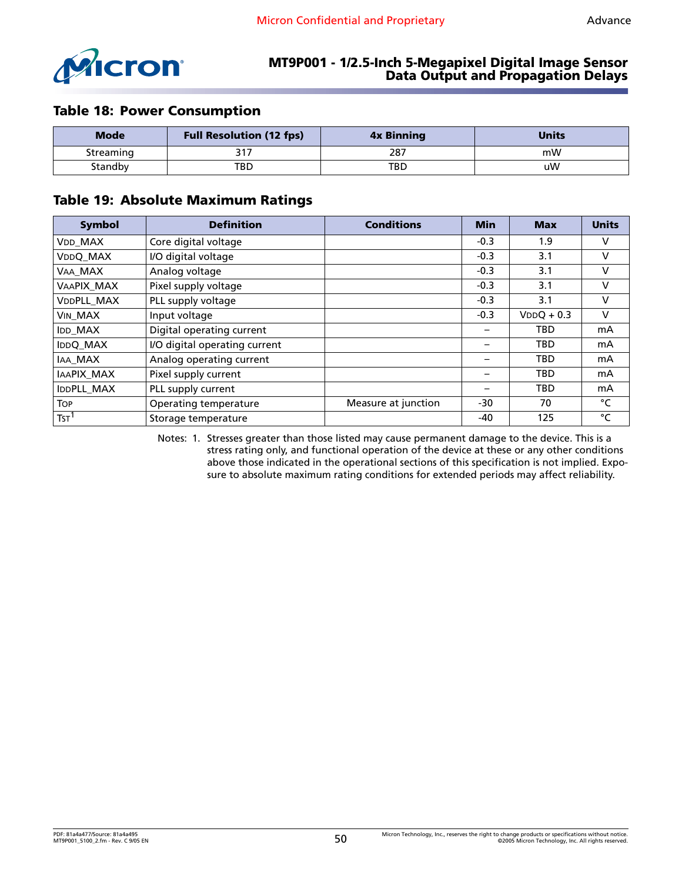

#### <span id="page-49-0"></span>**Table 18: Power Consumption**

| <b>Mode</b> | <b>Full Resolution (12 fps)</b> | <b>4x Binning</b> | <b>Units</b> |
|-------------|---------------------------------|-------------------|--------------|
| Streaming   |                                 | 287               | mW           |
| Standby     | TBD                             | TBD               | uW           |

#### <span id="page-49-1"></span>**Table 19: Absolute Maximum Ratings**

| <b>Symbol</b>    | <b>Definition</b>             | <b>Conditions</b>   | <b>Min</b> | <b>Max</b>   | <b>Units</b> |
|------------------|-------------------------------|---------------------|------------|--------------|--------------|
| <b>VDD MAX</b>   | Core digital voltage          |                     | $-0.3$     | 1.9          | v            |
| VDDQ_MAX         | I/O digital voltage           |                     | $-0.3$     | 3.1          | V            |
| VAA MAX          | Analog voltage                |                     | $-0.3$     | 3.1          | v            |
| VAAPIX MAX       | Pixel supply voltage          |                     | $-0.3$     | 3.1          | v            |
| VDDPLL_MAX       | PLL supply voltage            |                     | $-0.3$     | 3.1          | v            |
| <b>VIN MAX</b>   | Input voltage                 |                     | $-0.3$     | $VDDQ + 0.3$ | v            |
| IDD_MAX          | Digital operating current     |                     |            | <b>TBD</b>   | mA           |
| <b>IDDQ MAX</b>  | I/O digital operating current |                     |            | <b>TBD</b>   | mA           |
| IAA_MAX          | Analog operating current      |                     |            | <b>TBD</b>   | mA           |
| IAAPIX MAX       | Pixel supply current          |                     |            | <b>TBD</b>   | mA           |
| IDDPLL MAX       | PLL supply current            |                     |            | <b>TBD</b>   | mA           |
| <b>TOP</b>       | Operating temperature         | Measure at junction | $-30$      | 70           | °C           |
| TST <sup>1</sup> | Storage temperature           |                     | -40        | 125          | °C           |

<span id="page-49-2"></span>Notes: 1. Stresses greater than those listed may cause permanent damage to the device. This is a stress rating only, and functional operation of the device at these or any other conditions above those indicated in the operational sections of this specification is not implied. Exposure to absolute maximum rating conditions for extended periods may affect reliability.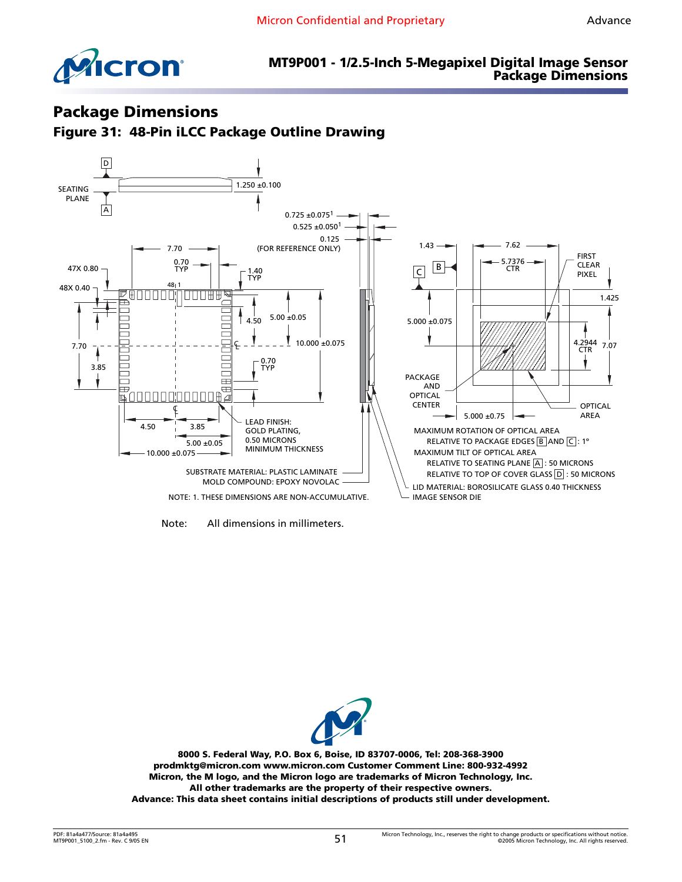



#### **MT9P001 - 1/2.5-Inch 5-Megapixel Digital Image Sensor Package Dimensions**

# <span id="page-50-0"></span>**Package Dimensions**

<span id="page-50-1"></span>**Figure 31: 48-Pin iLCC Package Outline Drawing**



Note: All dimensions in millimeters.



**8000 S. Federal Way, P.O. Box 6, Boise, ID 83707-0006, Tel: 208-368-3900 [prodmktg@micron.com](mailto:prodmktg@micron.com) [www.micron.com Customer Comment Line: 800-932-4992](http://www.micron.com/) Micron, the M logo, and the Micron logo are trademarks of Micron Technology, Inc. All other trademarks are the property of their respective owners. Advance: This data sheet contains initial descriptions of products still under development.**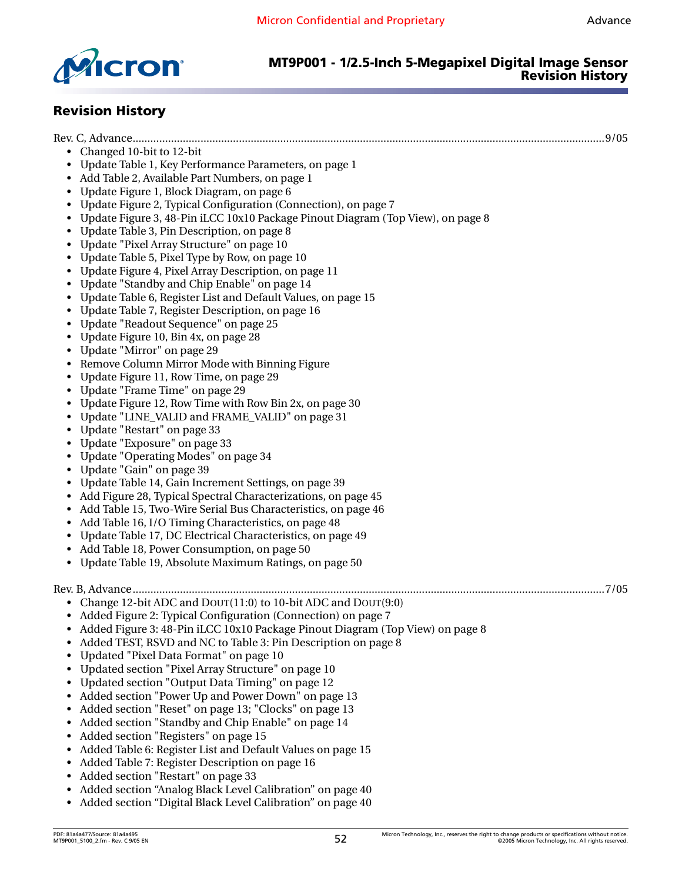



# **MT9P001 - 1/2.5-Inch 5-Megapixel Digital Image Sensor Revision History**

# <span id="page-51-0"></span>**Revision History**

| Changed 10-bit to 12-bit                                                        |  |
|---------------------------------------------------------------------------------|--|
| Update Table 1, Key Performance Parameters, on page 1                           |  |
| Add Table 2, Available Part Numbers, on page 1                                  |  |
| Update Figure 1, Block Diagram, on page 6                                       |  |
| Update Figure 2, Typical Configuration (Connection), on page 7                  |  |
| Update Figure 3, 48-Pin iLCC 10x10 Package Pinout Diagram (Top View), on page 8 |  |
| Update Table 3, Pin Description, on page 8                                      |  |
| Update "Pixel Array Structure" on page 10                                       |  |
| Update Table 5, Pixel Type by Row, on page 10                                   |  |
| Update Figure 4, Pixel Array Description, on page 11                            |  |
| Update "Standby and Chip Enable" on page 14                                     |  |
| Update Table 6, Register List and Default Values, on page 15                    |  |
| Update Table 7, Register Description, on page 16                                |  |
| Update "Readout Sequence" on page 25                                            |  |
| Update Figure 10, Bin 4x, on page 28                                            |  |
| Update "Mirror" on page 29                                                      |  |
| Remove Column Mirror Mode with Binning Figure                                   |  |
| Update Figure 11, Row Time, on page 29                                          |  |
| Update "Frame Time" on page 29                                                  |  |
| Update Figure 12, Row Time with Row Bin 2x, on page 30                          |  |
| Update "LINE_VALID and FRAME_VALID" on page 31                                  |  |
| Update "Restart" on page 33                                                     |  |
| Update "Exposure" on page 33                                                    |  |
| Update "Operating Modes" on page 34                                             |  |
| Update "Gain" on page 39                                                        |  |
| Update Table 14, Gain Increment Settings, on page 39                            |  |
| Add Figure 28, Typical Spectral Characterizations, on page 45<br>$\bullet$      |  |
| Add Table 15, Two-Wire Serial Bus Characteristics, on page 46<br>$\bullet$      |  |
| Add Table 16, I/O Timing Characteristics, on page 48<br>$\bullet$               |  |
| Update Table 17, DC Electrical Characteristics, on page 49<br>$\bullet$         |  |
| Add Table 18, Power Consumption, on page 50<br>$\bullet$                        |  |
| Update Table 19, Absolute Maximum Ratings, on page 50<br>$\bullet$              |  |
|                                                                                 |  |
|                                                                                 |  |
| • Change 12-bit ADC and DOUT(11:0) to 10-bit ADC and DOUT(9:0)                  |  |
| • Added Figure 2: Typical Configuration (Connection) on page 7                  |  |
| Added Figure 3: 48-Pin iLCC 10x10 Package Pinout Diagram (Top View) on page 8   |  |
| Added TEST, RSVD and NC to Table 3: Pin Description on page 8                   |  |
| Updated "Pixel Data Format" on page 10                                          |  |
| Updated section "Pixel Array Structure" on page 10                              |  |
| Updated section "Output Data Timing" on page 12                                 |  |
| Added section "Power Up and Power Down" on page 13<br>٠                         |  |
| Added section "Reset" on page 13; "Clocks" on page 13<br>٠                      |  |
| Added section "Standby and Chip Enable" on page 14<br>٠                         |  |
| Added section "Registers" on page 15<br>٠                                       |  |
| Added Table 6: Register List and Default Values on page 15<br>٠                 |  |
| Added Table 7: Register Description on page 16<br>٠                             |  |
| • Added section "Restart" on page 33                                            |  |
|                                                                                 |  |

- Added section ["Analog Black Level Calibration" on page 40](#page-39-0)
- Added section ["Digital Black Level Calibration" on page 40](#page-39-1)